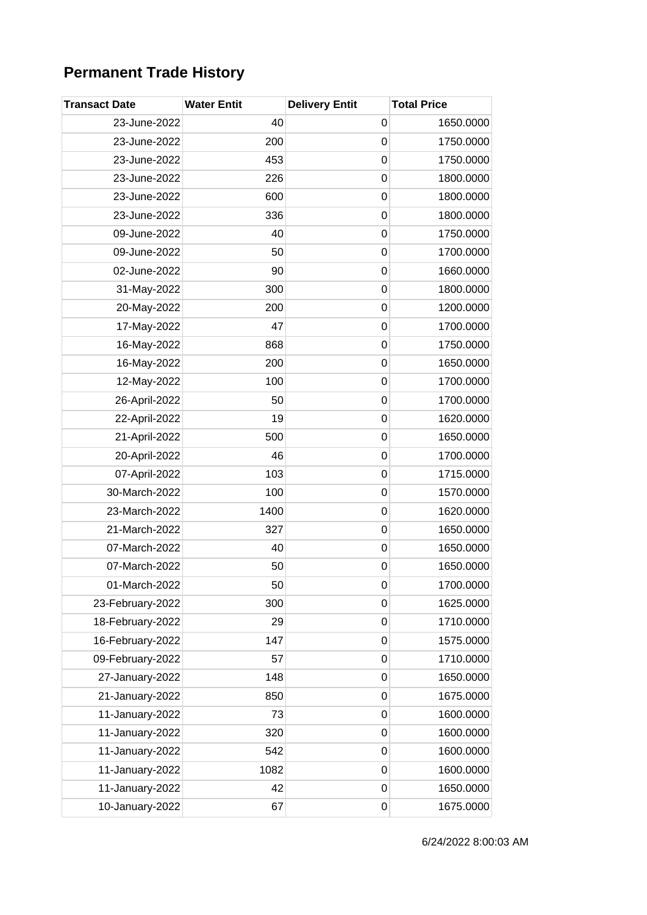## **Permanent Trade History**

| <b>Transact Date</b> | <b>Water Entit</b> | <b>Delivery Entit</b> | <b>Total Price</b> |
|----------------------|--------------------|-----------------------|--------------------|
| 23-June-2022         | 40                 | $\mathbf 0$           | 1650.0000          |
| 23-June-2022         | 200                | $\mathbf 0$           | 1750.0000          |
| 23-June-2022         | 453                | $\mathbf 0$           | 1750.0000          |
| 23-June-2022         | 226                | $\mathbf 0$           | 1800.0000          |
| 23-June-2022         | 600                | $\mathbf 0$           | 1800.0000          |
| 23-June-2022         | 336                | $\mathbf 0$           | 1800.0000          |
| 09-June-2022         | 40                 | 0                     | 1750.0000          |
| 09-June-2022         | 50                 | $\mathbf 0$           | 1700.0000          |
| 02-June-2022         | 90                 | $\mathbf 0$           | 1660.0000          |
| 31-May-2022          | 300                | $\mathbf 0$           | 1800.0000          |
| 20-May-2022          | 200                | $\mathbf 0$           | 1200.0000          |
| 17-May-2022          | 47                 | 0                     | 1700.0000          |
| 16-May-2022          | 868                | $\mathbf 0$           | 1750.0000          |
| 16-May-2022          | 200                | $\mathbf 0$           | 1650.0000          |
| 12-May-2022          | 100                | $\mathbf 0$           | 1700.0000          |
| 26-April-2022        | 50                 | $\mathbf 0$           | 1700.0000          |
| 22-April-2022        | 19                 | $\mathbf 0$           | 1620.0000          |
| 21-April-2022        | 500                | $\mathbf 0$           | 1650.0000          |
| 20-April-2022        | 46                 | 0                     | 1700.0000          |
| 07-April-2022        | 103                | $\mathbf 0$           | 1715.0000          |
| 30-March-2022        | 100                | $\mathbf 0$           | 1570.0000          |
| 23-March-2022        | 1400               | $\mathbf 0$           | 1620.0000          |
| 21-March-2022        | 327                | $\mathbf 0$           | 1650.0000          |
| 07-March-2022        | 40                 | 0                     | 1650.0000          |
| 07-March-2022        | 50                 | $\mathbf 0$           | 1650.0000          |
| 01-March-2022        | 50                 | 0                     | 1700.0000          |
| 23-February-2022     | 300                | 0                     | 1625.0000          |
| 18-February-2022     | 29                 | $\mathbf 0$           | 1710.0000          |
| 16-February-2022     | 147                | 0                     | 1575.0000          |
| 09-February-2022     | 57                 | 0                     | 1710.0000          |
| 27-January-2022      | 148                | 0                     | 1650.0000          |
| 21-January-2022      | 850                | 0                     | 1675.0000          |
| 11-January-2022      | 73                 | $\mathbf 0$           | 1600.0000          |
| 11-January-2022      | 320                | $\mathbf 0$           | 1600.0000          |
| 11-January-2022      | 542                | $\mathbf 0$           | 1600.0000          |
| 11-January-2022      | 1082               | 0                     | 1600.0000          |
| 11-January-2022      | 42                 | 0                     | 1650.0000          |
| 10-January-2022      | 67                 | 0                     | 1675.0000          |

6/24/2022 8:00:03 AM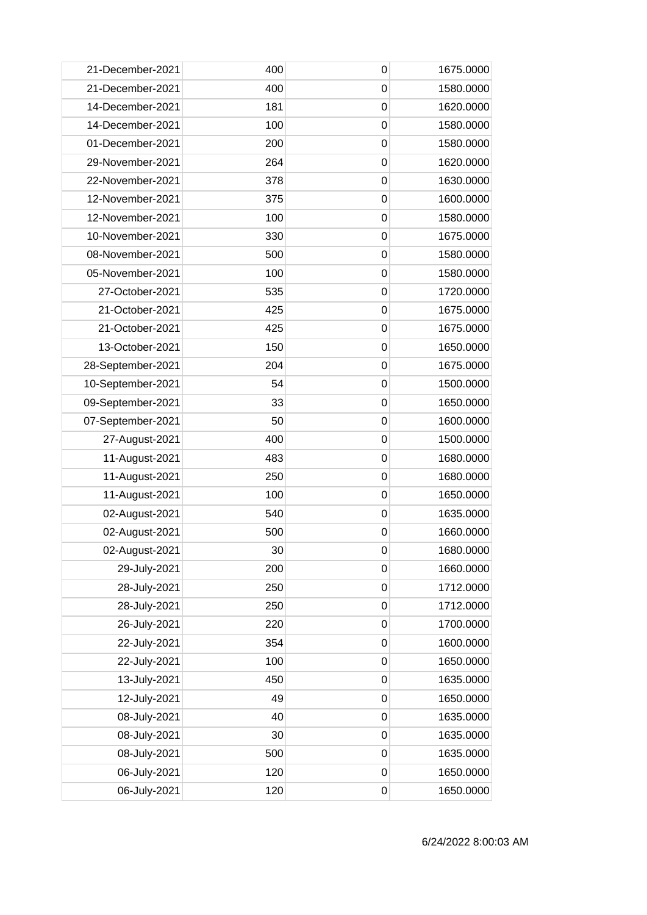| 21-December-2021  | 400 | 0                | 1675.0000 |
|-------------------|-----|------------------|-----------|
| 21-December-2021  | 400 | $\mathbf 0$      | 1580.0000 |
| 14-December-2021  | 181 | $\mathbf 0$      | 1620.0000 |
| 14-December-2021  | 100 | $\mathbf 0$      | 1580.0000 |
| 01-December-2021  | 200 | $\mathbf 0$      | 1580.0000 |
| 29-November-2021  | 264 | 0                | 1620.0000 |
| 22-November-2021  | 378 | $\mathbf 0$      | 1630.0000 |
| 12-November-2021  | 375 | $\mathbf 0$      | 1600.0000 |
| 12-November-2021  | 100 | $\mathbf 0$      | 1580.0000 |
| 10-November-2021  | 330 | $\mathbf 0$      | 1675.0000 |
| 08-November-2021  | 500 | $\mathbf 0$      | 1580.0000 |
| 05-November-2021  | 100 | $\mathbf 0$      | 1580.0000 |
| 27-October-2021   | 535 | 0                | 1720.0000 |
| 21-October-2021   | 425 | $\mathbf 0$      | 1675.0000 |
| 21-October-2021   | 425 | $\mathbf 0$      | 1675.0000 |
| 13-October-2021   | 150 | $\mathbf 0$      | 1650.0000 |
| 28-September-2021 | 204 | $\mathbf 0$      | 1675.0000 |
| 10-September-2021 | 54  | $\mathbf 0$      | 1500.0000 |
| 09-September-2021 | 33  | $\mathbf 0$      | 1650.0000 |
| 07-September-2021 | 50  | $\mathbf 0$      | 1600.0000 |
| 27-August-2021    | 400 | $\mathbf 0$      | 1500.0000 |
| 11-August-2021    | 483 | $\mathbf 0$      | 1680.0000 |
| 11-August-2021    | 250 | $\mathbf 0$      | 1680.0000 |
| 11-August-2021    | 100 | $\mathbf 0$      | 1650.0000 |
| 02-August-2021    | 540 | 0                | 1635.0000 |
| 02-August-2021    | 500 | $\mathbf 0$      | 1660.0000 |
| 02-August-2021    | 30  | $\pmb{0}$        | 1680.0000 |
| 29-July-2021      | 200 | $\mathbf 0$      | 1660.0000 |
| 28-July-2021      | 250 | $\mathbf 0$      | 1712.0000 |
| 28-July-2021      | 250 | $\mathbf 0$      | 1712.0000 |
| 26-July-2021      | 220 | 0                | 1700.0000 |
| 22-July-2021      | 354 | $\boldsymbol{0}$ | 1600.0000 |
| 22-July-2021      | 100 | $\mathbf 0$      | 1650.0000 |
| 13-July-2021      | 450 | $\mathbf 0$      | 1635.0000 |
| 12-July-2021      | 49  | $\mathbf 0$      | 1650.0000 |
| 08-July-2021      | 40  | $\mathbf 0$      | 1635.0000 |
| 08-July-2021      | 30  | 0                | 1635.0000 |
| 08-July-2021      | 500 | $\mathbf 0$      | 1635.0000 |
| 06-July-2021      | 120 | $\mathbf 0$      | 1650.0000 |
| 06-July-2021      | 120 | $\mathbf 0$      | 1650.0000 |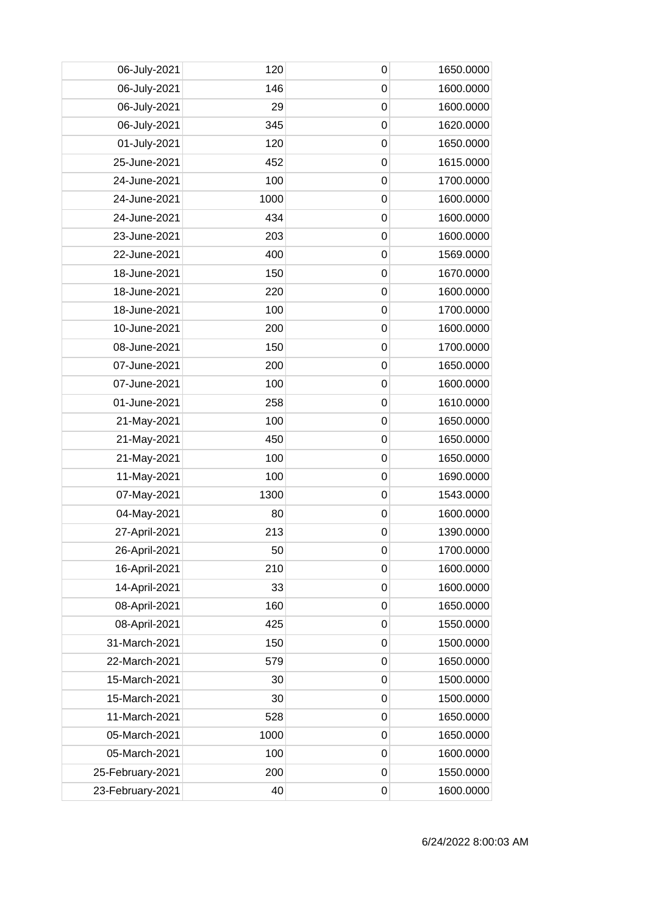| 06-July-2021     | 120  | 0           | 1650.0000 |
|------------------|------|-------------|-----------|
| 06-July-2021     | 146  | $\mathbf 0$ | 1600.0000 |
| 06-July-2021     | 29   | $\mathbf 0$ | 1600.0000 |
| 06-July-2021     | 345  | $\mathbf 0$ | 1620.0000 |
| 01-July-2021     | 120  | $\mathbf 0$ | 1650.0000 |
| 25-June-2021     | 452  | $\mathbf 0$ | 1615.0000 |
| 24-June-2021     | 100  | 0           | 1700.0000 |
| 24-June-2021     | 1000 | $\mathbf 0$ | 1600.0000 |
| 24-June-2021     | 434  | $\mathbf 0$ | 1600.0000 |
| 23-June-2021     | 203  | $\mathbf 0$ | 1600.0000 |
| 22-June-2021     | 400  | $\mathbf 0$ | 1569.0000 |
| 18-June-2021     | 150  | $\mathbf 0$ | 1670.0000 |
| 18-June-2021     | 220  | 0           | 1600.0000 |
| 18-June-2021     | 100  | $\mathbf 0$ | 1700.0000 |
| 10-June-2021     | 200  | $\mathbf 0$ | 1600.0000 |
| 08-June-2021     | 150  | $\mathbf 0$ | 1700.0000 |
| 07-June-2021     | 200  | $\mathbf 0$ | 1650.0000 |
| 07-June-2021     | 100  | $\mathbf 0$ | 1600.0000 |
| 01-June-2021     | 258  | 0           | 1610.0000 |
| 21-May-2021      | 100  | 0           | 1650.0000 |
| 21-May-2021      | 450  | $\mathbf 0$ | 1650.0000 |
| 21-May-2021      | 100  | 0           | 1650.0000 |
| 11-May-2021      | 100  | $\mathbf 0$ | 1690.0000 |
| 07-May-2021      | 1300 | $\mathbf 0$ | 1543.0000 |
| 04-May-2021      | 80   | 0           | 1600.0000 |
| 27-April-2021    | 213  | $\mathbf 0$ | 1390.0000 |
| 26-April-2021    | 50   | $\pmb{0}$   | 1700.0000 |
| 16-April-2021    | 210  | 0           | 1600.0000 |
| 14-April-2021    | 33   | $\mathbf 0$ | 1600.0000 |
| 08-April-2021    | 160  | $\mathbf 0$ | 1650.0000 |
| 08-April-2021    | 425  | 0           | 1550.0000 |
| 31-March-2021    | 150  | $\mathbf 0$ | 1500.0000 |
| 22-March-2021    | 579  | $\mathbf 0$ | 1650.0000 |
| 15-March-2021    | 30   | $\mathbf 0$ | 1500.0000 |
| 15-March-2021    | 30   | $\mathbf 0$ | 1500.0000 |
| 11-March-2021    | 528  | $\mathbf 0$ | 1650.0000 |
| 05-March-2021    | 1000 | $\mathbf 0$ | 1650.0000 |
| 05-March-2021    | 100  | 0           | 1600.0000 |
| 25-February-2021 | 200  | $\mathbf 0$ | 1550.0000 |
| 23-February-2021 | 40   | $\mathbf 0$ | 1600.0000 |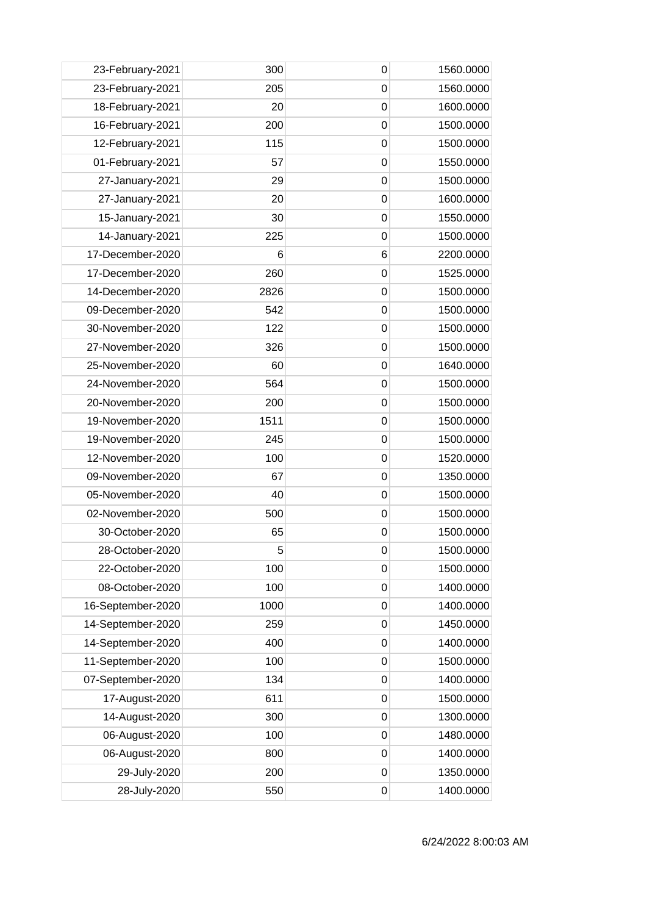| 23-February-2021  | 300  | 0              | 1560.0000 |
|-------------------|------|----------------|-----------|
| 23-February-2021  | 205  | $\mathbf 0$    | 1560.0000 |
| 18-February-2021  | 20   | 0              | 1600.0000 |
| 16-February-2021  | 200  | 0              | 1500.0000 |
| 12-February-2021  | 115  | $\mathbf 0$    | 1500.0000 |
| 01-February-2021  | 57   | $\mathbf 0$    | 1550.0000 |
| 27-January-2021   | 29   | 0              | 1500.0000 |
| 27-January-2021   | 20   | $\mathbf 0$    | 1600.0000 |
| 15-January-2021   | 30   | $\overline{0}$ | 1550.0000 |
| 14-January-2021   | 225  | 0              | 1500.0000 |
| 17-December-2020  | 6    | 6              | 2200.0000 |
| 17-December-2020  | 260  | $\mathbf 0$    | 1525.0000 |
| 14-December-2020  | 2826 | 0              | 1500.0000 |
| 09-December-2020  | 542  | $\overline{0}$ | 1500.0000 |
| 30-November-2020  | 122  | $\mathbf 0$    | 1500.0000 |
| 27-November-2020  | 326  | 0              | 1500.0000 |
| 25-November-2020  | 60   | $\mathbf 0$    | 1640.0000 |
| 24-November-2020  | 564  | $\mathbf 0$    | 1500.0000 |
| 20-November-2020  | 200  | 0              | 1500.0000 |
| 19-November-2020  | 1511 | 0              | 1500.0000 |
| 19-November-2020  | 245  | $\overline{0}$ | 1500.0000 |
| 12-November-2020  | 100  | 0              | 1520.0000 |
| 09-November-2020  | 67   | $\overline{0}$ | 1350.0000 |
| 05-November-2020  | 40   | $\mathbf 0$    | 1500.0000 |
| 02-November-2020  | 500  | 0              | 1500.0000 |
| 30-October-2020   | 65   | 0              | 1500.0000 |
| 28-October-2020   | 5    | $\mathbf 0$    | 1500.0000 |
| 22-October-2020   | 100  | 0              | 1500.0000 |
| 08-October-2020   | 100  | $\mathbf 0$    | 1400.0000 |
| 16-September-2020 | 1000 | $\mathbf 0$    | 1400.0000 |
| 14-September-2020 | 259  | 0              | 1450.0000 |
| 14-September-2020 | 400  | $\mathbf 0$    | 1400.0000 |
| 11-September-2020 | 100  | $\mathbf 0$    | 1500.0000 |
| 07-September-2020 | 134  | 0              | 1400.0000 |
| 17-August-2020    | 611  | $\mathbf 0$    | 1500.0000 |
| 14-August-2020    | 300  | $\mathbf 0$    | 1300.0000 |
| 06-August-2020    | 100  | 0              | 1480.0000 |
| 06-August-2020    | 800  | 0              | 1400.0000 |
| 29-July-2020      | 200  | $\mathbf 0$    | 1350.0000 |
| 28-July-2020      | 550  | 0              | 1400.0000 |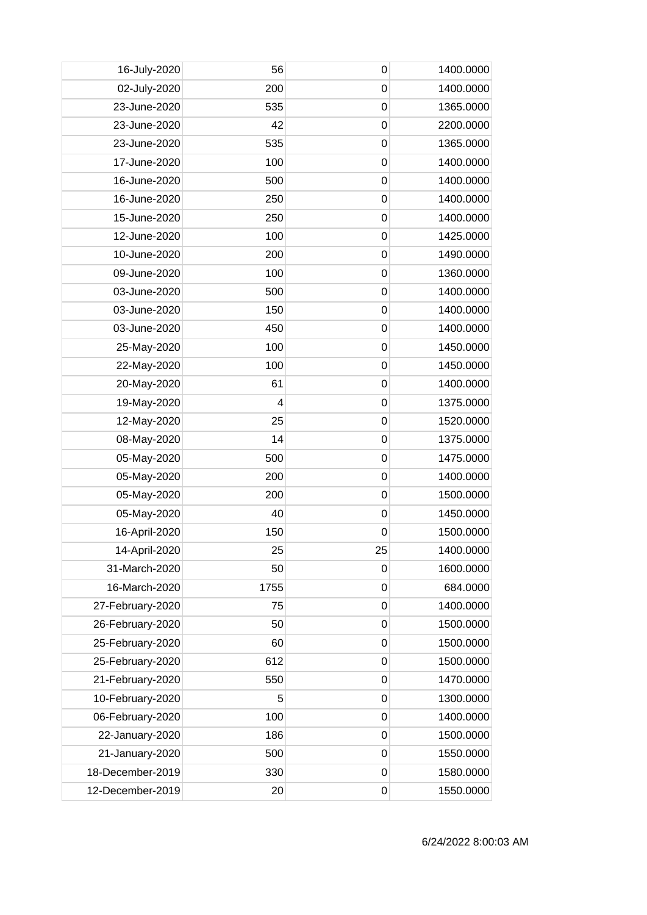| 16-July-2020     | 56   | 0              | 1400.0000 |
|------------------|------|----------------|-----------|
| 02-July-2020     | 200  | $\mathbf 0$    | 1400.0000 |
| 23-June-2020     | 535  | 0              | 1365.0000 |
| 23-June-2020     | 42   | 0              | 2200.0000 |
| 23-June-2020     | 535  | $\mathbf 0$    | 1365.0000 |
| 17-June-2020     | 100  | $\mathbf 0$    | 1400.0000 |
| 16-June-2020     | 500  | 0              | 1400.0000 |
| 16-June-2020     | 250  | 0              | 1400.0000 |
| 15-June-2020     | 250  | $\overline{0}$ | 1400.0000 |
| 12-June-2020     | 100  | 0              | 1425.0000 |
| 10-June-2020     | 200  | $\overline{0}$ | 1490.0000 |
| 09-June-2020     | 100  | $\mathbf 0$    | 1360.0000 |
| 03-June-2020     | 500  | 0              | 1400.0000 |
| 03-June-2020     | 150  | 0              | 1400.0000 |
| 03-June-2020     | 450  | 0              | 1400.0000 |
| 25-May-2020      | 100  | 0              | 1450.0000 |
| 22-May-2020      | 100  | $\mathbf 0$    | 1450.0000 |
| 20-May-2020      | 61   | $\mathbf 0$    | 1400.0000 |
| 19-May-2020      | 4    | 0              | 1375.0000 |
| 12-May-2020      | 25   | 0              | 1520.0000 |
| 08-May-2020      | 14   | $\overline{0}$ | 1375.0000 |
| 05-May-2020      | 500  | 0              | 1475.0000 |
| 05-May-2020      | 200  | $\mathbf 0$    | 1400.0000 |
| 05-May-2020      | 200  | $\mathbf 0$    | 1500.0000 |
| 05-May-2020      | 40   | 0              | 1450.0000 |
| 16-April-2020    | 150  | 0              | 1500.0000 |
| 14-April-2020    | 25   | 25             | 1400.0000 |
| 31-March-2020    | 50   | 0              | 1600.0000 |
| 16-March-2020    | 1755 | $\mathbf 0$    | 684.0000  |
| 27-February-2020 | 75   | $\mathbf 0$    | 1400.0000 |
| 26-February-2020 | 50   | 0              | 1500.0000 |
| 25-February-2020 | 60   | $\mathbf 0$    | 1500.0000 |
| 25-February-2020 | 612  | $\mathbf 0$    | 1500.0000 |
| 21-February-2020 | 550  | $\mathbf 0$    | 1470.0000 |
| 10-February-2020 | 5    | $\mathbf 0$    | 1300.0000 |
| 06-February-2020 | 100  | $\mathbf 0$    | 1400.0000 |
| 22-January-2020  | 186  | 0              | 1500.0000 |
| 21-January-2020  | 500  | 0              | 1550.0000 |
| 18-December-2019 | 330  | $\mathbf 0$    | 1580.0000 |
| 12-December-2019 | 20   | 0              | 1550.0000 |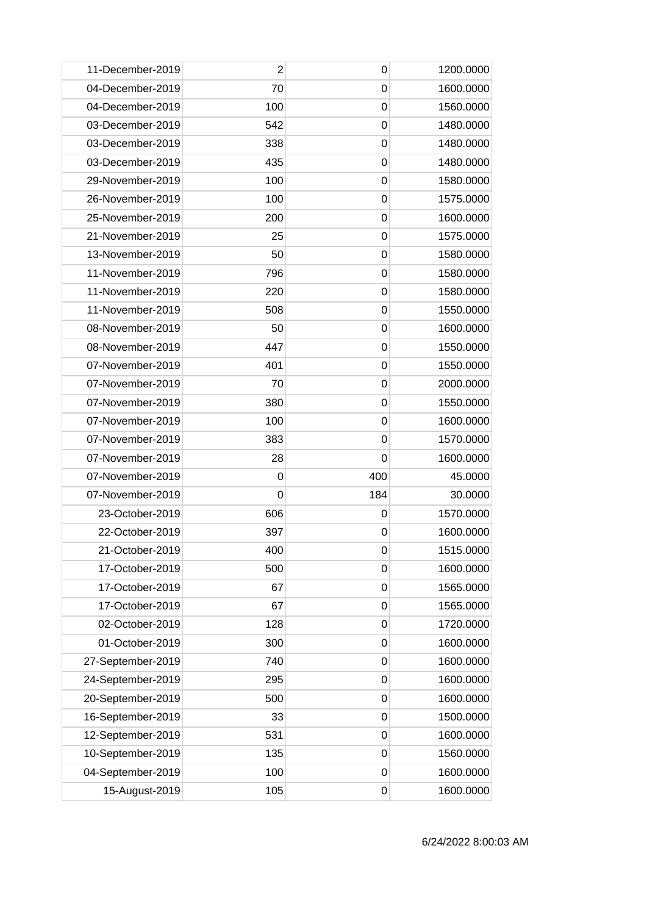| 11-December-2019  | $\overline{2}$ | 0           | 1200.0000 |
|-------------------|----------------|-------------|-----------|
| 04-December-2019  | 70             | 0           | 1600.0000 |
| 04-December-2019  | 100            | 0           | 1560.0000 |
| 03-December-2019  | 542            | $\mathbf 0$ | 1480.0000 |
| 03-December-2019  | 338            | $\mathbf 0$ | 1480.0000 |
| 03-December-2019  | 435            | 0           | 1480.0000 |
| 29-November-2019  | 100            | 0           | 1580.0000 |
| 26-November-2019  | 100            | 0           | 1575.0000 |
| 25-November-2019  | 200            | $\mathbf 0$ | 1600.0000 |
| 21-November-2019  | 25             | 0           | 1575.0000 |
| 13-November-2019  | 50             | $\mathbf 0$ | 1580.0000 |
| 11-November-2019  | 796            | $\mathbf 0$ | 1580.0000 |
| 11-November-2019  | 220            | 0           | 1580.0000 |
| 11-November-2019  | 508            | $\mathbf 0$ | 1550.0000 |
| 08-November-2019  | 50             | 0           | 1600.0000 |
| 08-November-2019  | 447            | $\mathbf 0$ | 1550.0000 |
| 07-November-2019  | 401            | $\mathbf 0$ | 1550.0000 |
| 07-November-2019  | 70             | 0           | 2000.0000 |
| 07-November-2019  | 380            | 0           | 1550.0000 |
| 07-November-2019  | 100            | 0           | 1600.0000 |
| 07-November-2019  | 383            | $\mathbf 0$ | 1570.0000 |
| 07-November-2019  | 28             | 0           | 1600.0000 |
| 07-November-2019  | 0              | 400         | 45.0000   |
| 07-November-2019  | 0              | 184         | 30.0000   |
| 23-October-2019   | 606            | 0           | 1570.0000 |
| 22-October-2019   | 397            | 0           | 1600.0000 |
| 21-October-2019   | 400            | $\mathbf 0$ | 1515.0000 |
| 17-October-2019   | 500            | 0           | 1600.0000 |
| 17-October-2019   | 67             | $\mathbf 0$ | 1565.0000 |
| 17-October-2019   | 67             | $\mathbf 0$ | 1565.0000 |
| 02-October-2019   | 128            | 0           | 1720.0000 |
| 01-October-2019   | 300            | 0           | 1600.0000 |
| 27-September-2019 | 740            | 0           | 1600.0000 |
| 24-September-2019 | 295            | 0           | 1600.0000 |
| 20-September-2019 | 500            | $\mathbf 0$ | 1600.0000 |
| 16-September-2019 | 33             | $\mathbf 0$ | 1500.0000 |
| 12-September-2019 | 531            | 0           | 1600.0000 |
| 10-September-2019 | 135            | 0           | 1560.0000 |
| 04-September-2019 | 100            | $\mathbf 0$ | 1600.0000 |
| 15-August-2019    | 105            | 0           | 1600.0000 |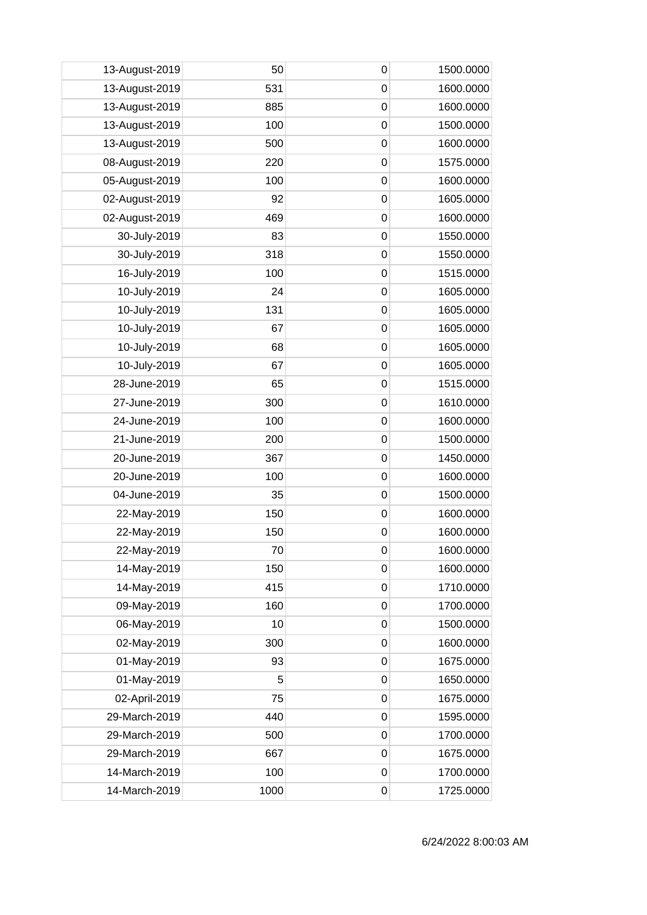| 13-August-2019 | 50   | 0           | 1500.0000 |
|----------------|------|-------------|-----------|
| 13-August-2019 | 531  | $\mathbf 0$ | 1600.0000 |
| 13-August-2019 | 885  | $\mathbf 0$ | 1600.0000 |
| 13-August-2019 | 100  | $\mathbf 0$ | 1500.0000 |
| 13-August-2019 | 500  | $\mathbf 0$ | 1600.0000 |
| 08-August-2019 | 220  | 0           | 1575.0000 |
| 05-August-2019 | 100  | $\mathbf 0$ | 1600.0000 |
| 02-August-2019 | 92   | $\mathbf 0$ | 1605.0000 |
| 02-August-2019 | 469  | $\mathbf 0$ | 1600.0000 |
| 30-July-2019   | 83   | $\mathbf 0$ | 1550.0000 |
| 30-July-2019   | 318  | $\mathbf 0$ | 1550.0000 |
| 16-July-2019   | 100  | $\mathbf 0$ | 1515.0000 |
| 10-July-2019   | 24   | 0           | 1605.0000 |
| 10-July-2019   | 131  | $\mathbf 0$ | 1605.0000 |
| 10-July-2019   | 67   | $\mathbf 0$ | 1605.0000 |
| 10-July-2019   | 68   | $\mathbf 0$ | 1605.0000 |
| 10-July-2019   | 67   | $\mathbf 0$ | 1605.0000 |
| 28-June-2019   | 65   | $\mathbf 0$ | 1515.0000 |
| 27-June-2019   | 300  | $\mathbf 0$ | 1610.0000 |
| 24-June-2019   | 100  | $\mathbf 0$ | 1600.0000 |
| 21-June-2019   | 200  | $\mathbf 0$ | 1500.0000 |
| 20-June-2019   | 367  | $\mathbf 0$ | 1450.0000 |
| 20-June-2019   | 100  | $\mathbf 0$ | 1600.0000 |
| 04-June-2019   | 35   | $\mathbf 0$ | 1500.0000 |
| 22-May-2019    | 150  | 0           | 1600.0000 |
| 22-May-2019    | 150  | $\mathbf 0$ | 1600.0000 |
| 22-May-2019    | 70   | $\pmb{0}$   | 1600.0000 |
| 14-May-2019    | 150  | $\mathbf 0$ | 1600.0000 |
| 14-May-2019    | 415  | $\mathbf 0$ | 1710.0000 |
| 09-May-2019    | 160  | $\mathbf 0$ | 1700.0000 |
| 06-May-2019    | 10   | 0           | 1500.0000 |
| 02-May-2019    | 300  | $\mathbf 0$ | 1600.0000 |
| 01-May-2019    | 93   | $\mathbf 0$ | 1675.0000 |
| 01-May-2019    | 5    | $\mathbf 0$ | 1650.0000 |
| 02-April-2019  | 75   | $\mathbf 0$ | 1675.0000 |
| 29-March-2019  | 440  | $\mathbf 0$ | 1595.0000 |
| 29-March-2019  | 500  | 0           | 1700.0000 |
| 29-March-2019  | 667  | $\mathbf 0$ | 1675.0000 |
| 14-March-2019  | 100  | $\mathbf 0$ | 1700.0000 |
| 14-March-2019  | 1000 | 0           | 1725.0000 |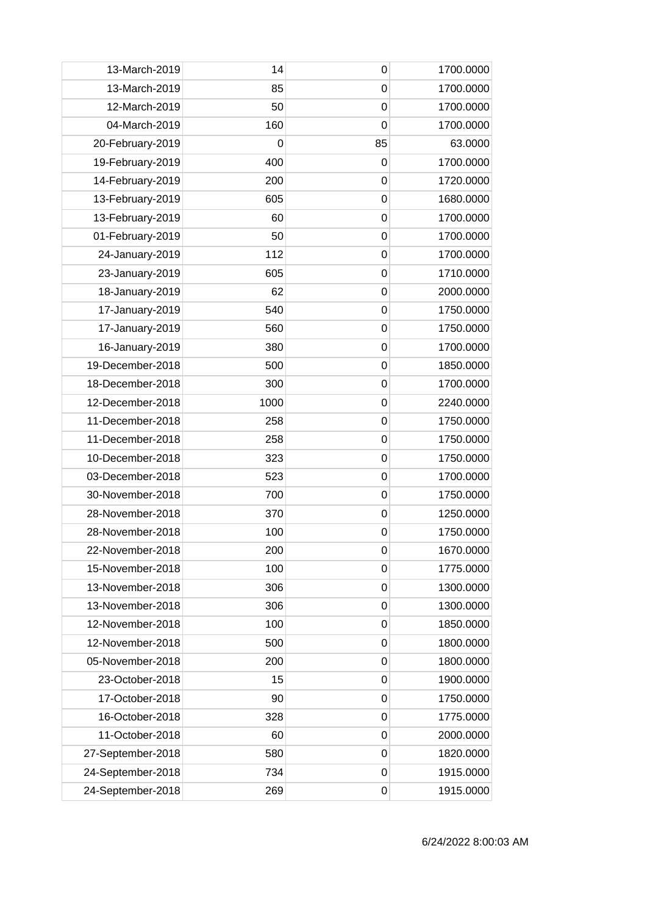| 13-March-2019     | 14   | 0              | 1700.0000 |
|-------------------|------|----------------|-----------|
| 13-March-2019     | 85   | 0              | 1700.0000 |
| 12-March-2019     | 50   | $\mathbf 0$    | 1700.0000 |
| 04-March-2019     | 160  | $\overline{0}$ | 1700.0000 |
| 20-February-2019  | 0    | 85             | 63.0000   |
| 19-February-2019  | 400  | 0              | 1700.0000 |
| 14-February-2019  | 200  | $\mathbf 0$    | 1720.0000 |
| 13-February-2019  | 605  | 0              | 1680.0000 |
| 13-February-2019  | 60   | $\mathbf 0$    | 1700.0000 |
| 01-February-2019  | 50   | $\mathbf 0$    | 1700.0000 |
| 24-January-2019   | 112  | $\overline{0}$ | 1700.0000 |
| 23-January-2019   | 605  | $\mathbf 0$    | 1710.0000 |
| 18-January-2019   | 62   | 0              | 2000.0000 |
| 17-January-2019   | 540  | $\mathbf 0$    | 1750.0000 |
| 17-January-2019   | 560  | $\mathbf 0$    | 1750.0000 |
| 16-January-2019   | 380  | $\mathbf 0$    | 1700.0000 |
| 19-December-2018  | 500  | $\overline{0}$ | 1850.0000 |
| 18-December-2018  | 300  | 0              | 1700.0000 |
| 12-December-2018  | 1000 | $\mathbf 0$    | 2240.0000 |
| 11-December-2018  | 258  | 0              | 1750.0000 |
| 11-December-2018  | 258  | $\mathbf 0$    | 1750.0000 |
| 10-December-2018  | 323  | $\mathbf 0$    | 1750.0000 |
| 03-December-2018  | 523  | $\overline{0}$ | 1700.0000 |
| 30-November-2018  | 700  | $\mathbf 0$    | 1750.0000 |
| 28-November-2018  | 370  | 0              | 1250.0000 |
| 28-November-2018  | 100  | 0              | 1750.0000 |
| 22-November-2018  | 200  | 0              | 1670.0000 |
| 15-November-2018  | 100  | 0              | 1775.0000 |
| 13-November-2018  | 306  | 0              | 1300.0000 |
| 13-November-2018  | 306  | 0              | 1300.0000 |
| 12-November-2018  | 100  | 0              | 1850.0000 |
| 12-November-2018  | 500  | 0              | 1800.0000 |
| 05-November-2018  | 200  | 0              | 1800.0000 |
| 23-October-2018   | 15   | $\mathbf 0$    | 1900.0000 |
| 17-October-2018   | 90   | 0              | 1750.0000 |
| 16-October-2018   | 328  | 0              | 1775.0000 |
| 11-October-2018   | 60   | 0              | 2000.0000 |
| 27-September-2018 | 580  | 0              | 1820.0000 |
| 24-September-2018 | 734  | 0              | 1915.0000 |
| 24-September-2018 | 269  | 0              | 1915.0000 |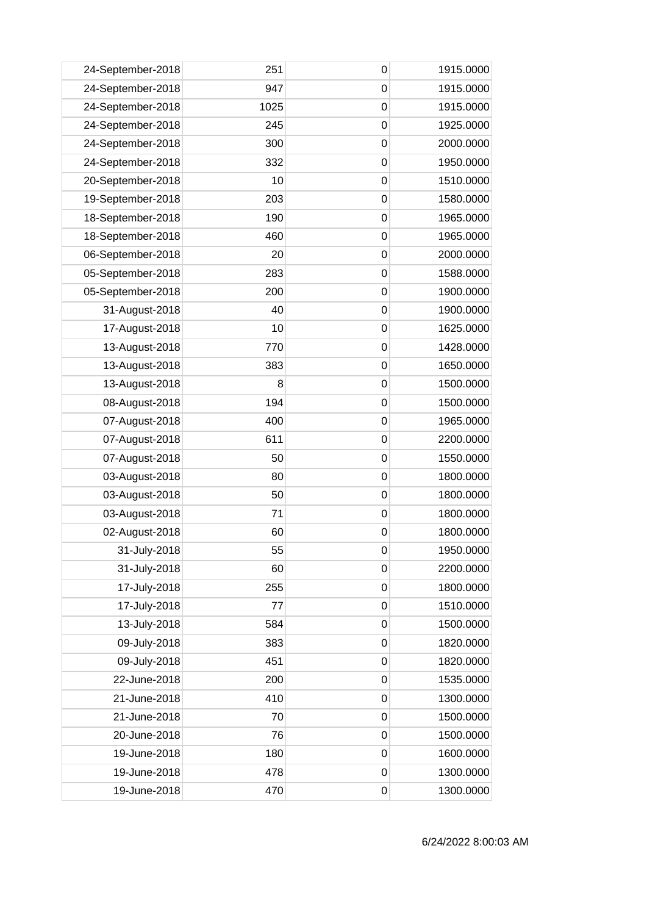| 24-September-2018 | 251  | 0           | 1915.0000 |
|-------------------|------|-------------|-----------|
| 24-September-2018 | 947  | 0           | 1915.0000 |
| 24-September-2018 | 1025 | 0           | 1915.0000 |
| 24-September-2018 | 245  | $\mathbf 0$ | 1925.0000 |
| 24-September-2018 | 300  | $\mathbf 0$ | 2000.0000 |
| 24-September-2018 | 332  | $\mathbf 0$ | 1950.0000 |
| 20-September-2018 | 10   | 0           | 1510.0000 |
| 19-September-2018 | 203  | 0           | 1580.0000 |
| 18-September-2018 | 190  | $\mathbf 0$ | 1965.0000 |
| 18-September-2018 | 460  | $\mathbf 0$ | 1965.0000 |
| 06-September-2018 | 20   | $\mathbf 0$ | 2000.0000 |
| 05-September-2018 | 283  | $\mathbf 0$ | 1588.0000 |
| 05-September-2018 | 200  | 0           | 1900.0000 |
| 31-August-2018    | 40   | $\mathbf 0$ | 1900.0000 |
| 17-August-2018    | 10   | 0           | 1625.0000 |
| 13-August-2018    | 770  | $\mathbf 0$ | 1428.0000 |
| 13-August-2018    | 383  | $\mathbf 0$ | 1650.0000 |
| 13-August-2018    | 8    | $\mathbf 0$ | 1500.0000 |
| 08-August-2018    | 194  | 0           | 1500.0000 |
| 07-August-2018    | 400  | 0           | 1965.0000 |
| 07-August-2018    | 611  | $\mathbf 0$ | 2200.0000 |
| 07-August-2018    | 50   | 0           | 1550.0000 |
| 03-August-2018    | 80   | $\mathbf 0$ | 1800.0000 |
| 03-August-2018    | 50   | $\mathbf 0$ | 1800.0000 |
| 03-August-2018    | 71   | $\mathbf 0$ | 1800.0000 |
| 02-August-2018    | 60   | $\mathbf 0$ | 1800.0000 |
| 31-July-2018      | 55   | $\pmb{0}$   | 1950.0000 |
| 31-July-2018      | 60   | $\mathbf 0$ | 2200.0000 |
| 17-July-2018      | 255  | $\mathbf 0$ | 1800.0000 |
| 17-July-2018      | 77   | $\mathbf 0$ | 1510.0000 |
| 13-July-2018      | 584  | $\mathbf 0$ | 1500.0000 |
| 09-July-2018      | 383  | $\mathbf 0$ | 1820.0000 |
| 09-July-2018      | 451  | $\mathbf 0$ | 1820.0000 |
| 22-June-2018      | 200  | $\mathbf 0$ | 1535.0000 |
| 21-June-2018      | 410  | $\mathbf 0$ | 1300.0000 |
| 21-June-2018      | 70   | $\mathbf 0$ | 1500.0000 |
| 20-June-2018      | 76   | $\mathbf 0$ | 1500.0000 |
| 19-June-2018      | 180  | 0           | 1600.0000 |
| 19-June-2018      | 478  | $\mathbf 0$ | 1300.0000 |
| 19-June-2018      | 470  | $\mathbf 0$ | 1300.0000 |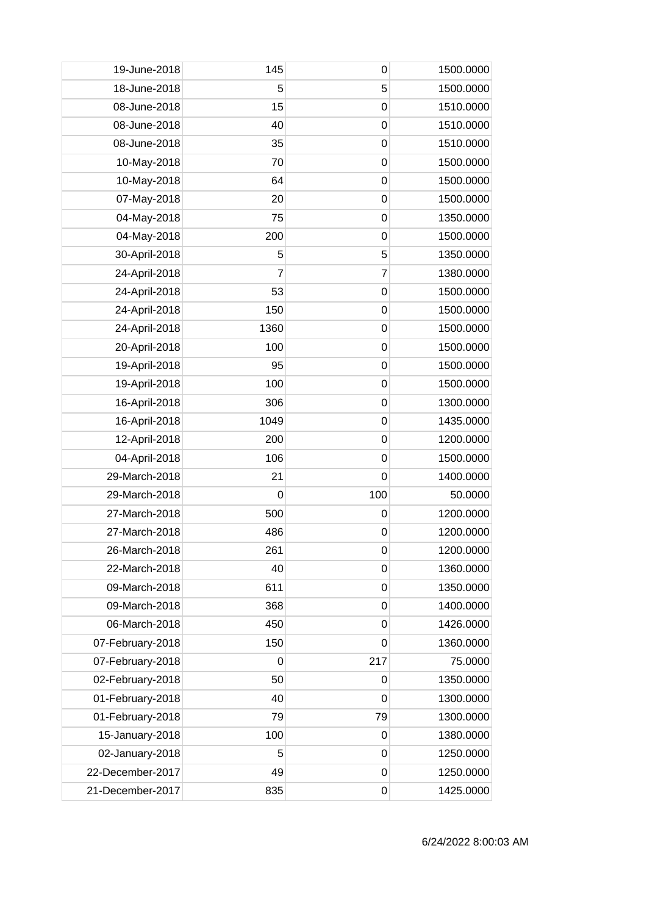| 19-June-2018     | 145  | 0           | 1500.0000 |
|------------------|------|-------------|-----------|
| 18-June-2018     | 5    | 5           | 1500.0000 |
| 08-June-2018     | 15   | $\mathbf 0$ | 1510.0000 |
| 08-June-2018     | 40   | $\mathbf 0$ | 1510.0000 |
| 08-June-2018     | 35   | $\mathbf 0$ | 1510.0000 |
| 10-May-2018      | 70   | 0           | 1500.0000 |
| 10-May-2018      | 64   | $\mathbf 0$ | 1500.0000 |
| 07-May-2018      | 20   | $\mathbf 0$ | 1500.0000 |
| 04-May-2018      | 75   | $\mathbf 0$ | 1350.0000 |
| 04-May-2018      | 200  | $\mathbf 0$ | 1500.0000 |
| 30-April-2018    | 5    | 5           | 1350.0000 |
| 24-April-2018    | 7    | 7           | 1380.0000 |
| 24-April-2018    | 53   | 0           | 1500.0000 |
| 24-April-2018    | 150  | $\mathbf 0$ | 1500.0000 |
| 24-April-2018    | 1360 | $\mathbf 0$ | 1500.0000 |
| 20-April-2018    | 100  | $\mathbf 0$ | 1500.0000 |
| 19-April-2018    | 95   | $\mathbf 0$ | 1500.0000 |
| 19-April-2018    | 100  | 0           | 1500.0000 |
| 16-April-2018    | 306  | $\mathbf 0$ | 1300.0000 |
| 16-April-2018    | 1049 | $\mathbf 0$ | 1435.0000 |
| 12-April-2018    | 200  | $\mathbf 0$ | 1200.0000 |
| 04-April-2018    | 106  | 0           | 1500.0000 |
| 29-March-2018    | 21   | $\mathbf 0$ | 1400.0000 |
| 29-March-2018    | 0    | 100         | 50.0000   |
| 27-March-2018    | 500  | 0           | 1200.0000 |
| 27-March-2018    | 486  | $\mathbf 0$ | 1200.0000 |
| 26-March-2018    | 261  | 0           | 1200.0000 |
| 22-March-2018    | 40   | 0           | 1360.0000 |
| 09-March-2018    | 611  | $\mathbf 0$ | 1350.0000 |
| 09-March-2018    | 368  | $\mathbf 0$ | 1400.0000 |
| 06-March-2018    | 450  | 0           | 1426.0000 |
| 07-February-2018 | 150  | $\mathbf 0$ | 1360.0000 |
| 07-February-2018 | 0    | 217         | 75.0000   |
| 02-February-2018 | 50   | 0           | 1350.0000 |
| 01-February-2018 | 40   | $\mathbf 0$ | 1300.0000 |
| 01-February-2018 | 79   | 79          | 1300.0000 |
| 15-January-2018  | 100  | 0           | 1380.0000 |
| 02-January-2018  | 5    | 0           | 1250.0000 |
| 22-December-2017 | 49   | $\mathbf 0$ | 1250.0000 |
| 21-December-2017 | 835  | 0           | 1425.0000 |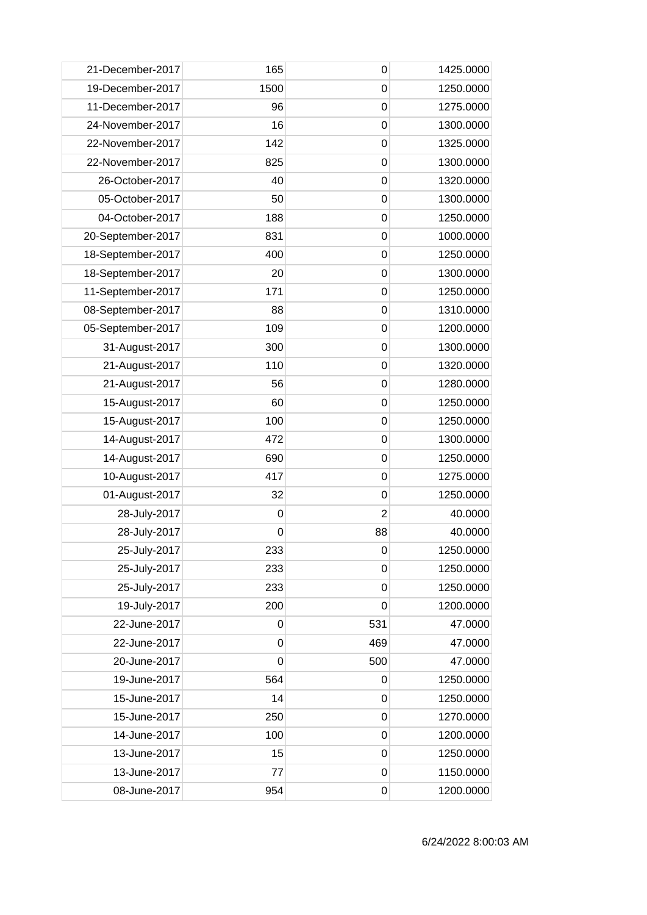| 21-December-2017  | 165         | 0              | 1425.0000 |
|-------------------|-------------|----------------|-----------|
| 19-December-2017  | 1500        | $\mathbf 0$    | 1250.0000 |
| 11-December-2017  | 96          | $\mathbf 0$    | 1275.0000 |
| 24-November-2017  | 16          | $\mathbf 0$    | 1300.0000 |
| 22-November-2017  | 142         | $\mathbf 0$    | 1325.0000 |
| 22-November-2017  | 825         | $\mathbf 0$    | 1300.0000 |
| 26-October-2017   | 40          | $\mathbf 0$    | 1320.0000 |
| 05-October-2017   | 50          | $\mathbf 0$    | 1300.0000 |
| 04-October-2017   | 188         | $\mathbf 0$    | 1250.0000 |
| 20-September-2017 | 831         | $\mathbf 0$    | 1000.0000 |
| 18-September-2017 | 400         | $\mathbf 0$    | 1250.0000 |
| 18-September-2017 | 20          | $\mathbf 0$    | 1300.0000 |
| 11-September-2017 | 171         | 0              | 1250.0000 |
| 08-September-2017 | 88          | $\mathbf 0$    | 1310.0000 |
| 05-September-2017 | 109         | $\mathbf 0$    | 1200.0000 |
| 31-August-2017    | 300         | $\mathbf 0$    | 1300.0000 |
| 21-August-2017    | 110         | $\mathbf 0$    | 1320.0000 |
| 21-August-2017    | 56          | $\mathbf 0$    | 1280.0000 |
| 15-August-2017    | 60          | 0              | 1250.0000 |
| 15-August-2017    | 100         | $\mathbf 0$    | 1250.0000 |
| 14-August-2017    | 472         | $\mathbf 0$    | 1300.0000 |
| 14-August-2017    | 690         | 0              | 1250.0000 |
| 10-August-2017    | 417         | $\mathbf 0$    | 1275.0000 |
| 01-August-2017    | 32          | $\mathbf 0$    | 1250.0000 |
| 28-July-2017      | 0           | $\overline{2}$ | 40.0000   |
| 28-July-2017      | 0           | 88             | 40.0000   |
| 25-July-2017      | 233         | $\pmb{0}$      | 1250.0000 |
| 25-July-2017      | 233         | 0              | 1250.0000 |
| 25-July-2017      | 233         | $\mathbf 0$    | 1250.0000 |
| 19-July-2017      | 200         | $\mathbf 0$    | 1200.0000 |
| 22-June-2017      | 0           | 531            | 47.0000   |
| 22-June-2017      | $\mathbf 0$ | 469            | 47.0000   |
| 20-June-2017      | $\mathbf 0$ | 500            | 47.0000   |
| 19-June-2017      | 564         | $\mathbf 0$    | 1250.0000 |
| 15-June-2017      | 14          | $\mathbf 0$    | 1250.0000 |
| 15-June-2017      | 250         | $\mathbf 0$    | 1270.0000 |
| 14-June-2017      | 100         | $\mathbf 0$    | 1200.0000 |
| 13-June-2017      | 15          | 0              | 1250.0000 |
| 13-June-2017      | 77          | $\mathbf 0$    | 1150.0000 |
| 08-June-2017      | 954         | 0              | 1200.0000 |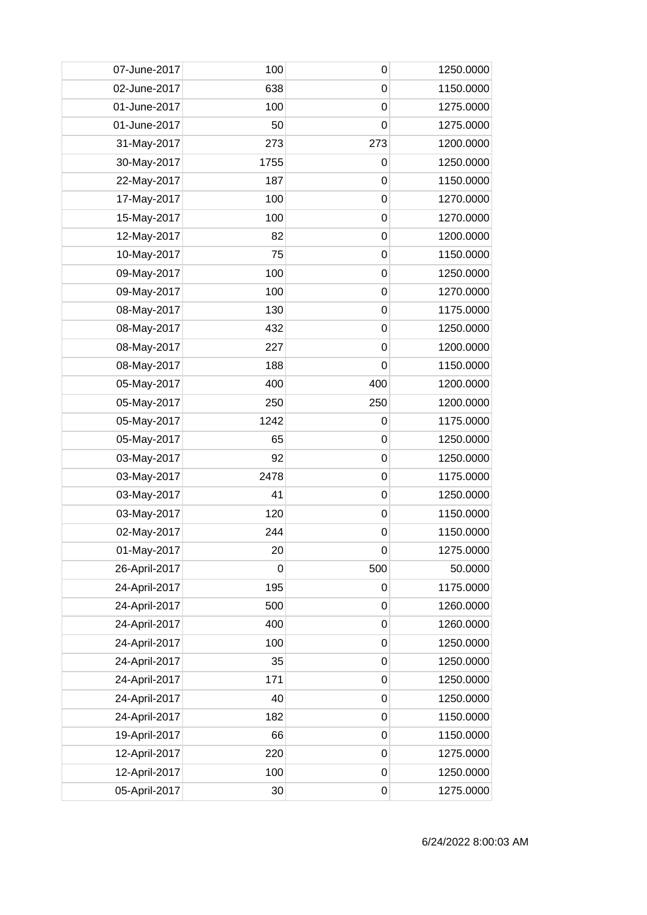| 07-June-2017  | 100         | 0           | 1250.0000 |
|---------------|-------------|-------------|-----------|
| 02-June-2017  | 638         | 0           | 1150.0000 |
| 01-June-2017  | 100         | 0           | 1275.0000 |
| 01-June-2017  | 50          | $\mathbf 0$ | 1275.0000 |
| 31-May-2017   | 273         | 273         | 1200.0000 |
| 30-May-2017   | 1755        | $\mathbf 0$ | 1250.0000 |
| 22-May-2017   | 187         | 0           | 1150.0000 |
| 17-May-2017   | 100         | 0           | 1270.0000 |
| 15-May-2017   | 100         | $\mathbf 0$ | 1270.0000 |
| 12-May-2017   | 82          | $\mathbf 0$ | 1200.0000 |
| 10-May-2017   | 75          | $\mathbf 0$ | 1150.0000 |
| 09-May-2017   | 100         | $\mathbf 0$ | 1250.0000 |
| 09-May-2017   | 100         | 0           | 1270.0000 |
| 08-May-2017   | 130         | $\mathbf 0$ | 1175.0000 |
| 08-May-2017   | 432         | 0           | 1250.0000 |
| 08-May-2017   | 227         | $\mathbf 0$ | 1200.0000 |
| 08-May-2017   | 188         | 0           | 1150.0000 |
| 05-May-2017   | 400         | 400         | 1200.0000 |
| 05-May-2017   | 250         | 250         | 1200.0000 |
| 05-May-2017   | 1242        | 0           | 1175.0000 |
| 05-May-2017   | 65          | $\mathbf 0$ | 1250.0000 |
| 03-May-2017   | 92          | 0           | 1250.0000 |
| 03-May-2017   | 2478        | $\mathbf 0$ | 1175.0000 |
| 03-May-2017   | 41          | $\mathbf 0$ | 1250.0000 |
| 03-May-2017   | 120         | 0           | 1150.0000 |
| 02-May-2017   | 244         | 0           | 1150.0000 |
| 01-May-2017   | 20          | $\pmb{0}$   | 1275.0000 |
| 26-April-2017 | $\mathbf 0$ | 500         | 50.0000   |
| 24-April-2017 | 195         | $\mathbf 0$ | 1175.0000 |
| 24-April-2017 | 500         | $\mathbf 0$ | 1260.0000 |
| 24-April-2017 | 400         | $\mathbf 0$ | 1260.0000 |
| 24-April-2017 | 100         | $\mathbf 0$ | 1250.0000 |
| 24-April-2017 | 35          | $\mathbf 0$ | 1250.0000 |
| 24-April-2017 | 171         | $\mathbf 0$ | 1250.0000 |
| 24-April-2017 | 40          | $\mathbf 0$ | 1250.0000 |
| 24-April-2017 | 182         | $\mathbf 0$ | 1150.0000 |
| 19-April-2017 | 66          | $\mathbf 0$ | 1150.0000 |
| 12-April-2017 | 220         | 0           | 1275.0000 |
| 12-April-2017 | 100         | $\mathbf 0$ | 1250.0000 |
| 05-April-2017 | 30          | $\mathbf 0$ | 1275.0000 |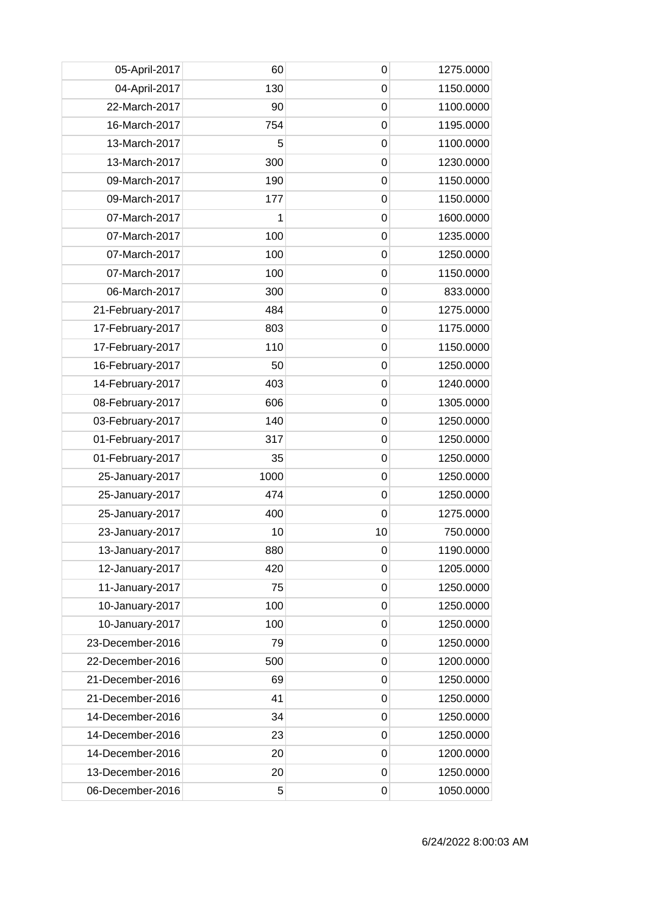| 05-April-2017    | 60   | $\mathbf 0$      | 1275.0000 |
|------------------|------|------------------|-----------|
| 04-April-2017    | 130  | $\boldsymbol{0}$ | 1150.0000 |
| 22-March-2017    | 90   | $\mathbf 0$      | 1100.0000 |
| 16-March-2017    | 754  | $\mathbf 0$      | 1195.0000 |
| 13-March-2017    | 5    | $\mathbf 0$      | 1100.0000 |
| 13-March-2017    | 300  | $\mathbf 0$      | 1230.0000 |
| 09-March-2017    | 190  | $\mathbf 0$      | 1150.0000 |
| 09-March-2017    | 177  | $\boldsymbol{0}$ | 1150.0000 |
| 07-March-2017    | 1    | $\mathbf 0$      | 1600.0000 |
| 07-March-2017    | 100  | $\mathbf 0$      | 1235.0000 |
| 07-March-2017    | 100  | $\mathbf 0$      | 1250.0000 |
| 07-March-2017    | 100  | $\mathbf 0$      | 1150.0000 |
| 06-March-2017    | 300  | $\mathbf 0$      | 833.0000  |
| 21-February-2017 | 484  | $\mathbf 0$      | 1275.0000 |
| 17-February-2017 | 803  | $\mathbf 0$      | 1175.0000 |
| 17-February-2017 | 110  | $\mathbf 0$      | 1150.0000 |
| 16-February-2017 | 50   | $\mathbf 0$      | 1250.0000 |
| 14-February-2017 | 403  | $\mathbf 0$      | 1240.0000 |
| 08-February-2017 | 606  | $\mathbf 0$      | 1305.0000 |
| 03-February-2017 | 140  | $\mathbf 0$      | 1250.0000 |
| 01-February-2017 | 317  | $\mathbf 0$      | 1250.0000 |
| 01-February-2017 | 35   | $\mathbf 0$      | 1250.0000 |
| 25-January-2017  | 1000 | $\mathbf 0$      | 1250.0000 |
| 25-January-2017  | 474  | $\mathbf 0$      | 1250.0000 |
| 25-January-2017  | 400  | 0                | 1275.0000 |
| 23-January-2017  | 10   | 10               | 750.0000  |
| 13-January-2017  | 880  | 0                | 1190.0000 |
| 12-January-2017  | 420  | 0                | 1205.0000 |
| 11-January-2017  | 75   | $\mathbf 0$      | 1250.0000 |
| 10-January-2017  | 100  | $\boldsymbol{0}$ | 1250.0000 |
| 10-January-2017  | 100  | 0                | 1250.0000 |
| 23-December-2016 | 79   | $\boldsymbol{0}$ | 1250.0000 |
| 22-December-2016 | 500  | 0                | 1200.0000 |
| 21-December-2016 | 69   | $\mathbf 0$      | 1250.0000 |
| 21-December-2016 | 41   | $\boldsymbol{0}$ | 1250.0000 |
| 14-December-2016 | 34   | $\mathbf 0$      | 1250.0000 |
| 14-December-2016 | 23   | $\mathbf 0$      | 1250.0000 |
| 14-December-2016 | 20   | $\mathbf 0$      | 1200.0000 |
| 13-December-2016 | 20   | $\boldsymbol{0}$ | 1250.0000 |
| 06-December-2016 | 5    | 0                | 1050.0000 |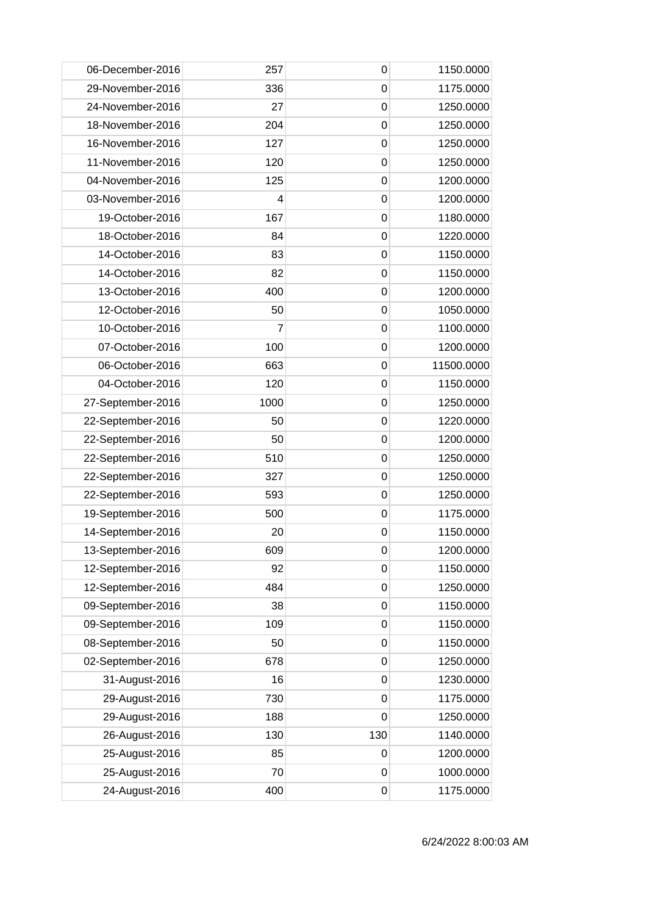| 06-December-2016  | 257  | $\mathbf 0$ | 1150.0000  |
|-------------------|------|-------------|------------|
| 29-November-2016  | 336  | 0           | 1175.0000  |
| 24-November-2016  | 27   | $\mathbf 0$ | 1250.0000  |
| 18-November-2016  | 204  | $\mathbf 0$ | 1250.0000  |
| 16-November-2016  | 127  | $\mathbf 0$ | 1250.0000  |
| 11-November-2016  | 120  | $\mathbf 0$ | 1250.0000  |
| 04-November-2016  | 125  | 0           | 1200.0000  |
| 03-November-2016  | 4    | 0           | 1200.0000  |
| 19-October-2016   | 167  | $\mathbf 0$ | 1180.0000  |
| 18-October-2016   | 84   | $\mathbf 0$ | 1220.0000  |
| 14-October-2016   | 83   | $\mathbf 0$ | 1150.0000  |
| 14-October-2016   | 82   | $\mathbf 0$ | 1150.0000  |
| 13-October-2016   | 400  | 0           | 1200.0000  |
| 12-October-2016   | 50   | $\mathbf 0$ | 1050.0000  |
| 10-October-2016   | 7    | $\mathbf 0$ | 1100.0000  |
| 07-October-2016   | 100  | $\mathbf 0$ | 1200.0000  |
| 06-October-2016   | 663  | $\mathbf 0$ | 11500.0000 |
| 04-October-2016   | 120  | $\mathbf 0$ | 1150.0000  |
| 27-September-2016 | 1000 | $\mathbf 0$ | 1250.0000  |
| 22-September-2016 | 50   | 0           | 1220.0000  |
| 22-September-2016 | 50   | $\mathbf 0$ | 1200.0000  |
| 22-September-2016 | 510  | $\mathbf 0$ | 1250.0000  |
| 22-September-2016 | 327  | $\mathbf 0$ | 1250.0000  |
| 22-September-2016 | 593  | $\mathbf 0$ | 1250.0000  |
| 19-September-2016 | 500  | 0           | 1175.0000  |
| 14-September-2016 | 20   | 0           | 1150.0000  |
| 13-September-2016 | 609  | 0           | 1200.0000  |
| 12-September-2016 | 92   | 0           | 1150.0000  |
| 12-September-2016 | 484  | $\mathbf 0$ | 1250.0000  |
| 09-September-2016 | 38   | $\mathbf 0$ | 1150.0000  |
| 09-September-2016 | 109  | 0           | 1150.0000  |
| 08-September-2016 | 50   | 0           | 1150.0000  |
| 02-September-2016 | 678  | $\mathbf 0$ | 1250.0000  |
| 31-August-2016    | 16   | $\mathbf 0$ | 1230.0000  |
| 29-August-2016    | 730  | $\mathbf 0$ | 1175.0000  |
| 29-August-2016    | 188  | $\mathbf 0$ | 1250.0000  |
| 26-August-2016    | 130  | 130         | 1140.0000  |
| 25-August-2016    | 85   | 0           | 1200.0000  |
| 25-August-2016    | 70   | $\mathbf 0$ | 1000.0000  |
| 24-August-2016    | 400  | $\mathbf 0$ | 1175.0000  |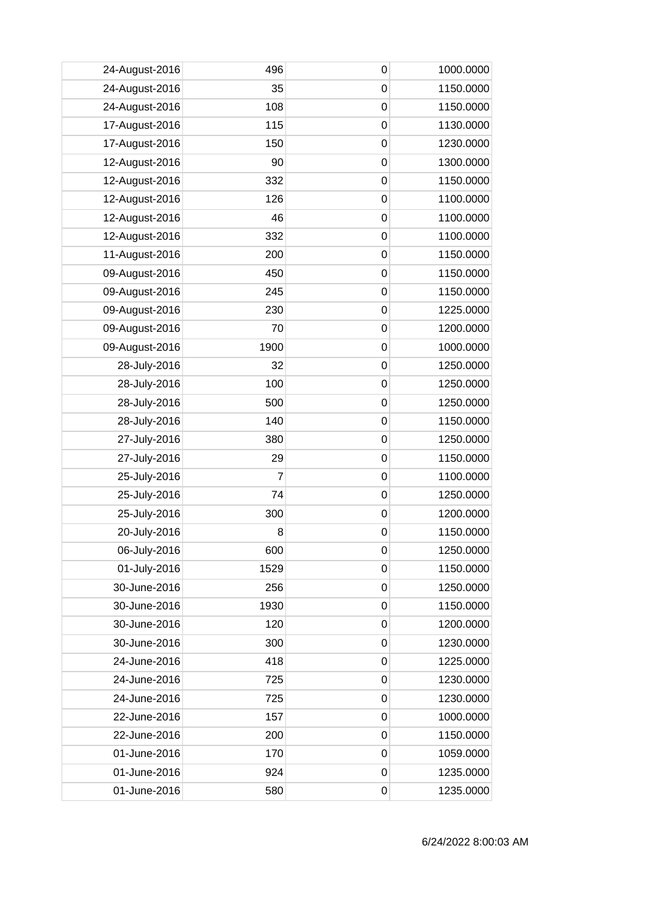| 24-August-2016 | 496            | 0                | 1000.0000 |
|----------------|----------------|------------------|-----------|
| 24-August-2016 | 35             | $\mathbf 0$      | 1150.0000 |
| 24-August-2016 | 108            | $\mathbf 0$      | 1150.0000 |
| 17-August-2016 | 115            | $\mathbf 0$      | 1130.0000 |
| 17-August-2016 | 150            | $\mathbf 0$      | 1230.0000 |
| 12-August-2016 | 90             | $\mathbf 0$      | 1300.0000 |
| 12-August-2016 | 332            | 0                | 1150.0000 |
| 12-August-2016 | 126            | $\mathbf 0$      | 1100.0000 |
| 12-August-2016 | 46             | $\mathbf 0$      | 1100.0000 |
| 12-August-2016 | 332            | $\mathbf 0$      | 1100.0000 |
| 11-August-2016 | 200            | $\mathbf 0$      | 1150.0000 |
| 09-August-2016 | 450            | $\mathbf 0$      | 1150.0000 |
| 09-August-2016 | 245            | 0                | 1150.0000 |
| 09-August-2016 | 230            | $\mathbf 0$      | 1225.0000 |
| 09-August-2016 | 70             | 0                | 1200.0000 |
| 09-August-2016 | 1900           | $\mathbf 0$      | 1000.0000 |
| 28-July-2016   | 32             | $\mathbf 0$      | 1250.0000 |
| 28-July-2016   | 100            | $\mathbf 0$      | 1250.0000 |
| 28-July-2016   | 500            | 0                | 1250.0000 |
| 28-July-2016   | 140            | 0                | 1150.0000 |
| 27-July-2016   | 380            | $\mathbf 0$      | 1250.0000 |
| 27-July-2016   | 29             | 0                | 1150.0000 |
| 25-July-2016   | $\overline{7}$ | $\mathbf 0$      | 1100.0000 |
| 25-July-2016   | 74             | $\mathbf 0$      | 1250.0000 |
| 25-July-2016   | 300            | 0                | 1200.0000 |
| 20-July-2016   | 8              | $\mathbf 0$      | 1150.0000 |
| 06-July-2016   | 600            | $\pmb{0}$        | 1250.0000 |
| 01-July-2016   | 1529           | 0                | 1150.0000 |
| 30-June-2016   | 256            | $\mathbf 0$      | 1250.0000 |
| 30-June-2016   | 1930           | $\mathbf 0$      | 1150.0000 |
| 30-June-2016   | 120            | 0                | 1200.0000 |
| 30-June-2016   | 300            | $\mathbf 0$      | 1230.0000 |
| 24-June-2016   | 418            | 0                | 1225.0000 |
| 24-June-2016   | 725            | $\mathbf 0$      | 1230.0000 |
| 24-June-2016   | 725            | $\mathbf 0$      | 1230.0000 |
| 22-June-2016   | 157            | $\mathbf 0$      | 1000.0000 |
| 22-June-2016   | 200            | $\mathbf 0$      | 1150.0000 |
| 01-June-2016   | 170            | 0                | 1059.0000 |
| 01-June-2016   | 924            | $\boldsymbol{0}$ | 1235.0000 |
| 01-June-2016   | 580            | 0                | 1235.0000 |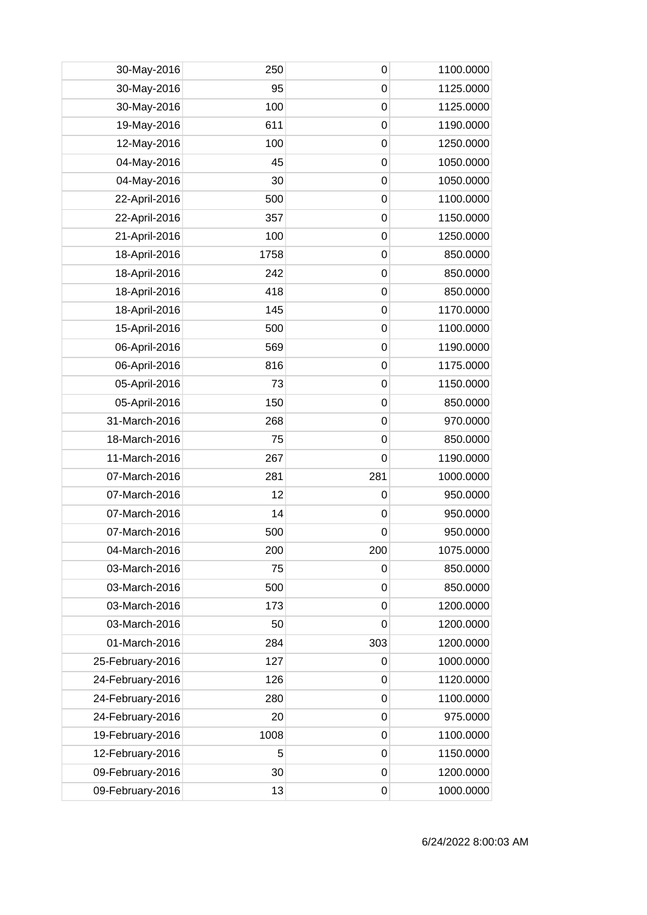| 30-May-2016<br>95<br>$\mathbf 0$<br>1125.0000<br>30-May-2016<br>100<br>$\mathbf 0$<br>1125.0000<br>611<br>19-May-2016<br>$\mathbf 0$<br>1190.0000<br>12-May-2016<br>100<br>$\mathbf 0$<br>1250.0000<br>04-May-2016<br>45<br>1050.0000<br>0<br>04-May-2016<br>30<br>1050.0000<br>0<br>1100.0000<br>22-April-2016<br>500<br>$\mathbf 0$<br>$\mathbf 0$<br>1150.0000<br>22-April-2016<br>357<br>21-April-2016<br>100<br>$\mathbf 0$<br>1250.0000<br>18-April-2016<br>1758<br>$\mathbf 0$<br>850.0000<br>18-April-2016<br>242<br>$\mathbf 0$<br>850.0000<br>18-April-2016<br>418<br>0<br>850.0000<br>18-April-2016<br>1170.0000<br>145<br>$\mathbf 0$<br>15-April-2016<br>500<br>$\mathbf 0$<br>1100.0000<br>569<br>06-April-2016<br>$\mathbf 0$<br>1190.0000 |
|-----------------------------------------------------------------------------------------------------------------------------------------------------------------------------------------------------------------------------------------------------------------------------------------------------------------------------------------------------------------------------------------------------------------------------------------------------------------------------------------------------------------------------------------------------------------------------------------------------------------------------------------------------------------------------------------------------------------------------------------------------------|
|                                                                                                                                                                                                                                                                                                                                                                                                                                                                                                                                                                                                                                                                                                                                                           |
|                                                                                                                                                                                                                                                                                                                                                                                                                                                                                                                                                                                                                                                                                                                                                           |
|                                                                                                                                                                                                                                                                                                                                                                                                                                                                                                                                                                                                                                                                                                                                                           |
|                                                                                                                                                                                                                                                                                                                                                                                                                                                                                                                                                                                                                                                                                                                                                           |
|                                                                                                                                                                                                                                                                                                                                                                                                                                                                                                                                                                                                                                                                                                                                                           |
|                                                                                                                                                                                                                                                                                                                                                                                                                                                                                                                                                                                                                                                                                                                                                           |
|                                                                                                                                                                                                                                                                                                                                                                                                                                                                                                                                                                                                                                                                                                                                                           |
|                                                                                                                                                                                                                                                                                                                                                                                                                                                                                                                                                                                                                                                                                                                                                           |
|                                                                                                                                                                                                                                                                                                                                                                                                                                                                                                                                                                                                                                                                                                                                                           |
|                                                                                                                                                                                                                                                                                                                                                                                                                                                                                                                                                                                                                                                                                                                                                           |
|                                                                                                                                                                                                                                                                                                                                                                                                                                                                                                                                                                                                                                                                                                                                                           |
|                                                                                                                                                                                                                                                                                                                                                                                                                                                                                                                                                                                                                                                                                                                                                           |
|                                                                                                                                                                                                                                                                                                                                                                                                                                                                                                                                                                                                                                                                                                                                                           |
|                                                                                                                                                                                                                                                                                                                                                                                                                                                                                                                                                                                                                                                                                                                                                           |
|                                                                                                                                                                                                                                                                                                                                                                                                                                                                                                                                                                                                                                                                                                                                                           |
| 06-April-2016<br>816<br>$\mathbf 0$<br>1175.0000                                                                                                                                                                                                                                                                                                                                                                                                                                                                                                                                                                                                                                                                                                          |
| 05-April-2016<br>$\mathbf 0$<br>1150.0000<br>73                                                                                                                                                                                                                                                                                                                                                                                                                                                                                                                                                                                                                                                                                                           |
| 05-April-2016<br>150<br>850.0000<br>0                                                                                                                                                                                                                                                                                                                                                                                                                                                                                                                                                                                                                                                                                                                     |
| 31-March-2016<br>970.0000<br>268<br>0                                                                                                                                                                                                                                                                                                                                                                                                                                                                                                                                                                                                                                                                                                                     |
| 18-March-2016<br>75<br>$\mathbf 0$<br>850.0000                                                                                                                                                                                                                                                                                                                                                                                                                                                                                                                                                                                                                                                                                                            |
| 11-March-2016<br>267<br>$\mathbf 0$<br>1190.0000                                                                                                                                                                                                                                                                                                                                                                                                                                                                                                                                                                                                                                                                                                          |
| 07-March-2016<br>281<br>281<br>1000.0000                                                                                                                                                                                                                                                                                                                                                                                                                                                                                                                                                                                                                                                                                                                  |
| 07-March-2016<br>12<br>950.0000<br>$\mathbf 0$                                                                                                                                                                                                                                                                                                                                                                                                                                                                                                                                                                                                                                                                                                            |
| 07-March-2016<br>14<br>950.0000<br>0                                                                                                                                                                                                                                                                                                                                                                                                                                                                                                                                                                                                                                                                                                                      |
| 07-March-2016<br>500<br>950.0000<br>0                                                                                                                                                                                                                                                                                                                                                                                                                                                                                                                                                                                                                                                                                                                     |
| 200<br>200<br>04-March-2016<br>1075.0000                                                                                                                                                                                                                                                                                                                                                                                                                                                                                                                                                                                                                                                                                                                  |
| 03-March-2016<br>75<br>850.0000<br>0                                                                                                                                                                                                                                                                                                                                                                                                                                                                                                                                                                                                                                                                                                                      |
| 03-March-2016<br>500<br>$\mathbf 0$<br>850.0000                                                                                                                                                                                                                                                                                                                                                                                                                                                                                                                                                                                                                                                                                                           |
| 03-March-2016<br>173<br>$\mathbf 0$<br>1200.0000                                                                                                                                                                                                                                                                                                                                                                                                                                                                                                                                                                                                                                                                                                          |
| 03-March-2016<br>1200.0000<br>50<br>0                                                                                                                                                                                                                                                                                                                                                                                                                                                                                                                                                                                                                                                                                                                     |
| 01-March-2016<br>303<br>284<br>1200.0000                                                                                                                                                                                                                                                                                                                                                                                                                                                                                                                                                                                                                                                                                                                  |
| 1000.0000<br>25-February-2016<br>127<br>0                                                                                                                                                                                                                                                                                                                                                                                                                                                                                                                                                                                                                                                                                                                 |
| 1120.0000<br>24-February-2016<br>126<br>$\mathbf 0$                                                                                                                                                                                                                                                                                                                                                                                                                                                                                                                                                                                                                                                                                                       |
| 24-February-2016<br>280<br>$\mathbf 0$<br>1100.0000                                                                                                                                                                                                                                                                                                                                                                                                                                                                                                                                                                                                                                                                                                       |
| 24-February-2016<br>20<br>$\mathbf 0$<br>975.0000                                                                                                                                                                                                                                                                                                                                                                                                                                                                                                                                                                                                                                                                                                         |
| 19-February-2016<br>1008<br>1100.0000<br>0                                                                                                                                                                                                                                                                                                                                                                                                                                                                                                                                                                                                                                                                                                                |
| 12-February-2016<br>1150.0000<br>5<br>0                                                                                                                                                                                                                                                                                                                                                                                                                                                                                                                                                                                                                                                                                                                   |
| 09-February-2016<br>30<br>1200.0000<br>$\mathbf 0$                                                                                                                                                                                                                                                                                                                                                                                                                                                                                                                                                                                                                                                                                                        |
| 13<br>09-February-2016<br>$\mathbf 0$<br>1000.0000                                                                                                                                                                                                                                                                                                                                                                                                                                                                                                                                                                                                                                                                                                        |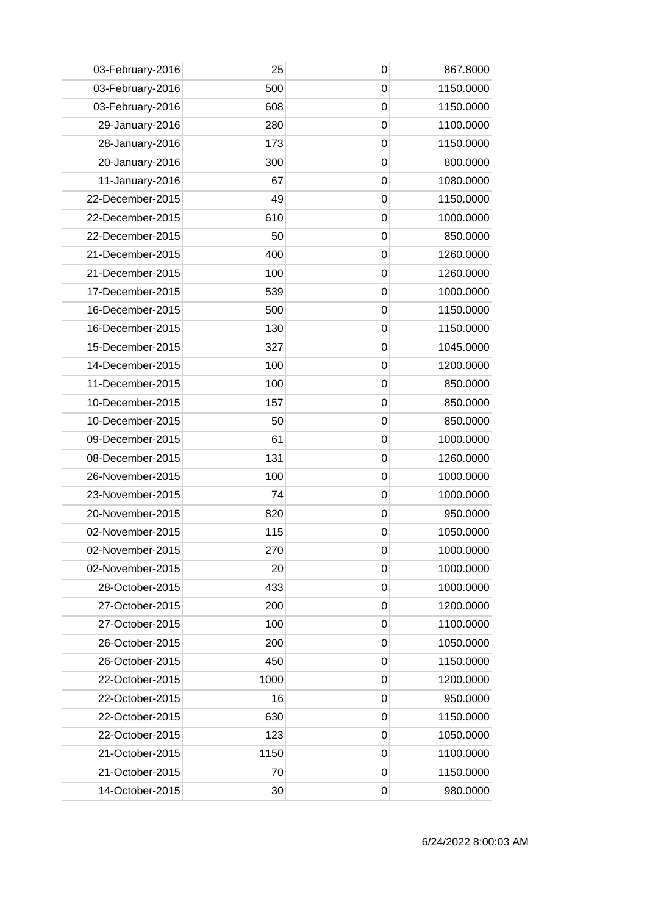| 03-February-2016 | 25   | 0              | 867.8000  |
|------------------|------|----------------|-----------|
| 03-February-2016 | 500  | $\mathbf 0$    | 1150.0000 |
| 03-February-2016 | 608  | 0              | 1150.0000 |
| 29-January-2016  | 280  | 0              | 1100.0000 |
| 28-January-2016  | 173  | $\mathbf 0$    | 1150.0000 |
| 20-January-2016  | 300  | $\mathbf 0$    | 800.0000  |
| 11-January-2016  | 67   | 0              | 1080.0000 |
| 22-December-2015 | 49   | $\mathbf 0$    | 1150.0000 |
| 22-December-2015 | 610  | $\overline{0}$ | 1000.0000 |
| 22-December-2015 | 50   | 0              | 850.0000  |
| 21-December-2015 | 400  | $\overline{0}$ | 1260.0000 |
| 21-December-2015 | 100  | $\mathbf 0$    | 1260.0000 |
| 17-December-2015 | 539  | 0              | 1000.0000 |
| 16-December-2015 | 500  | $\overline{0}$ | 1150.0000 |
| 16-December-2015 | 130  | $\mathbf 0$    | 1150.0000 |
| 15-December-2015 | 327  | 0              | 1045.0000 |
| 14-December-2015 | 100  | $\mathbf 0$    | 1200.0000 |
| 11-December-2015 | 100  | $\mathbf 0$    | 850.0000  |
| 10-December-2015 | 157  | 0              | 850.0000  |
| 10-December-2015 | 50   | 0              | 850.0000  |
| 09-December-2015 | 61   | $\overline{0}$ | 1000.0000 |
| 08-December-2015 | 131  | 0              | 1260.0000 |
| 26-November-2015 | 100  | $\overline{0}$ | 1000.0000 |
| 23-November-2015 | 74   | $\mathbf 0$    | 1000.0000 |
| 20-November-2015 | 820  | 0              | 950.0000  |
| 02-November-2015 | 115  | 0              | 1050.0000 |
| 02-November-2015 | 270  | 0              | 1000.0000 |
| 02-November-2015 | 20   | 0              | 1000.0000 |
| 28-October-2015  | 433  | $\mathbf 0$    | 1000.0000 |
| 27-October-2015  | 200  | $\mathbf 0$    | 1200.0000 |
| 27-October-2015  | 100  | 0              | 1100.0000 |
| 26-October-2015  | 200  | 0              | 1050.0000 |
| 26-October-2015  | 450  | 0              | 1150.0000 |
| 22-October-2015  | 1000 | 0              | 1200.0000 |
| 22-October-2015  | 16   | 0              | 950.0000  |
| 22-October-2015  | 630  | $\mathbf 0$    | 1150.0000 |
| 22-October-2015  | 123  | 0              | 1050.0000 |
| 21-October-2015  | 1150 | 0              | 1100.0000 |
| 21-October-2015  | 70   | $\mathbf 0$    | 1150.0000 |
| 14-October-2015  | 30   | 0              | 980.0000  |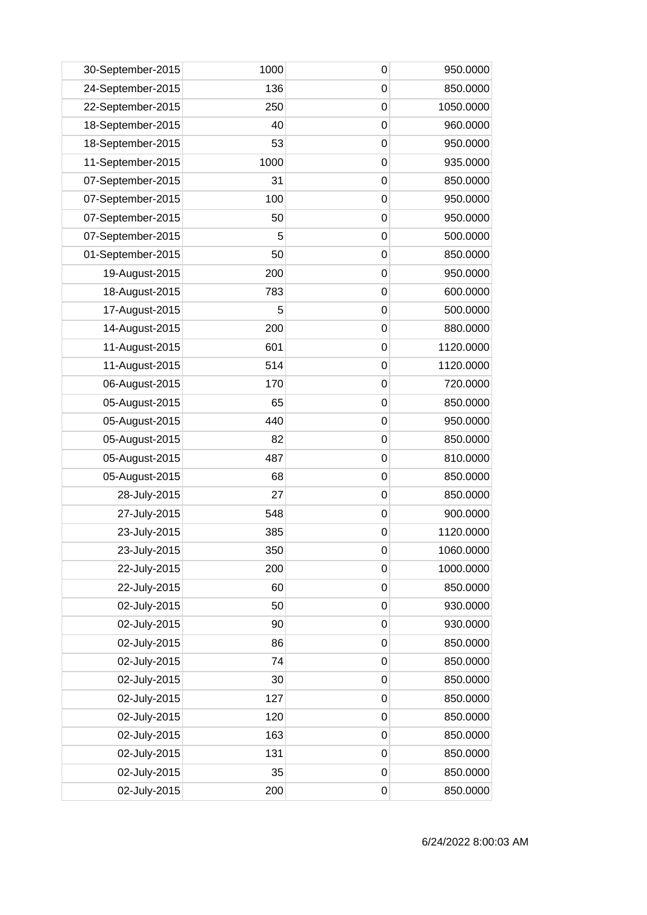| 30-September-2015 | 1000 | 0           | 950.0000  |
|-------------------|------|-------------|-----------|
| 24-September-2015 | 136  | $\mathbf 0$ | 850.0000  |
| 22-September-2015 | 250  | 0           | 1050.0000 |
| 18-September-2015 | 40   | $\mathbf 0$ | 960.0000  |
| 18-September-2015 | 53   | $\mathbf 0$ | 950.0000  |
| 11-September-2015 | 1000 | $\mathbf 0$ | 935.0000  |
| 07-September-2015 | 31   | 0           | 850.0000  |
| 07-September-2015 | 100  | 0           | 950.0000  |
| 07-September-2015 | 50   | $\mathbf 0$ | 950.0000  |
| 07-September-2015 | 5    | 0           | 500.0000  |
| 01-September-2015 | 50   | $\mathbf 0$ | 850.0000  |
| 19-August-2015    | 200  | $\mathbf 0$ | 950.0000  |
| 18-August-2015    | 783  | 0           | 600.0000  |
| 17-August-2015    | 5    | $\mathbf 0$ | 500.0000  |
| 14-August-2015    | 200  | 0           | 880.0000  |
| 11-August-2015    | 601  | $\mathbf 0$ | 1120.0000 |
| 11-August-2015    | 514  | $\mathbf 0$ | 1120.0000 |
| 06-August-2015    | 170  | $\mathbf 0$ | 720.0000  |
| 05-August-2015    | 65   | 0           | 850.0000  |
| 05-August-2015    | 440  | 0           | 950.0000  |
| 05-August-2015    | 82   | $\mathbf 0$ | 850.0000  |
| 05-August-2015    | 487  | 0           | 810.0000  |
| 05-August-2015    | 68   | $\mathbf 0$ | 850.0000  |
| 28-July-2015      | 27   | $\mathbf 0$ | 850.0000  |
| 27-July-2015      | 548  | 0           | 900.0000  |
| 23-July-2015      | 385  | $\mathbf 0$ | 1120.0000 |
| 23-July-2015      | 350  | 0           | 1060.0000 |
| 22-July-2015      | 200  | $\mathbf 0$ | 1000.0000 |
| 22-July-2015      | 60   | $\mathbf 0$ | 850.0000  |
| 02-July-2015      | 50   | $\mathbf 0$ | 930.0000  |
| 02-July-2015      | 90   | 0           | 930.0000  |
| 02-July-2015      | 86   | $\mathbf 0$ | 850.0000  |
| 02-July-2015      | 74   | $\mathbf 0$ | 850.0000  |
| 02-July-2015      | 30   | $\mathbf 0$ | 850.0000  |
| 02-July-2015      | 127  | $\mathbf 0$ | 850.0000  |
| 02-July-2015      | 120  | $\mathbf 0$ | 850.0000  |
| 02-July-2015      | 163  | $\mathbf 0$ | 850.0000  |
| 02-July-2015      | 131  | $\mathbf 0$ | 850.0000  |
| 02-July-2015      | 35   | $\mathbf 0$ | 850.0000  |
| 02-July-2015      | 200  | $\mathbf 0$ | 850.0000  |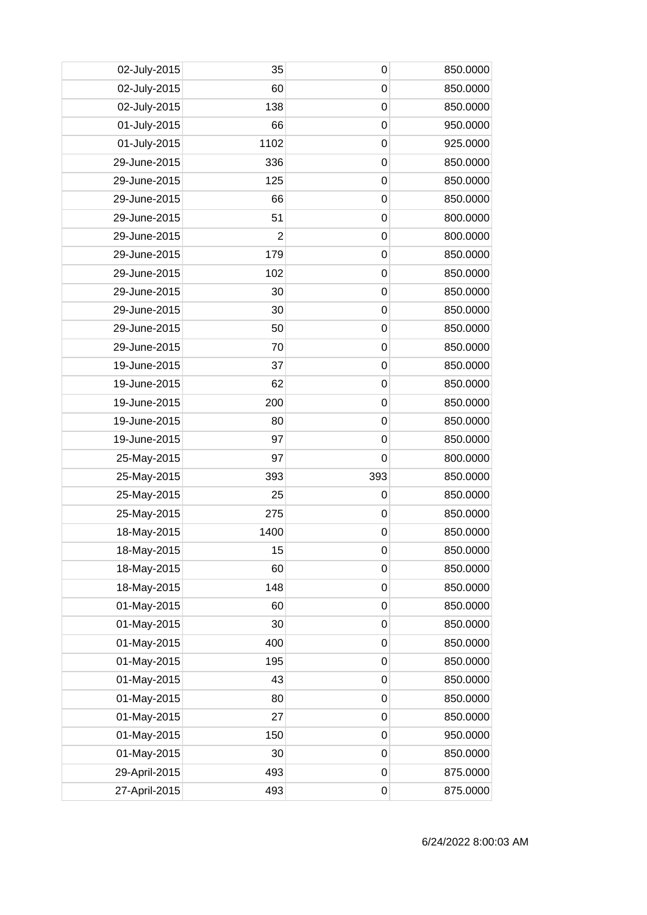| 02-July-2015  | 35             | 0           | 850.0000 |
|---------------|----------------|-------------|----------|
| 02-July-2015  | 60             | $\mathbf 0$ | 850.0000 |
| 02-July-2015  | 138            | $\mathbf 0$ | 850.0000 |
| 01-July-2015  | 66             | $\mathbf 0$ | 950.0000 |
| 01-July-2015  | 1102           | $\mathbf 0$ | 925.0000 |
| 29-June-2015  | 336            | $\mathbf 0$ | 850.0000 |
| 29-June-2015  | 125            | 0           | 850.0000 |
| 29-June-2015  | 66             | $\mathbf 0$ | 850.0000 |
| 29-June-2015  | 51             | $\mathbf 0$ | 800.0000 |
| 29-June-2015  | $\overline{2}$ | $\mathbf 0$ | 800.0000 |
| 29-June-2015  | 179            | $\mathbf 0$ | 850.0000 |
| 29-June-2015  | 102            | $\mathbf 0$ | 850.0000 |
| 29-June-2015  | 30             | 0           | 850.0000 |
| 29-June-2015  | 30             | $\mathbf 0$ | 850.0000 |
| 29-June-2015  | 50             | $\mathbf 0$ | 850.0000 |
| 29-June-2015  | 70             | $\mathbf 0$ | 850.0000 |
| 19-June-2015  | 37             | $\mathbf 0$ | 850.0000 |
| 19-June-2015  | 62             | $\mathbf 0$ | 850.0000 |
| 19-June-2015  | 200            | 0           | 850.0000 |
| 19-June-2015  | 80             | 0           | 850.0000 |
| 19-June-2015  | 97             | $\mathbf 0$ | 850.0000 |
| 25-May-2015   | 97             | $\mathbf 0$ | 800.0000 |
| 25-May-2015   | 393            | 393         | 850.0000 |
| 25-May-2015   | 25             | $\mathbf 0$ | 850.0000 |
| 25-May-2015   | 275            | 0           | 850.0000 |
| 18-May-2015   | 1400           | $\mathbf 0$ | 850.0000 |
| 18-May-2015   | 15             | 0           | 850.0000 |
| 18-May-2015   | 60             | 0           | 850.0000 |
| 18-May-2015   | 148            | $\mathbf 0$ | 850.0000 |
| 01-May-2015   | 60             | $\mathbf 0$ | 850.0000 |
| 01-May-2015   | 30             | 0           | 850.0000 |
| 01-May-2015   | 400            | $\mathbf 0$ | 850.0000 |
| 01-May-2015   | 195            | $\mathbf 0$ | 850.0000 |
| 01-May-2015   | 43             | $\mathbf 0$ | 850.0000 |
| 01-May-2015   | 80             | $\mathbf 0$ | 850.0000 |
| 01-May-2015   | 27             | $\mathbf 0$ | 850.0000 |
| 01-May-2015   | 150            | 0           | 950.0000 |
| 01-May-2015   | 30             | $\mathbf 0$ | 850.0000 |
| 29-April-2015 | 493            | $\mathbf 0$ | 875.0000 |
| 27-April-2015 | 493            | $\mathbf 0$ | 875.0000 |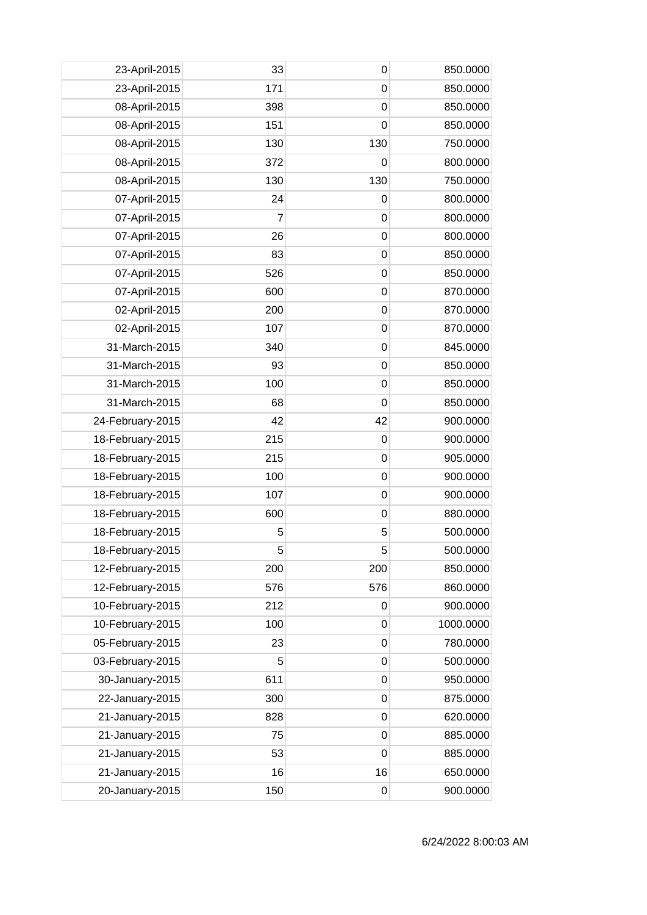| 23-April-2015    | 33  | $\mathbf 0$ | 850.0000  |
|------------------|-----|-------------|-----------|
| 23-April-2015    | 171 | 0           | 850.0000  |
| 08-April-2015    | 398 | 0           | 850.0000  |
| 08-April-2015    | 151 | $\mathbf 0$ | 850.0000  |
| 08-April-2015    | 130 | 130         | 750.0000  |
| 08-April-2015    | 372 | $\mathbf 0$ | 800.0000  |
| 08-April-2015    | 130 | 130         | 750.0000  |
| 07-April-2015    | 24  | 0           | 800.0000  |
| 07-April-2015    | 7   | $\mathbf 0$ | 800.0000  |
| 07-April-2015    | 26  | $\mathbf 0$ | 800.0000  |
| 07-April-2015    | 83  | $\mathbf 0$ | 850.0000  |
| 07-April-2015    | 526 | $\mathbf 0$ | 850.0000  |
| 07-April-2015    | 600 | 0           | 870.0000  |
| 02-April-2015    | 200 | $\mathbf 0$ | 870.0000  |
| 02-April-2015    | 107 | 0           | 870.0000  |
| 31-March-2015    | 340 | $\mathbf 0$ | 845.0000  |
| 31-March-2015    | 93  | $\mathbf 0$ | 850.0000  |
| 31-March-2015    | 100 | $\mathbf 0$ | 850.0000  |
| 31-March-2015    | 68  | $\mathbf 0$ | 850.0000  |
| 24-February-2015 | 42  | 42          | 900.0000  |
| 18-February-2015 | 215 | $\mathbf 0$ | 900.0000  |
| 18-February-2015 | 215 | $\mathbf 0$ | 905.0000  |
| 18-February-2015 | 100 | $\mathbf 0$ | 900.0000  |
| 18-February-2015 | 107 | $\mathbf 0$ | 900.0000  |
| 18-February-2015 | 600 | $\mathbf 0$ | 880.0000  |
| 18-February-2015 | 5   | 5           | 500.0000  |
| 18-February-2015 | 5   | 5           | 500.0000  |
| 12-February-2015 | 200 | 200         | 850.0000  |
| 12-February-2015 | 576 | 576         | 860.0000  |
| 10-February-2015 | 212 | $\mathbf 0$ | 900.0000  |
| 10-February-2015 | 100 | 0           | 1000.0000 |
| 05-February-2015 | 23  | 0           | 780.0000  |
| 03-February-2015 | 5   | 0           | 500.0000  |
| 30-January-2015  | 611 | $\mathbf 0$ | 950.0000  |
| 22-January-2015  | 300 | $\mathbf 0$ | 875.0000  |
| 21-January-2015  | 828 | $\mathbf 0$ | 620.0000  |
| 21-January-2015  | 75  | $\mathbf 0$ | 885.0000  |
| 21-January-2015  | 53  | 0           | 885.0000  |
| 21-January-2015  | 16  | 16          | 650.0000  |
| 20-January-2015  | 150 | 0           | 900.0000  |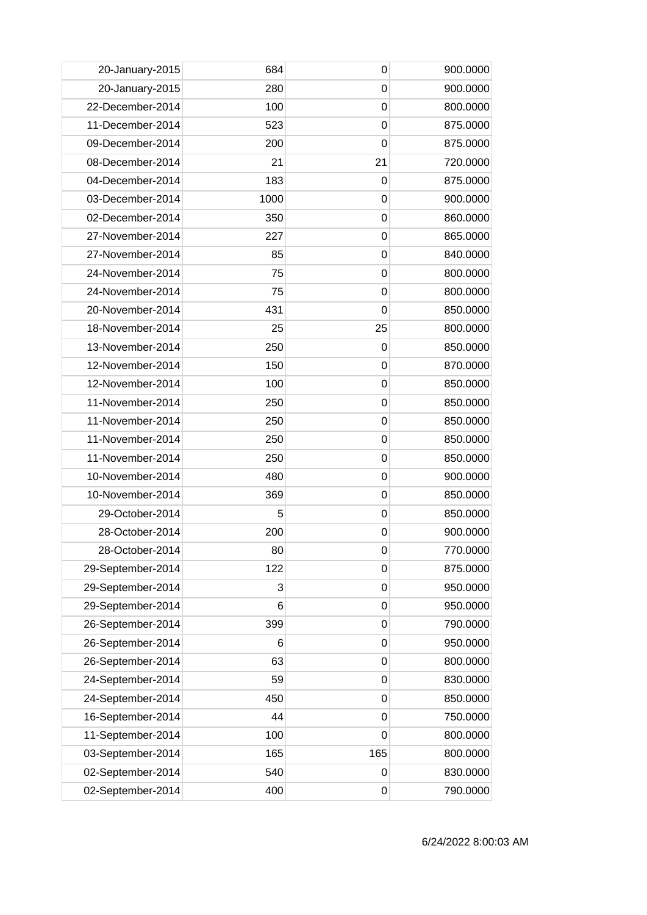| 20-January-2015   | 684  | 0              | 900.0000 |
|-------------------|------|----------------|----------|
| 20-January-2015   | 280  | 0              | 900.0000 |
| 22-December-2014  | 100  | 0              | 800.0000 |
| 11-December-2014  | 523  | $\mathbf 0$    | 875.0000 |
| 09-December-2014  | 200  | $\mathbf 0$    | 875.0000 |
| 08-December-2014  | 21   | 21             | 720.0000 |
| 04-December-2014  | 183  | 0              | 875.0000 |
| 03-December-2014  | 1000 | 0              | 900.0000 |
| 02-December-2014  | 350  | $\mathbf 0$    | 860.0000 |
| 27-November-2014  | 227  | 0              | 865.0000 |
| 27-November-2014  | 85   | $\mathbf 0$    | 840.0000 |
| 24-November-2014  | 75   | $\mathbf 0$    | 800.0000 |
| 24-November-2014  | 75   | 0              | 800.0000 |
| 20-November-2014  | 431  | $\mathbf 0$    | 850.0000 |
| 18-November-2014  | 25   | 25             | 800.0000 |
| 13-November-2014  | 250  | $\mathbf 0$    | 850.0000 |
| 12-November-2014  | 150  | $\mathbf 0$    | 870.0000 |
| 12-November-2014  | 100  | 0              | 850.0000 |
| 11-November-2014  | 250  | 0              | 850.0000 |
| 11-November-2014  | 250  | 0              | 850.0000 |
| 11-November-2014  | 250  | $\overline{0}$ | 850.0000 |
| 11-November-2014  | 250  | 0              | 850.0000 |
| 10-November-2014  | 480  | $\mathbf 0$    | 900.0000 |
| 10-November-2014  | 369  | $\mathbf 0$    | 850.0000 |
| 29-October-2014   | 5    | 0              | 850.0000 |
| 28-October-2014   | 200  | 0              | 900.0000 |
| 28-October-2014   | 80   | $\mathbf 0$    | 770.0000 |
| 29-September-2014 | 122  | 0              | 875.0000 |
| 29-September-2014 | 3    | $\mathbf 0$    | 950.0000 |
| 29-September-2014 | 6    | $\mathbf 0$    | 950.0000 |
| 26-September-2014 | 399  | 0              | 790.0000 |
| 26-September-2014 | 6    | $\mathbf 0$    | 950.0000 |
| 26-September-2014 | 63   | 0              | 800.0000 |
| 24-September-2014 | 59   | 0              | 830.0000 |
| 24-September-2014 | 450  | $\mathbf 0$    | 850.0000 |
| 16-September-2014 | 44   | $\mathbf 0$    | 750.0000 |
| 11-September-2014 | 100  | 0              | 800.0000 |
| 03-September-2014 | 165  | 165            | 800.0000 |
| 02-September-2014 | 540  | 0              | 830.0000 |
| 02-September-2014 | 400  | 0              | 790.0000 |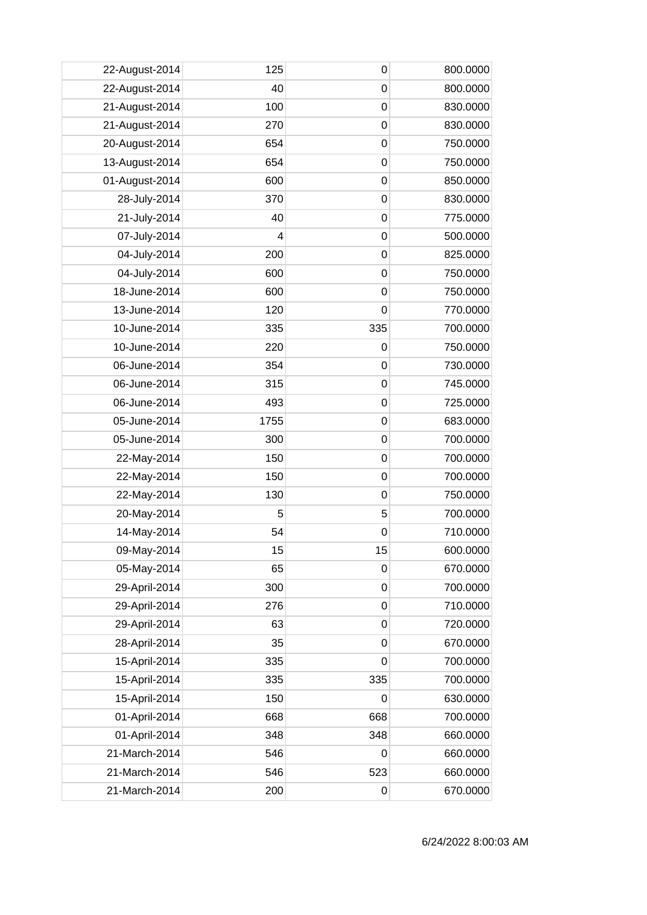| 22-August-2014 | 125  | 0           | 800.0000 |
|----------------|------|-------------|----------|
| 22-August-2014 | 40   | $\mathbf 0$ | 800.0000 |
| 21-August-2014 | 100  | $\mathbf 0$ | 830.0000 |
| 21-August-2014 | 270  | $\mathbf 0$ | 830.0000 |
| 20-August-2014 | 654  | $\mathbf 0$ | 750.0000 |
| 13-August-2014 | 654  | $\mathbf 0$ | 750.0000 |
| 01-August-2014 | 600  | 0           | 850.0000 |
| 28-July-2014   | 370  | 0           | 830.0000 |
| 21-July-2014   | 40   | $\mathbf 0$ | 775.0000 |
| 07-July-2014   | 4    | $\mathbf 0$ | 500.0000 |
| 04-July-2014   | 200  | $\mathbf 0$ | 825.0000 |
| 04-July-2014   | 600  | $\mathbf 0$ | 750.0000 |
| 18-June-2014   | 600  | 0           | 750.0000 |
| 13-June-2014   | 120  | $\mathbf 0$ | 770.0000 |
| 10-June-2014   | 335  | 335         | 700.0000 |
| 10-June-2014   | 220  | $\mathbf 0$ | 750.0000 |
| 06-June-2014   | 354  | $\mathbf 0$ | 730.0000 |
| 06-June-2014   | 315  | $\mathbf 0$ | 745.0000 |
| 06-June-2014   | 493  | 0           | 725.0000 |
| 05-June-2014   | 1755 | 0           | 683.0000 |
| 05-June-2014   | 300  | $\mathbf 0$ | 700.0000 |
| 22-May-2014    | 150  | 0           | 700.0000 |
| 22-May-2014    | 150  | $\mathbf 0$ | 700.0000 |
| 22-May-2014    | 130  | $\mathbf 0$ | 750.0000 |
| 20-May-2014    | 5    | 5           | 700.0000 |
| 14-May-2014    | 54   | 0           | 710.0000 |
| 09-May-2014    | 15   | 15          | 600.0000 |
| 05-May-2014    | 65   | 0           | 670.0000 |
| 29-April-2014  | 300  | $\mathbf 0$ | 700.0000 |
| 29-April-2014  | 276  | $\mathbf 0$ | 710.0000 |
| 29-April-2014  | 63   | 0           | 720.0000 |
| 28-April-2014  | 35   | $\mathbf 0$ | 670.0000 |
| 15-April-2014  | 335  | 0           | 700.0000 |
| 15-April-2014  | 335  | 335         | 700.0000 |
| 15-April-2014  | 150  | 0           | 630.0000 |
| 01-April-2014  | 668  | 668         | 700.0000 |
| 01-April-2014  | 348  | 348         | 660.0000 |
| 21-March-2014  | 546  | 0           | 660.0000 |
| 21-March-2014  | 546  | 523         | 660.0000 |
| 21-March-2014  | 200  | 0           | 670.0000 |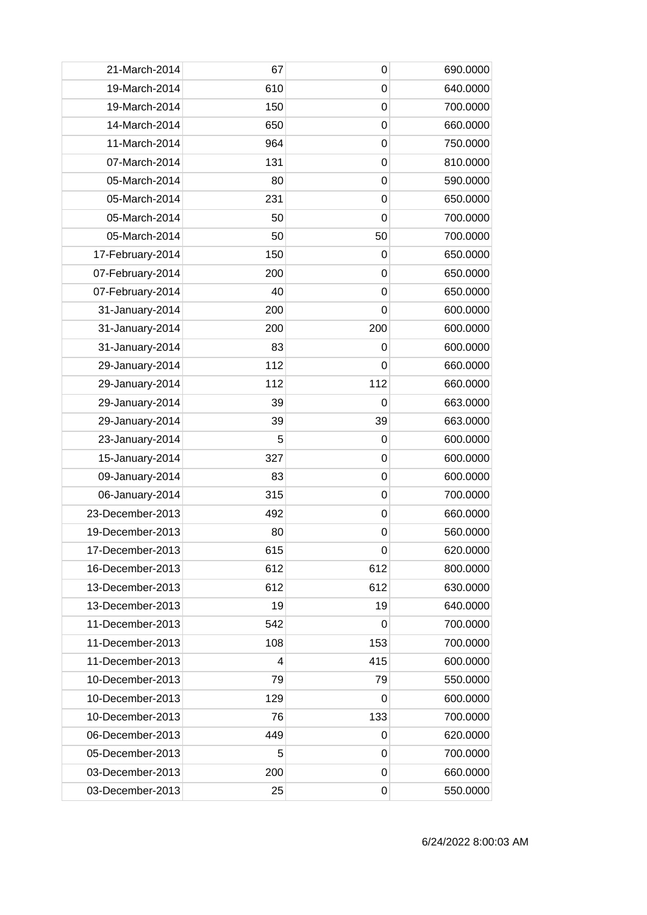| 21-March-2014    | 67  | 0              | 690.0000 |
|------------------|-----|----------------|----------|
| 19-March-2014    | 610 | $\mathbf 0$    | 640.0000 |
| 19-March-2014    | 150 | $\mathbf 0$    | 700.0000 |
| 14-March-2014    | 650 | $\mathbf 0$    | 660.0000 |
| 11-March-2014    | 964 | $\mathbf 0$    | 750.0000 |
| 07-March-2014    | 131 | 0              | 810.0000 |
| 05-March-2014    | 80  | $\mathbf 0$    | 590.0000 |
| 05-March-2014    | 231 | 0              | 650.0000 |
| 05-March-2014    | 50  | $\overline{0}$ | 700.0000 |
| 05-March-2014    | 50  | 50             | 700.0000 |
| 17-February-2014 | 150 | 0              | 650.0000 |
| 07-February-2014 | 200 | $\mathbf 0$    | 650.0000 |
| 07-February-2014 | 40  | 0              | 650.0000 |
| 31-January-2014  | 200 | $\mathbf 0$    | 600.0000 |
| 31-January-2014  | 200 | 200            | 600.0000 |
| 31-January-2014  | 83  | 0              | 600.0000 |
| 29-January-2014  | 112 | $\mathbf 0$    | 660.0000 |
| 29-January-2014  | 112 | 112            | 660.0000 |
| 29-January-2014  | 39  | 0              | 663.0000 |
| 29-January-2014  | 39  | 39             | 663.0000 |
| 23-January-2014  | 5   | $\mathbf 0$    | 600.0000 |
| 15-January-2014  | 327 | $\mathbf 0$    | 600.0000 |
| 09-January-2014  | 83  | $\mathbf 0$    | 600.0000 |
| 06-January-2014  | 315 | $\mathbf 0$    | 700.0000 |
| 23-December-2013 | 492 | 0              | 660.0000 |
| 19-December-2013 | 80  | $\mathbf 0$    | 560.0000 |
| 17-December-2013 | 615 | $\pmb{0}$      | 620.0000 |
| 16-December-2013 | 612 | 612            | 800.0000 |
| 13-December-2013 | 612 | 612            | 630.0000 |
| 13-December-2013 | 19  | 19             | 640.0000 |
| 11-December-2013 | 542 | 0              | 700.0000 |
| 11-December-2013 | 108 | 153            | 700.0000 |
| 11-December-2013 | 4   | 415            | 600.0000 |
| 10-December-2013 | 79  | 79             | 550.0000 |
| 10-December-2013 | 129 | 0              | 600.0000 |
| 10-December-2013 | 76  | 133            | 700.0000 |
| 06-December-2013 | 449 | 0              | 620.0000 |
| 05-December-2013 | 5   | 0              | 700.0000 |
| 03-December-2013 | 200 | $\mathbf 0$    | 660.0000 |
| 03-December-2013 | 25  | 0              | 550.0000 |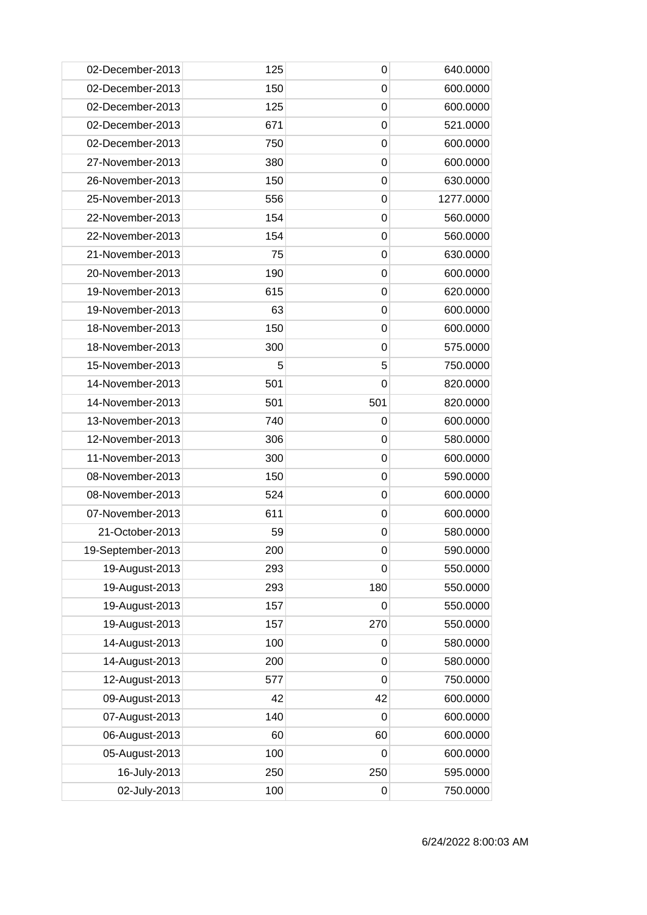| 02-December-2013  | 125 | 0           | 640.0000  |
|-------------------|-----|-------------|-----------|
| 02-December-2013  | 150 | 0           | 600.0000  |
| 02-December-2013  | 125 | 0           | 600.0000  |
| 02-December-2013  | 671 | $\mathbf 0$ | 521.0000  |
| 02-December-2013  | 750 | $\mathbf 0$ | 600.0000  |
| 27-November-2013  | 380 | 0           | 600.0000  |
| 26-November-2013  | 150 | 0           | 630.0000  |
| 25-November-2013  | 556 | 0           | 1277.0000 |
| 22-November-2013  | 154 | $\mathbf 0$ | 560.0000  |
| 22-November-2013  | 154 | 0           | 560.0000  |
| 21-November-2013  | 75  | $\mathbf 0$ | 630.0000  |
| 20-November-2013  | 190 | $\mathbf 0$ | 600.0000  |
| 19-November-2013  | 615 | 0           | 620.0000  |
| 19-November-2013  | 63  | $\mathbf 0$ | 600.0000  |
| 18-November-2013  | 150 | 0           | 600.0000  |
| 18-November-2013  | 300 | $\mathbf 0$ | 575.0000  |
| 15-November-2013  | 5   | 5           | 750.0000  |
| 14-November-2013  | 501 | 0           | 820.0000  |
| 14-November-2013  | 501 | 501         | 820.0000  |
| 13-November-2013  | 740 | 0           | 600.0000  |
| 12-November-2013  | 306 | $\mathbf 0$ | 580.0000  |
| 11-November-2013  | 300 | 0           | 600.0000  |
| 08-November-2013  | 150 | $\mathbf 0$ | 590.0000  |
| 08-November-2013  | 524 | 0           | 600.0000  |
| 07-November-2013  | 611 | 0           | 600.0000  |
| 21-October-2013   | 59  | 0           | 580.0000  |
| 19-September-2013 | 200 | 0           | 590.0000  |
| 19-August-2013    | 293 | $\mathbf 0$ | 550.0000  |
| 19-August-2013    | 293 | 180         | 550.0000  |
| 19-August-2013    | 157 | $\mathbf 0$ | 550.0000  |
| 19-August-2013    | 157 | 270         | 550.0000  |
| 14-August-2013    | 100 | 0           | 580.0000  |
| 14-August-2013    | 200 | 0           | 580.0000  |
| 12-August-2013    | 577 | $\mathbf 0$ | 750.0000  |
| 09-August-2013    | 42  | 42          | 600.0000  |
| 07-August-2013    | 140 | 0           | 600.0000  |
| 06-August-2013    | 60  | 60          | 600.0000  |
| 05-August-2013    | 100 | 0           | 600.0000  |
| 16-July-2013      | 250 | 250         | 595.0000  |
| 02-July-2013      | 100 | 0           | 750.0000  |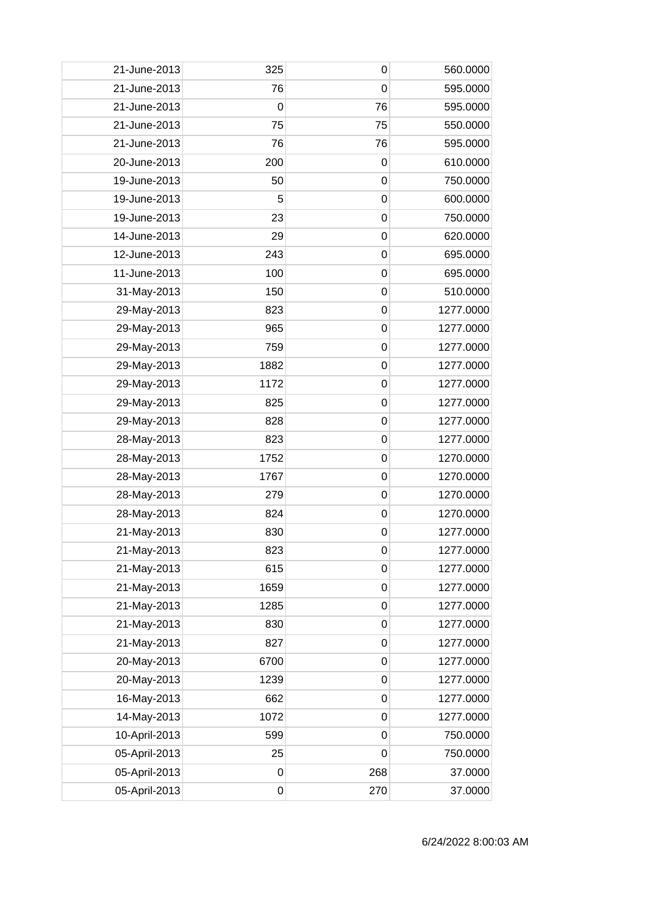| 21-June-2013  | 325         | 0           | 560.0000  |
|---------------|-------------|-------------|-----------|
| 21-June-2013  | 76          | 0           | 595.0000  |
| 21-June-2013  | 0           | 76          | 595.0000  |
| 21-June-2013  | 75          | 75          | 550.0000  |
| 21-June-2013  | 76          | 76          | 595.0000  |
| 20-June-2013  | 200         | 0           | 610.0000  |
| 19-June-2013  | 50          | 0           | 750.0000  |
| 19-June-2013  | 5           | 0           | 600.0000  |
| 19-June-2013  | 23          | $\mathbf 0$ | 750.0000  |
| 14-June-2013  | 29          | $\mathbf 0$ | 620.0000  |
| 12-June-2013  | 243         | $\mathbf 0$ | 695.0000  |
| 11-June-2013  | 100         | $\mathbf 0$ | 695.0000  |
| 31-May-2013   | 150         | 0           | 510.0000  |
| 29-May-2013   | 823         | $\mathbf 0$ | 1277.0000 |
| 29-May-2013   | 965         | 0           | 1277.0000 |
| 29-May-2013   | 759         | $\mathbf 0$ | 1277.0000 |
| 29-May-2013   | 1882        | $\mathbf 0$ | 1277.0000 |
| 29-May-2013   | 1172        | $\mathbf 0$ | 1277.0000 |
| 29-May-2013   | 825         | 0           | 1277.0000 |
| 29-May-2013   | 828         | 0           | 1277.0000 |
| 28-May-2013   | 823         | $\mathbf 0$ | 1277.0000 |
| 28-May-2013   | 1752        | 0           | 1270.0000 |
| 28-May-2013   | 1767        | $\mathbf 0$ | 1270.0000 |
| 28-May-2013   | 279         | $\mathbf 0$ | 1270.0000 |
| 28-May-2013   | 824         | $\mathbf 0$ | 1270.0000 |
| 21-May-2013   | 830         | 0           | 1277.0000 |
| 21-May-2013   | 823         | $\pmb{0}$   | 1277.0000 |
| 21-May-2013   | 615         | $\mathbf 0$ | 1277.0000 |
| 21-May-2013   | 1659        | $\mathbf 0$ | 1277.0000 |
| 21-May-2013   | 1285        | $\mathbf 0$ | 1277.0000 |
| 21-May-2013   | 830         | $\mathbf 0$ | 1277.0000 |
| 21-May-2013   | 827         | 0           | 1277.0000 |
| 20-May-2013   | 6700        | $\mathbf 0$ | 1277.0000 |
| 20-May-2013   | 1239        | $\mathbf 0$ | 1277.0000 |
| 16-May-2013   | 662         | $\mathbf 0$ | 1277.0000 |
| 14-May-2013   | 1072        | $\mathbf 0$ | 1277.0000 |
| 10-April-2013 | 599         | $\mathbf 0$ | 750.0000  |
| 05-April-2013 | 25          | 0           | 750.0000  |
| 05-April-2013 | $\mathbf 0$ | 268         | 37.0000   |
| 05-April-2013 | $\pmb{0}$   | 270         | 37.0000   |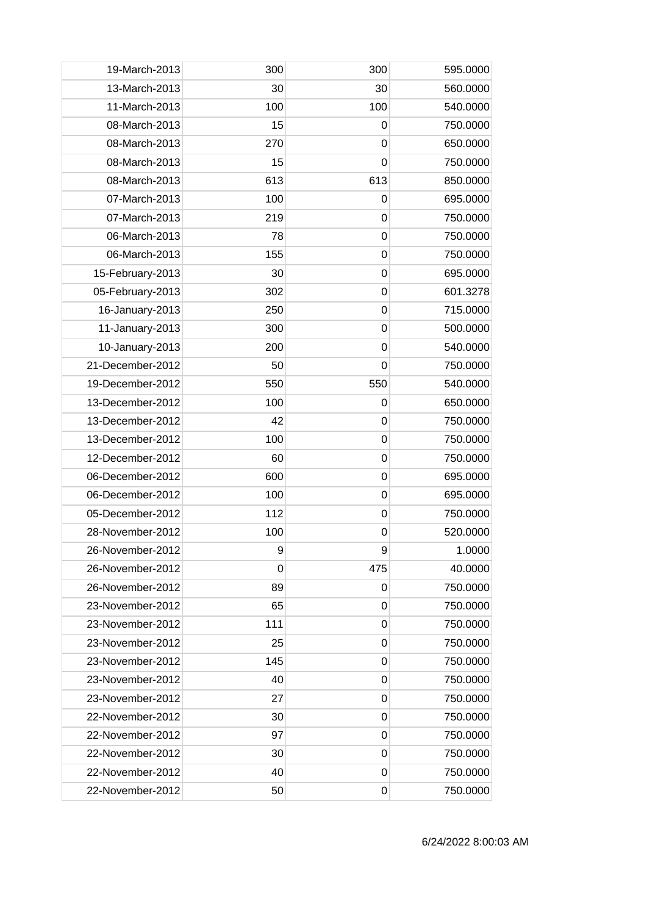| 19-March-2013    | 300 | 300         | 595.0000 |
|------------------|-----|-------------|----------|
| 13-March-2013    | 30  | 30          | 560.0000 |
| 11-March-2013    | 100 | 100         | 540.0000 |
| 08-March-2013    | 15  | $\mathbf 0$ | 750.0000 |
| 08-March-2013    | 270 | $\mathbf 0$ | 650.0000 |
| 08-March-2013    | 15  | $\mathbf 0$ | 750.0000 |
| 08-March-2013    | 613 | 613         | 850.0000 |
| 07-March-2013    | 100 | 0           | 695.0000 |
| 07-March-2013    | 219 | $\mathbf 0$ | 750.0000 |
| 06-March-2013    | 78  | $\mathbf 0$ | 750.0000 |
| 06-March-2013    | 155 | $\mathbf 0$ | 750.0000 |
| 15-February-2013 | 30  | $\mathbf 0$ | 695.0000 |
| 05-February-2013 | 302 | 0           | 601.3278 |
| 16-January-2013  | 250 | $\mathbf 0$ | 715.0000 |
| 11-January-2013  | 300 | 0           | 500.0000 |
| 10-January-2013  | 200 | $\mathbf 0$ | 540.0000 |
| 21-December-2012 | 50  | $\mathbf 0$ | 750.0000 |
| 19-December-2012 | 550 | 550         | 540.0000 |
| 13-December-2012 | 100 | $\mathbf 0$ | 650.0000 |
| 13-December-2012 | 42  | 0           | 750.0000 |
| 13-December-2012 | 100 | $\mathbf 0$ | 750.0000 |
| 12-December-2012 | 60  | $\mathbf 0$ | 750.0000 |
| 06-December-2012 | 600 | $\mathbf 0$ | 695.0000 |
| 06-December-2012 | 100 | $\mathbf 0$ | 695.0000 |
| 05-December-2012 | 112 | $\mathbf 0$ | 750.0000 |
| 28-November-2012 | 100 | $\mathbf 0$ | 520.0000 |
| 26-November-2012 | 9   | 9           | 1.0000   |
| 26-November-2012 | 0   | 475         | 40.0000  |
| 26-November-2012 | 89  | 0           | 750.0000 |
| 23-November-2012 | 65  | $\mathbf 0$ | 750.0000 |
| 23-November-2012 | 111 | 0           | 750.0000 |
| 23-November-2012 | 25  | 0           | 750.0000 |
| 23-November-2012 | 145 | 0           | 750.0000 |
| 23-November-2012 | 40  | 0           | 750.0000 |
| 23-November-2012 | 27  | 0           | 750.0000 |
| 22-November-2012 | 30  | $\mathbf 0$ | 750.0000 |
| 22-November-2012 | 97  | 0           | 750.0000 |
| 22-November-2012 | 30  | 0           | 750.0000 |
| 22-November-2012 | 40  | $\mathbf 0$ | 750.0000 |
| 22-November-2012 | 50  | 0           | 750.0000 |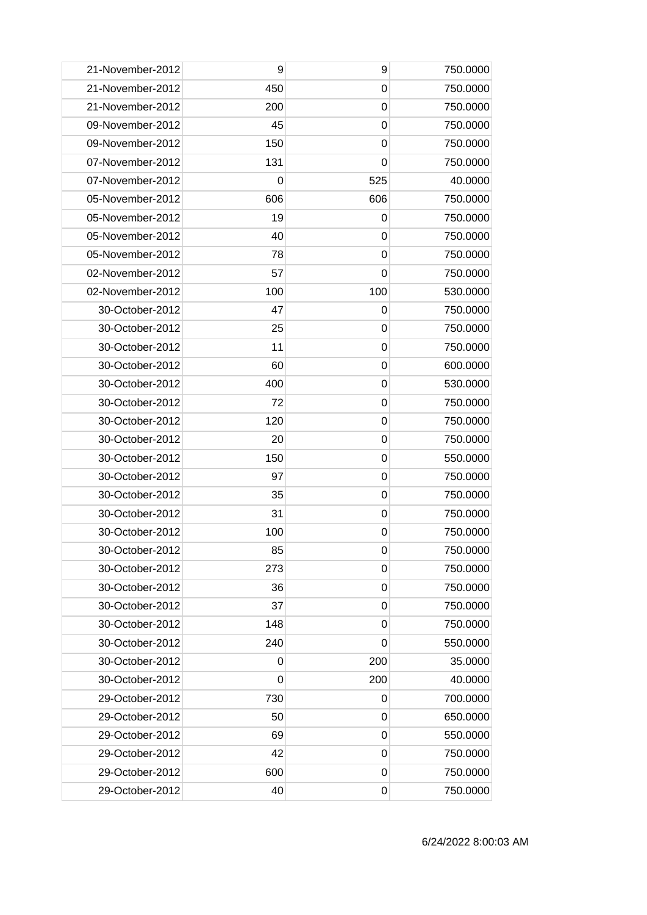| 21-November-2012 | 9           | 9           | 750.0000 |
|------------------|-------------|-------------|----------|
| 21-November-2012 | 450         | 0           | 750.0000 |
| 21-November-2012 | 200         | 0           | 750.0000 |
| 09-November-2012 | 45          | $\mathbf 0$ | 750.0000 |
| 09-November-2012 | 150         | 0           | 750.0000 |
| 07-November-2012 | 131         | 0           | 750.0000 |
| 07-November-2012 | 0           | 525         | 40.0000  |
| 05-November-2012 | 606         | 606         | 750.0000 |
| 05-November-2012 | 19          | 0           | 750.0000 |
| 05-November-2012 | 40          | 0           | 750.0000 |
| 05-November-2012 | 78          | $\mathbf 0$ | 750.0000 |
| 02-November-2012 | 57          | 0           | 750.0000 |
| 02-November-2012 | 100         | 100         | 530.0000 |
| 30-October-2012  | 47          | 0           | 750.0000 |
| 30-October-2012  | 25          | 0           | 750.0000 |
| 30-October-2012  | 11          | $\mathbf 0$ | 750.0000 |
| 30-October-2012  | 60          | $\mathbf 0$ | 600.0000 |
| 30-October-2012  | 400         | $\mathbf 0$ | 530.0000 |
| 30-October-2012  | 72          | 0           | 750.0000 |
| 30-October-2012  | 120         | 0           | 750.0000 |
| 30-October-2012  | 20          | $\mathbf 0$ | 750.0000 |
| 30-October-2012  | 150         | 0           | 550.0000 |
| 30-October-2012  | 97          | $\mathbf 0$ | 750.0000 |
| 30-October-2012  | 35          | $\mathbf 0$ | 750.0000 |
| 30-October-2012  | 31          | 0           | 750.0000 |
| 30-October-2012  | 100         | 0           | 750.0000 |
| 30-October-2012  | 85          | 0           | 750.0000 |
| 30-October-2012  | 273         | 0           | 750.0000 |
| 30-October-2012  | 36          | $\mathbf 0$ | 750.0000 |
| 30-October-2012  | 37          | 0           | 750.0000 |
| 30-October-2012  | 148         | 0           | 750.0000 |
| 30-October-2012  | 240         | 0           | 550.0000 |
| 30-October-2012  | 0           | 200         | 35.0000  |
| 30-October-2012  | $\mathbf 0$ | 200         | 40.0000  |
| 29-October-2012  | 730         | 0           | 700.0000 |
| 29-October-2012  | 50          | 0           | 650.0000 |
| 29-October-2012  | 69          | 0           | 550.0000 |
| 29-October-2012  | 42          | 0           | 750.0000 |
| 29-October-2012  | 600         | 0           | 750.0000 |
| 29-October-2012  | 40          | 0           | 750.0000 |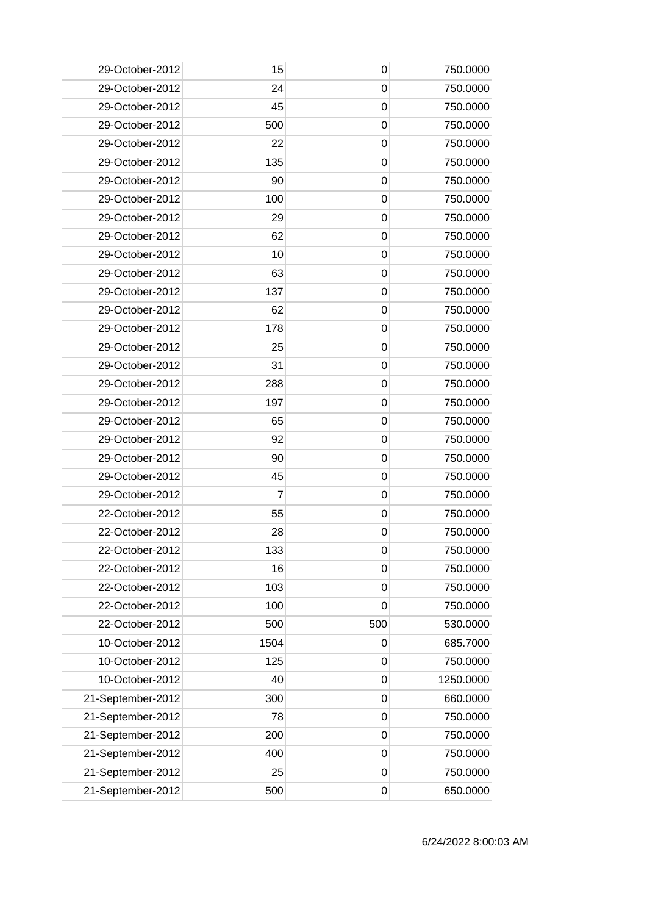| 29-October-2012   | 15   | 0           | 750.0000  |
|-------------------|------|-------------|-----------|
| 29-October-2012   | 24   | 0           | 750.0000  |
| 29-October-2012   | 45   | 0           | 750.0000  |
| 29-October-2012   | 500  | $\mathbf 0$ | 750.0000  |
| 29-October-2012   | 22   | $\mathbf 0$ | 750.0000  |
| 29-October-2012   | 135  | $\mathbf 0$ | 750.0000  |
| 29-October-2012   | 90   | 0           | 750.0000  |
| 29-October-2012   | 100  | 0           | 750.0000  |
| 29-October-2012   | 29   | $\mathbf 0$ | 750.0000  |
| 29-October-2012   | 62   | 0           | 750.0000  |
| 29-October-2012   | 10   | $\mathbf 0$ | 750.0000  |
| 29-October-2012   | 63   | $\mathbf 0$ | 750.0000  |
| 29-October-2012   | 137  | 0           | 750.0000  |
| 29-October-2012   | 62   | $\mathbf 0$ | 750.0000  |
| 29-October-2012   | 178  | 0           | 750.0000  |
| 29-October-2012   | 25   | $\mathbf 0$ | 750.0000  |
| 29-October-2012   | 31   | $\mathbf 0$ | 750.0000  |
| 29-October-2012   | 288  | $\mathbf 0$ | 750.0000  |
| 29-October-2012   | 197  | 0           | 750.0000  |
| 29-October-2012   | 65   | 0           | 750.0000  |
| 29-October-2012   | 92   | $\mathbf 0$ | 750.0000  |
| 29-October-2012   | 90   | 0           | 750.0000  |
| 29-October-2012   | 45   | $\mathbf 0$ | 750.0000  |
| 29-October-2012   | 7    | $\mathbf 0$ | 750.0000  |
| 22-October-2012   | 55   | 0           | 750.0000  |
| 22-October-2012   | 28   | 0           | 750.0000  |
| 22-October-2012   | 133  | $\pmb{0}$   | 750.0000  |
| 22-October-2012   | 16   | 0           | 750.0000  |
| 22-October-2012   | 103  | $\mathbf 0$ | 750.0000  |
| 22-October-2012   | 100  | $\mathbf 0$ | 750.0000  |
| 22-October-2012   | 500  | 500         | 530.0000  |
| 10-October-2012   | 1504 | 0           | 685.7000  |
| 10-October-2012   | 125  | 0           | 750.0000  |
| 10-October-2012   | 40   | $\mathbf 0$ | 1250.0000 |
| 21-September-2012 | 300  | $\mathbf 0$ | 660.0000  |
| 21-September-2012 | 78   | $\mathbf 0$ | 750.0000  |
| 21-September-2012 | 200  | $\mathbf 0$ | 750.0000  |
| 21-September-2012 | 400  | 0           | 750.0000  |
| 21-September-2012 | 25   | $\mathbf 0$ | 750.0000  |
| 21-September-2012 | 500  | 0           | 650.0000  |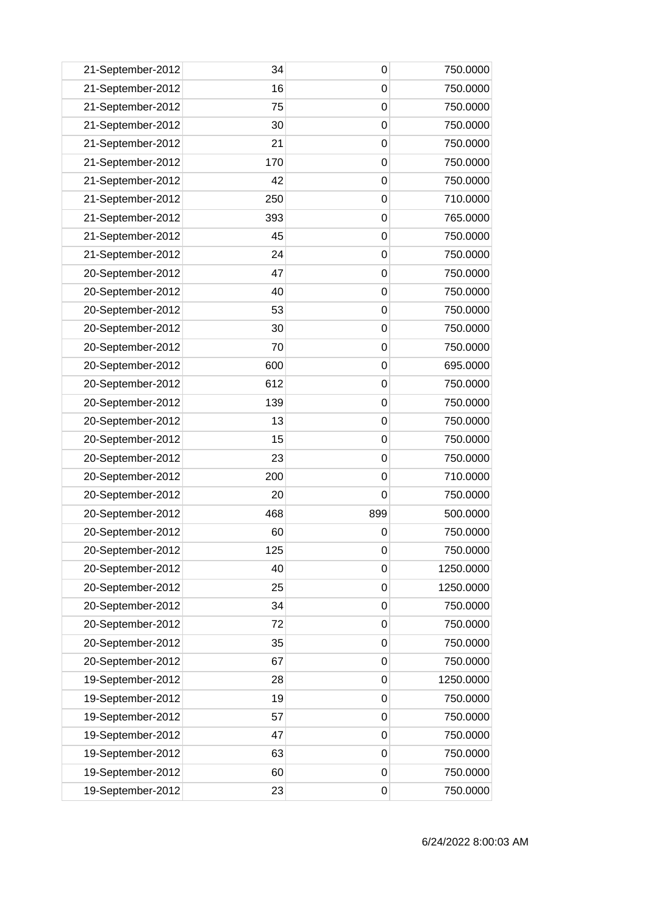| 750.0000<br>21-September-2012<br>16<br>0<br>21-September-2012<br>75<br>750.0000<br>0<br>21-September-2012<br>30<br>$\mathbf 0$<br>750.0000<br>21-September-2012<br>21<br>$\mathbf 0$<br>750.0000<br>21-September-2012<br>170<br>750.0000<br>0<br>750.0000<br>21-September-2012<br>42<br>0<br>250<br>710.0000<br>21-September-2012<br>0<br>21-September-2012<br>393<br>$\mathbf 0$<br>765.0000<br>21-September-2012<br>45<br>750.0000<br>0<br>21-September-2012<br>24<br>$\mathbf 0$<br>750.0000<br>47<br>750.0000<br>20-September-2012<br>0<br>20-September-2012<br>40<br>0<br>750.0000<br>20-September-2012<br>53<br>$\mathbf 0$<br>750.0000<br>20-September-2012<br>750.0000<br>30<br>0<br>20-September-2012<br>70<br>$\mathbf 0$<br>750.0000<br>20-September-2012<br>600<br>$\mathbf 0$<br>695.0000<br>612<br>750.0000<br>20-September-2012<br>0<br>750.0000<br>20-September-2012<br>139<br>0<br>750.0000<br>20-September-2012<br>13<br>0<br>20-September-2012<br>15<br>$\mathbf 0$<br>750.0000<br>20-September-2012<br>23<br>750.0000<br>0<br>20-September-2012<br>200<br>$\mathbf 0$<br>710.0000<br>20<br>750.0000<br>20-September-2012<br>0<br>20-September-2012<br>468<br>899<br>500.0000<br>20-September-2012<br>750.0000<br>60<br>0<br>125<br>20-September-2012<br>$\mathbf 0$<br>750.0000<br>20-September-2012<br>1250.0000<br>40<br>0<br>20-September-2012<br>25<br>$\mathbf 0$<br>1250.0000<br>20-September-2012<br>34<br>$\mathbf 0$<br>750.0000<br>20-September-2012<br>750.0000<br>72<br>0<br>750.0000<br>20-September-2012<br>$\mathbf 0$<br>35<br>20-September-2012<br>750.0000<br>67<br>0<br>19-September-2012<br>1250.0000<br>28<br>$\mathbf 0$<br>19-September-2012<br>19<br>$\mathbf 0$<br>750.0000<br>19-September-2012<br>57<br>$\mathbf 0$<br>750.0000<br>19-September-2012<br>750.0000<br>47<br>0<br>750.0000<br>19-September-2012<br>63<br>0<br>19-September-2012<br>750.0000<br>60<br>$\mathbf 0$<br>19-September-2012<br>23<br>750.0000<br>0 | 21-September-2012 | 34 | 0 | 750.0000 |
|--------------------------------------------------------------------------------------------------------------------------------------------------------------------------------------------------------------------------------------------------------------------------------------------------------------------------------------------------------------------------------------------------------------------------------------------------------------------------------------------------------------------------------------------------------------------------------------------------------------------------------------------------------------------------------------------------------------------------------------------------------------------------------------------------------------------------------------------------------------------------------------------------------------------------------------------------------------------------------------------------------------------------------------------------------------------------------------------------------------------------------------------------------------------------------------------------------------------------------------------------------------------------------------------------------------------------------------------------------------------------------------------------------------------------------------------------------------------------------------------------------------------------------------------------------------------------------------------------------------------------------------------------------------------------------------------------------------------------------------------------------------------------------------------------------------------------------------------------------------------------------------------------------------------------------------------------------------------------|-------------------|----|---|----------|
|                                                                                                                                                                                                                                                                                                                                                                                                                                                                                                                                                                                                                                                                                                                                                                                                                                                                                                                                                                                                                                                                                                                                                                                                                                                                                                                                                                                                                                                                                                                                                                                                                                                                                                                                                                                                                                                                                                                                                                          |                   |    |   |          |
|                                                                                                                                                                                                                                                                                                                                                                                                                                                                                                                                                                                                                                                                                                                                                                                                                                                                                                                                                                                                                                                                                                                                                                                                                                                                                                                                                                                                                                                                                                                                                                                                                                                                                                                                                                                                                                                                                                                                                                          |                   |    |   |          |
|                                                                                                                                                                                                                                                                                                                                                                                                                                                                                                                                                                                                                                                                                                                                                                                                                                                                                                                                                                                                                                                                                                                                                                                                                                                                                                                                                                                                                                                                                                                                                                                                                                                                                                                                                                                                                                                                                                                                                                          |                   |    |   |          |
|                                                                                                                                                                                                                                                                                                                                                                                                                                                                                                                                                                                                                                                                                                                                                                                                                                                                                                                                                                                                                                                                                                                                                                                                                                                                                                                                                                                                                                                                                                                                                                                                                                                                                                                                                                                                                                                                                                                                                                          |                   |    |   |          |
|                                                                                                                                                                                                                                                                                                                                                                                                                                                                                                                                                                                                                                                                                                                                                                                                                                                                                                                                                                                                                                                                                                                                                                                                                                                                                                                                                                                                                                                                                                                                                                                                                                                                                                                                                                                                                                                                                                                                                                          |                   |    |   |          |
|                                                                                                                                                                                                                                                                                                                                                                                                                                                                                                                                                                                                                                                                                                                                                                                                                                                                                                                                                                                                                                                                                                                                                                                                                                                                                                                                                                                                                                                                                                                                                                                                                                                                                                                                                                                                                                                                                                                                                                          |                   |    |   |          |
|                                                                                                                                                                                                                                                                                                                                                                                                                                                                                                                                                                                                                                                                                                                                                                                                                                                                                                                                                                                                                                                                                                                                                                                                                                                                                                                                                                                                                                                                                                                                                                                                                                                                                                                                                                                                                                                                                                                                                                          |                   |    |   |          |
|                                                                                                                                                                                                                                                                                                                                                                                                                                                                                                                                                                                                                                                                                                                                                                                                                                                                                                                                                                                                                                                                                                                                                                                                                                                                                                                                                                                                                                                                                                                                                                                                                                                                                                                                                                                                                                                                                                                                                                          |                   |    |   |          |
|                                                                                                                                                                                                                                                                                                                                                                                                                                                                                                                                                                                                                                                                                                                                                                                                                                                                                                                                                                                                                                                                                                                                                                                                                                                                                                                                                                                                                                                                                                                                                                                                                                                                                                                                                                                                                                                                                                                                                                          |                   |    |   |          |
|                                                                                                                                                                                                                                                                                                                                                                                                                                                                                                                                                                                                                                                                                                                                                                                                                                                                                                                                                                                                                                                                                                                                                                                                                                                                                                                                                                                                                                                                                                                                                                                                                                                                                                                                                                                                                                                                                                                                                                          |                   |    |   |          |
|                                                                                                                                                                                                                                                                                                                                                                                                                                                                                                                                                                                                                                                                                                                                                                                                                                                                                                                                                                                                                                                                                                                                                                                                                                                                                                                                                                                                                                                                                                                                                                                                                                                                                                                                                                                                                                                                                                                                                                          |                   |    |   |          |
|                                                                                                                                                                                                                                                                                                                                                                                                                                                                                                                                                                                                                                                                                                                                                                                                                                                                                                                                                                                                                                                                                                                                                                                                                                                                                                                                                                                                                                                                                                                                                                                                                                                                                                                                                                                                                                                                                                                                                                          |                   |    |   |          |
|                                                                                                                                                                                                                                                                                                                                                                                                                                                                                                                                                                                                                                                                                                                                                                                                                                                                                                                                                                                                                                                                                                                                                                                                                                                                                                                                                                                                                                                                                                                                                                                                                                                                                                                                                                                                                                                                                                                                                                          |                   |    |   |          |
|                                                                                                                                                                                                                                                                                                                                                                                                                                                                                                                                                                                                                                                                                                                                                                                                                                                                                                                                                                                                                                                                                                                                                                                                                                                                                                                                                                                                                                                                                                                                                                                                                                                                                                                                                                                                                                                                                                                                                                          |                   |    |   |          |
|                                                                                                                                                                                                                                                                                                                                                                                                                                                                                                                                                                                                                                                                                                                                                                                                                                                                                                                                                                                                                                                                                                                                                                                                                                                                                                                                                                                                                                                                                                                                                                                                                                                                                                                                                                                                                                                                                                                                                                          |                   |    |   |          |
|                                                                                                                                                                                                                                                                                                                                                                                                                                                                                                                                                                                                                                                                                                                                                                                                                                                                                                                                                                                                                                                                                                                                                                                                                                                                                                                                                                                                                                                                                                                                                                                                                                                                                                                                                                                                                                                                                                                                                                          |                   |    |   |          |
|                                                                                                                                                                                                                                                                                                                                                                                                                                                                                                                                                                                                                                                                                                                                                                                                                                                                                                                                                                                                                                                                                                                                                                                                                                                                                                                                                                                                                                                                                                                                                                                                                                                                                                                                                                                                                                                                                                                                                                          |                   |    |   |          |
|                                                                                                                                                                                                                                                                                                                                                                                                                                                                                                                                                                                                                                                                                                                                                                                                                                                                                                                                                                                                                                                                                                                                                                                                                                                                                                                                                                                                                                                                                                                                                                                                                                                                                                                                                                                                                                                                                                                                                                          |                   |    |   |          |
|                                                                                                                                                                                                                                                                                                                                                                                                                                                                                                                                                                                                                                                                                                                                                                                                                                                                                                                                                                                                                                                                                                                                                                                                                                                                                                                                                                                                                                                                                                                                                                                                                                                                                                                                                                                                                                                                                                                                                                          |                   |    |   |          |
|                                                                                                                                                                                                                                                                                                                                                                                                                                                                                                                                                                                                                                                                                                                                                                                                                                                                                                                                                                                                                                                                                                                                                                                                                                                                                                                                                                                                                                                                                                                                                                                                                                                                                                                                                                                                                                                                                                                                                                          |                   |    |   |          |
|                                                                                                                                                                                                                                                                                                                                                                                                                                                                                                                                                                                                                                                                                                                                                                                                                                                                                                                                                                                                                                                                                                                                                                                                                                                                                                                                                                                                                                                                                                                                                                                                                                                                                                                                                                                                                                                                                                                                                                          |                   |    |   |          |
|                                                                                                                                                                                                                                                                                                                                                                                                                                                                                                                                                                                                                                                                                                                                                                                                                                                                                                                                                                                                                                                                                                                                                                                                                                                                                                                                                                                                                                                                                                                                                                                                                                                                                                                                                                                                                                                                                                                                                                          |                   |    |   |          |
|                                                                                                                                                                                                                                                                                                                                                                                                                                                                                                                                                                                                                                                                                                                                                                                                                                                                                                                                                                                                                                                                                                                                                                                                                                                                                                                                                                                                                                                                                                                                                                                                                                                                                                                                                                                                                                                                                                                                                                          |                   |    |   |          |
|                                                                                                                                                                                                                                                                                                                                                                                                                                                                                                                                                                                                                                                                                                                                                                                                                                                                                                                                                                                                                                                                                                                                                                                                                                                                                                                                                                                                                                                                                                                                                                                                                                                                                                                                                                                                                                                                                                                                                                          |                   |    |   |          |
|                                                                                                                                                                                                                                                                                                                                                                                                                                                                                                                                                                                                                                                                                                                                                                                                                                                                                                                                                                                                                                                                                                                                                                                                                                                                                                                                                                                                                                                                                                                                                                                                                                                                                                                                                                                                                                                                                                                                                                          |                   |    |   |          |
|                                                                                                                                                                                                                                                                                                                                                                                                                                                                                                                                                                                                                                                                                                                                                                                                                                                                                                                                                                                                                                                                                                                                                                                                                                                                                                                                                                                                                                                                                                                                                                                                                                                                                                                                                                                                                                                                                                                                                                          |                   |    |   |          |
|                                                                                                                                                                                                                                                                                                                                                                                                                                                                                                                                                                                                                                                                                                                                                                                                                                                                                                                                                                                                                                                                                                                                                                                                                                                                                                                                                                                                                                                                                                                                                                                                                                                                                                                                                                                                                                                                                                                                                                          |                   |    |   |          |
|                                                                                                                                                                                                                                                                                                                                                                                                                                                                                                                                                                                                                                                                                                                                                                                                                                                                                                                                                                                                                                                                                                                                                                                                                                                                                                                                                                                                                                                                                                                                                                                                                                                                                                                                                                                                                                                                                                                                                                          |                   |    |   |          |
|                                                                                                                                                                                                                                                                                                                                                                                                                                                                                                                                                                                                                                                                                                                                                                                                                                                                                                                                                                                                                                                                                                                                                                                                                                                                                                                                                                                                                                                                                                                                                                                                                                                                                                                                                                                                                                                                                                                                                                          |                   |    |   |          |
|                                                                                                                                                                                                                                                                                                                                                                                                                                                                                                                                                                                                                                                                                                                                                                                                                                                                                                                                                                                                                                                                                                                                                                                                                                                                                                                                                                                                                                                                                                                                                                                                                                                                                                                                                                                                                                                                                                                                                                          |                   |    |   |          |
|                                                                                                                                                                                                                                                                                                                                                                                                                                                                                                                                                                                                                                                                                                                                                                                                                                                                                                                                                                                                                                                                                                                                                                                                                                                                                                                                                                                                                                                                                                                                                                                                                                                                                                                                                                                                                                                                                                                                                                          |                   |    |   |          |
|                                                                                                                                                                                                                                                                                                                                                                                                                                                                                                                                                                                                                                                                                                                                                                                                                                                                                                                                                                                                                                                                                                                                                                                                                                                                                                                                                                                                                                                                                                                                                                                                                                                                                                                                                                                                                                                                                                                                                                          |                   |    |   |          |
|                                                                                                                                                                                                                                                                                                                                                                                                                                                                                                                                                                                                                                                                                                                                                                                                                                                                                                                                                                                                                                                                                                                                                                                                                                                                                                                                                                                                                                                                                                                                                                                                                                                                                                                                                                                                                                                                                                                                                                          |                   |    |   |          |
|                                                                                                                                                                                                                                                                                                                                                                                                                                                                                                                                                                                                                                                                                                                                                                                                                                                                                                                                                                                                                                                                                                                                                                                                                                                                                                                                                                                                                                                                                                                                                                                                                                                                                                                                                                                                                                                                                                                                                                          |                   |    |   |          |
|                                                                                                                                                                                                                                                                                                                                                                                                                                                                                                                                                                                                                                                                                                                                                                                                                                                                                                                                                                                                                                                                                                                                                                                                                                                                                                                                                                                                                                                                                                                                                                                                                                                                                                                                                                                                                                                                                                                                                                          |                   |    |   |          |
|                                                                                                                                                                                                                                                                                                                                                                                                                                                                                                                                                                                                                                                                                                                                                                                                                                                                                                                                                                                                                                                                                                                                                                                                                                                                                                                                                                                                                                                                                                                                                                                                                                                                                                                                                                                                                                                                                                                                                                          |                   |    |   |          |
|                                                                                                                                                                                                                                                                                                                                                                                                                                                                                                                                                                                                                                                                                                                                                                                                                                                                                                                                                                                                                                                                                                                                                                                                                                                                                                                                                                                                                                                                                                                                                                                                                                                                                                                                                                                                                                                                                                                                                                          |                   |    |   |          |
|                                                                                                                                                                                                                                                                                                                                                                                                                                                                                                                                                                                                                                                                                                                                                                                                                                                                                                                                                                                                                                                                                                                                                                                                                                                                                                                                                                                                                                                                                                                                                                                                                                                                                                                                                                                                                                                                                                                                                                          |                   |    |   |          |
|                                                                                                                                                                                                                                                                                                                                                                                                                                                                                                                                                                                                                                                                                                                                                                                                                                                                                                                                                                                                                                                                                                                                                                                                                                                                                                                                                                                                                                                                                                                                                                                                                                                                                                                                                                                                                                                                                                                                                                          |                   |    |   |          |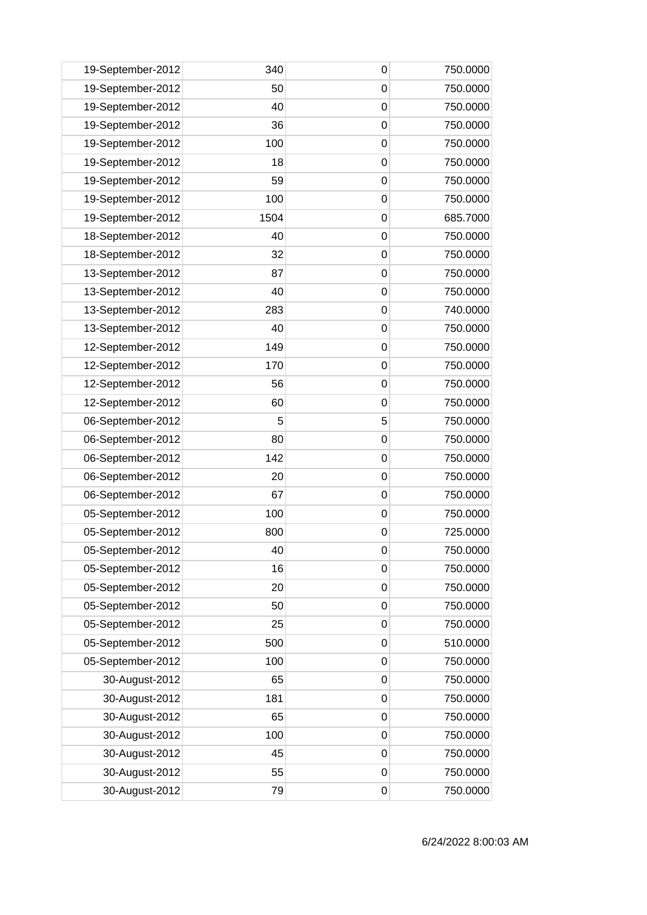| 19-September-2012 | 340  | 0           | 750.0000 |
|-------------------|------|-------------|----------|
| 19-September-2012 | 50   | 0           | 750.0000 |
| 19-September-2012 | 40   | 0           | 750.0000 |
| 19-September-2012 | 36   | $\mathbf 0$ | 750.0000 |
| 19-September-2012 | 100  | $\mathbf 0$ | 750.0000 |
| 19-September-2012 | 18   | 0           | 750.0000 |
| 19-September-2012 | 59   | 0           | 750.0000 |
| 19-September-2012 | 100  | 0           | 750.0000 |
| 19-September-2012 | 1504 | $\mathbf 0$ | 685.7000 |
| 18-September-2012 | 40   | 0           | 750.0000 |
| 18-September-2012 | 32   | $\mathbf 0$ | 750.0000 |
| 13-September-2012 | 87   | $\mathbf 0$ | 750.0000 |
| 13-September-2012 | 40   | 0           | 750.0000 |
| 13-September-2012 | 283  | $\mathbf 0$ | 740.0000 |
| 13-September-2012 | 40   | 0           | 750.0000 |
| 12-September-2012 | 149  | $\mathbf 0$ | 750.0000 |
| 12-September-2012 | 170  | $\mathbf 0$ | 750.0000 |
| 12-September-2012 | 56   | 0           | 750.0000 |
| 12-September-2012 | 60   | 0           | 750.0000 |
| 06-September-2012 | 5    | 5           | 750.0000 |
| 06-September-2012 | 80   | $\mathbf 0$ | 750.0000 |
| 06-September-2012 | 142  | 0           | 750.0000 |
| 06-September-2012 | 20   | $\mathbf 0$ | 750.0000 |
| 06-September-2012 | 67   | $\mathbf 0$ | 750.0000 |
| 05-September-2012 | 100  | 0           | 750.0000 |
| 05-September-2012 | 800  | 0           | 725.0000 |
| 05-September-2012 | 40   | $\mathbf 0$ | 750.0000 |
| 05-September-2012 | 16   | 0           | 750.0000 |
| 05-September-2012 | 20   | $\mathbf 0$ | 750.0000 |
| 05-September-2012 | 50   | $\mathbf 0$ | 750.0000 |
| 05-September-2012 | 25   | 0           | 750.0000 |
| 05-September-2012 | 500  | $\mathbf 0$ | 510.0000 |
| 05-September-2012 | 100  | $\mathbf 0$ | 750.0000 |
| 30-August-2012    | 65   | $\mathbf 0$ | 750.0000 |
| 30-August-2012    | 181  | $\mathbf 0$ | 750.0000 |
| 30-August-2012    | 65   | $\mathbf 0$ | 750.0000 |
| 30-August-2012    | 100  | 0           | 750.0000 |
| 30-August-2012    | 45   | $\mathbf 0$ | 750.0000 |
| 30-August-2012    | 55   | $\mathbf 0$ | 750.0000 |
| 30-August-2012    | 79   | $\mathbf 0$ | 750.0000 |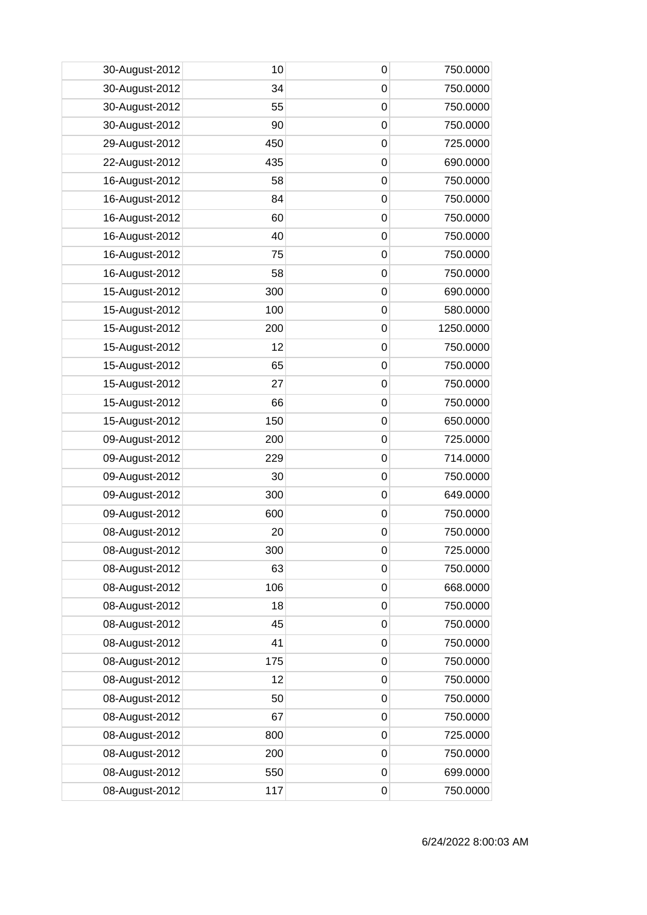| 30-August-2012 | 10  | 0           | 750.0000  |
|----------------|-----|-------------|-----------|
| 30-August-2012 | 34  | 0           | 750.0000  |
| 30-August-2012 | 55  | 0           | 750.0000  |
| 30-August-2012 | 90  | $\mathbf 0$ | 750.0000  |
| 29-August-2012 | 450 | $\mathbf 0$ | 725.0000  |
| 22-August-2012 | 435 | 0           | 690.0000  |
| 16-August-2012 | 58  | 0           | 750.0000  |
| 16-August-2012 | 84  | 0           | 750.0000  |
| 16-August-2012 | 60  | $\mathbf 0$ | 750.0000  |
| 16-August-2012 | 40  | $\mathbf 0$ | 750.0000  |
| 16-August-2012 | 75  | $\mathbf 0$ | 750.0000  |
| 16-August-2012 | 58  | $\mathbf 0$ | 750.0000  |
| 15-August-2012 | 300 | 0           | 690.0000  |
| 15-August-2012 | 100 | $\mathbf 0$ | 580.0000  |
| 15-August-2012 | 200 | 0           | 1250.0000 |
| 15-August-2012 | 12  | $\mathbf 0$ | 750.0000  |
| 15-August-2012 | 65  | $\mathbf 0$ | 750.0000  |
| 15-August-2012 | 27  | 0           | 750.0000  |
| 15-August-2012 | 66  | 0           | 750.0000  |
| 15-August-2012 | 150 | 0           | 650.0000  |
| 09-August-2012 | 200 | $\mathbf 0$ | 725.0000  |
| 09-August-2012 | 229 | 0           | 714.0000  |
| 09-August-2012 | 30  | $\mathbf 0$ | 750.0000  |
| 09-August-2012 | 300 | $\mathbf 0$ | 649.0000  |
| 09-August-2012 | 600 | 0           | 750.0000  |
| 08-August-2012 | 20  | 0           | 750.0000  |
| 08-August-2012 | 300 | $\mathbf 0$ | 725.0000  |
| 08-August-2012 | 63  | 0           | 750.0000  |
| 08-August-2012 | 106 | $\mathbf 0$ | 668.0000  |
| 08-August-2012 | 18  | $\mathbf 0$ | 750.0000  |
| 08-August-2012 | 45  | 0           | 750.0000  |
| 08-August-2012 | 41  | $\mathbf 0$ | 750.0000  |
| 08-August-2012 | 175 | $\mathbf 0$ | 750.0000  |
| 08-August-2012 | 12  | $\mathbf 0$ | 750.0000  |
| 08-August-2012 | 50  | $\mathbf 0$ | 750.0000  |
| 08-August-2012 | 67  | $\mathbf 0$ | 750.0000  |
| 08-August-2012 | 800 | 0           | 725.0000  |
| 08-August-2012 | 200 | $\mathbf 0$ | 750.0000  |
| 08-August-2012 | 550 | $\mathbf 0$ | 699.0000  |
| 08-August-2012 | 117 | $\mathbf 0$ | 750.0000  |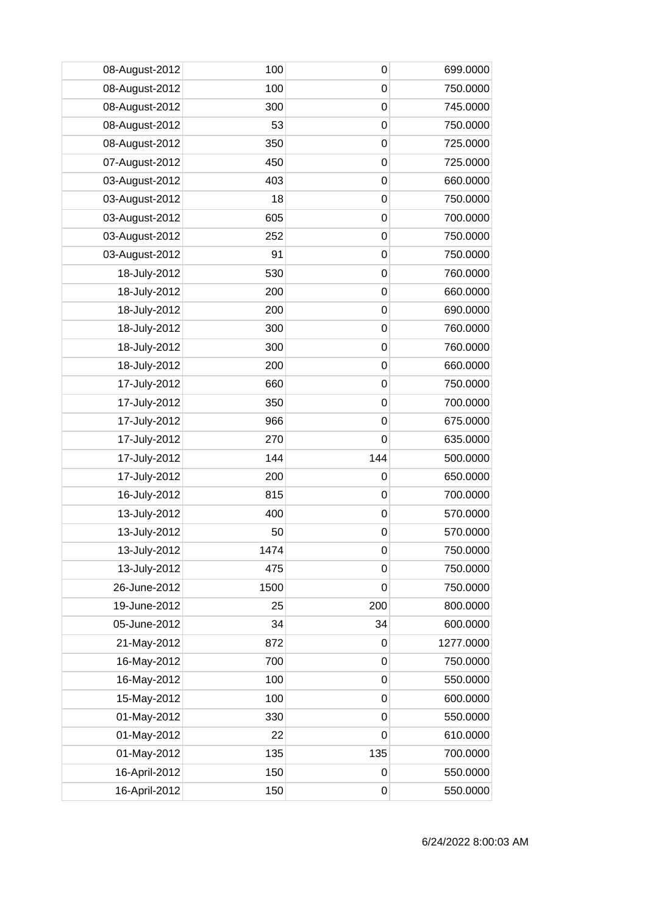| 08-August-2012 | 100  | 0                | 699.0000  |
|----------------|------|------------------|-----------|
| 08-August-2012 | 100  | 0                | 750.0000  |
| 08-August-2012 | 300  | $\mathbf 0$      | 745.0000  |
| 08-August-2012 | 53   | $\mathbf 0$      | 750.0000  |
| 08-August-2012 | 350  | $\mathbf 0$      | 725.0000  |
| 07-August-2012 | 450  | $\mathbf 0$      | 725.0000  |
| 03-August-2012 | 403  | 0                | 660.0000  |
| 03-August-2012 | 18   | 0                | 750.0000  |
| 03-August-2012 | 605  | $\mathbf 0$      | 700.0000  |
| 03-August-2012 | 252  | $\mathbf 0$      | 750.0000  |
| 03-August-2012 | 91   | $\mathbf 0$      | 750.0000  |
| 18-July-2012   | 530  | $\mathbf 0$      | 760.0000  |
| 18-July-2012   | 200  | 0                | 660.0000  |
| 18-July-2012   | 200  | $\mathbf 0$      | 690.0000  |
| 18-July-2012   | 300  | 0                | 760.0000  |
| 18-July-2012   | 300  | $\mathbf 0$      | 760.0000  |
| 18-July-2012   | 200  | $\mathbf 0$      | 660.0000  |
| 17-July-2012   | 660  | $\mathbf 0$      | 750.0000  |
| 17-July-2012   | 350  | 0                | 700.0000  |
| 17-July-2012   | 966  | 0                | 675.0000  |
| 17-July-2012   | 270  | $\mathbf 0$      | 635.0000  |
| 17-July-2012   | 144  | 144              | 500.0000  |
| 17-July-2012   | 200  | $\mathbf 0$      | 650.0000  |
| 16-July-2012   | 815  | $\mathbf 0$      | 700.0000  |
| 13-July-2012   | 400  | 0                | 570.0000  |
| 13-July-2012   | 50   | $\mathbf 0$      | 570.0000  |
| 13-July-2012   | 1474 | $\pmb{0}$        | 750.0000  |
| 13-July-2012   | 475  | $\mathbf 0$      | 750.0000  |
| 26-June-2012   | 1500 | $\boldsymbol{0}$ | 750.0000  |
| 19-June-2012   | 25   | 200              | 800.0000  |
| 05-June-2012   | 34   | 34               | 600.0000  |
| 21-May-2012    | 872  | $\mathbf 0$      | 1277.0000 |
| 16-May-2012    | 700  | $\mathbf 0$      | 750.0000  |
| 16-May-2012    | 100  | $\mathbf 0$      | 550.0000  |
| 15-May-2012    | 100  | $\boldsymbol{0}$ | 600.0000  |
| 01-May-2012    | 330  | $\mathbf 0$      | 550.0000  |
| 01-May-2012    | 22   | $\mathbf 0$      | 610.0000  |
| 01-May-2012    | 135  | 135              | 700.0000  |
| 16-April-2012  | 150  | $\mathbf 0$      | 550.0000  |
| 16-April-2012  | 150  | $\pmb{0}$        | 550.0000  |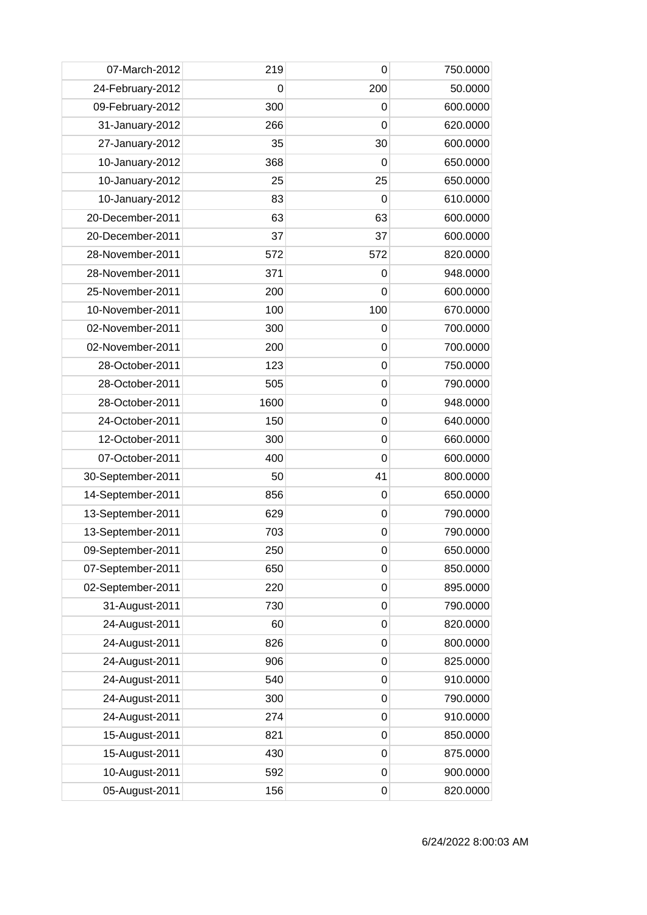| 07-March-2012     | 219  | 0           | 750.0000 |
|-------------------|------|-------------|----------|
| 24-February-2012  | 0    | 200         | 50.0000  |
| 09-February-2012  | 300  | 0           | 600.0000 |
| 31-January-2012   | 266  | $\mathbf 0$ | 620.0000 |
| 27-January-2012   | 35   | 30          | 600.0000 |
| 10-January-2012   | 368  | 0           | 650.0000 |
| 10-January-2012   | 25   | 25          | 650.0000 |
| 10-January-2012   | 83   | 0           | 610.0000 |
| 20-December-2011  | 63   | 63          | 600.0000 |
| 20-December-2011  | 37   | 37          | 600.0000 |
| 28-November-2011  | 572  | 572         | 820.0000 |
| 28-November-2011  | 371  | 0           | 948.0000 |
| 25-November-2011  | 200  | 0           | 600.0000 |
| 10-November-2011  | 100  | 100         | 670.0000 |
| 02-November-2011  | 300  | 0           | 700.0000 |
| 02-November-2011  | 200  | $\mathbf 0$ | 700.0000 |
| 28-October-2011   | 123  | $\mathbf 0$ | 750.0000 |
| 28-October-2011   | 505  | 0           | 790.0000 |
| 28-October-2011   | 1600 | 0           | 948.0000 |
| 24-October-2011   | 150  | 0           | 640.0000 |
| 12-October-2011   | 300  | $\mathbf 0$ | 660.0000 |
| 07-October-2011   | 400  | 0           | 600.0000 |
| 30-September-2011 | 50   | 41          | 800.0000 |
| 14-September-2011 | 856  | $\mathbf 0$ | 650.0000 |
| 13-September-2011 | 629  | 0           | 790.0000 |
| 13-September-2011 | 703  | 0           | 790.0000 |
| 09-September-2011 | 250  | 0           | 650.0000 |
| 07-September-2011 | 650  | 0           | 850.0000 |
| 02-September-2011 | 220  | $\mathbf 0$ | 895.0000 |
| 31-August-2011    | 730  | $\mathbf 0$ | 790.0000 |
| 24-August-2011    | 60   | 0           | 820.0000 |
| 24-August-2011    | 826  | $\mathbf 0$ | 800.0000 |
| 24-August-2011    | 906  | $\mathbf 0$ | 825.0000 |
| 24-August-2011    | 540  | 0           | 910.0000 |
| 24-August-2011    | 300  | $\mathbf 0$ | 790.0000 |
| 24-August-2011    | 274  | $\mathbf 0$ | 910.0000 |
| 15-August-2011    | 821  | 0           | 850.0000 |
| 15-August-2011    | 430  | 0           | 875.0000 |
| 10-August-2011    | 592  | $\mathbf 0$ | 900.0000 |
| 05-August-2011    | 156  | 0           | 820.0000 |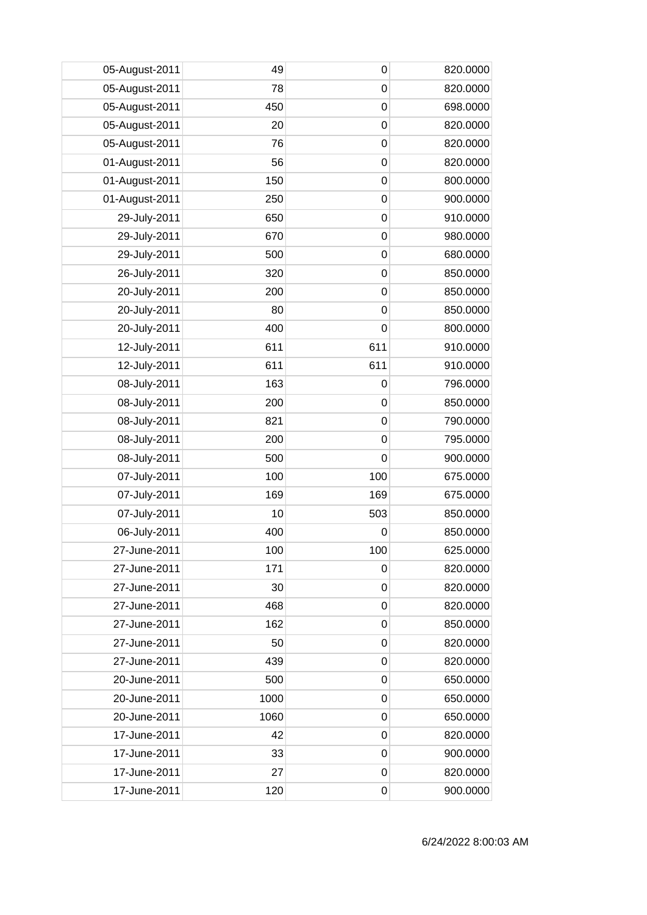| 05-August-2011 | 49   | 0           | 820.0000 |
|----------------|------|-------------|----------|
| 05-August-2011 | 78   | $\mathbf 0$ | 820.0000 |
| 05-August-2011 | 450  | $\mathbf 0$ | 698.0000 |
| 05-August-2011 | 20   | $\mathbf 0$ | 820.0000 |
| 05-August-2011 | 76   | $\mathbf 0$ | 820.0000 |
| 01-August-2011 | 56   | $\mathbf 0$ | 820.0000 |
| 01-August-2011 | 150  | 0           | 800.0000 |
| 01-August-2011 | 250  | $\mathbf 0$ | 900.0000 |
| 29-July-2011   | 650  | $\mathbf 0$ | 910.0000 |
| 29-July-2011   | 670  | $\mathbf 0$ | 980.0000 |
| 29-July-2011   | 500  | $\mathbf 0$ | 680.0000 |
| 26-July-2011   | 320  | $\mathbf 0$ | 850.0000 |
| 20-July-2011   | 200  | 0           | 850.0000 |
| 20-July-2011   | 80   | $\mathbf 0$ | 850.0000 |
| 20-July-2011   | 400  | 0           | 800.0000 |
| 12-July-2011   | 611  | 611         | 910.0000 |
| 12-July-2011   | 611  | 611         | 910.0000 |
| 08-July-2011   | 163  | 0           | 796.0000 |
| 08-July-2011   | 200  | 0           | 850.0000 |
| 08-July-2011   | 821  | 0           | 790.0000 |
| 08-July-2011   | 200  | $\mathbf 0$ | 795.0000 |
| 08-July-2011   | 500  | $\mathbf 0$ | 900.0000 |
| 07-July-2011   | 100  | 100         | 675.0000 |
| 07-July-2011   | 169  | 169         | 675.0000 |
| 07-July-2011   | 10   | 503         | 850.0000 |
| 06-July-2011   | 400  | 0           | 850.0000 |
| 27-June-2011   | 100  | 100         | 625.0000 |
| 27-June-2011   | 171  | 0           | 820.0000 |
| 27-June-2011   | 30   | $\mathbf 0$ | 820.0000 |
| 27-June-2011   | 468  | $\mathbf 0$ | 820.0000 |
| 27-June-2011   | 162  | 0           | 850.0000 |
| 27-June-2011   | 50   | 0           | 820.0000 |
| 27-June-2011   | 439  | 0           | 820.0000 |
| 20-June-2011   | 500  | $\mathbf 0$ | 650.0000 |
| 20-June-2011   | 1000 | 0           | 650.0000 |
| 20-June-2011   | 1060 | $\mathbf 0$ | 650.0000 |
| 17-June-2011   | 42   | 0           | 820.0000 |
| 17-June-2011   | 33   | 0           | 900.0000 |
| 17-June-2011   | 27   | $\mathbf 0$ | 820.0000 |
| 17-June-2011   | 120  | 0           | 900.0000 |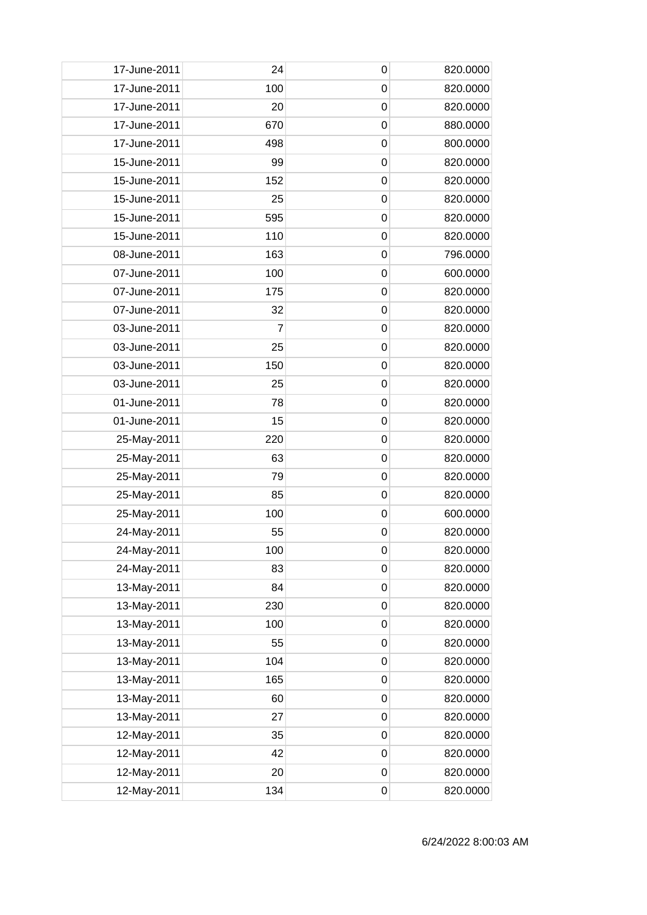| 17-June-2011 | 24  | 0                | 820.0000 |
|--------------|-----|------------------|----------|
| 17-June-2011 | 100 | $\mathbf 0$      | 820.0000 |
| 17-June-2011 | 20  | $\mathbf 0$      | 820.0000 |
| 17-June-2011 | 670 | $\mathbf 0$      | 880.0000 |
| 17-June-2011 | 498 | $\mathbf 0$      | 800.0000 |
| 15-June-2011 | 99  | $\mathbf 0$      | 820.0000 |
| 15-June-2011 | 152 | 0                | 820.0000 |
| 15-June-2011 | 25  | 0                | 820.0000 |
| 15-June-2011 | 595 | $\mathbf 0$      | 820.0000 |
| 15-June-2011 | 110 | $\mathbf 0$      | 820.0000 |
| 08-June-2011 | 163 | $\mathbf 0$      | 796.0000 |
| 07-June-2011 | 100 | $\mathbf 0$      | 600.0000 |
| 07-June-2011 | 175 | 0                | 820.0000 |
| 07-June-2011 | 32  | $\mathbf 0$      | 820.0000 |
| 03-June-2011 | 7   | 0                | 820.0000 |
| 03-June-2011 | 25  | $\mathbf 0$      | 820.0000 |
| 03-June-2011 | 150 | $\mathbf 0$      | 820.0000 |
| 03-June-2011 | 25  | $\mathbf 0$      | 820.0000 |
| 01-June-2011 | 78  | 0                | 820.0000 |
| 01-June-2011 | 15  | 0                | 820.0000 |
| 25-May-2011  | 220 | $\mathbf 0$      | 820.0000 |
| 25-May-2011  | 63  | 0                | 820.0000 |
| 25-May-2011  | 79  | $\mathbf 0$      | 820.0000 |
| 25-May-2011  | 85  | $\mathbf 0$      | 820.0000 |
| 25-May-2011  | 100 | 0                | 600.0000 |
| 24-May-2011  | 55  | 0                | 820.0000 |
| 24-May-2011  | 100 | $\pmb{0}$        | 820.0000 |
| 24-May-2011  | 83  | 0                | 820.0000 |
| 13-May-2011  | 84  | $\mathbf 0$      | 820.0000 |
| 13-May-2011  | 230 | $\mathbf 0$      | 820.0000 |
| 13-May-2011  | 100 | $\mathbf 0$      | 820.0000 |
| 13-May-2011  | 55  | $\mathbf 0$      | 820.0000 |
| 13-May-2011  | 104 | 0                | 820.0000 |
| 13-May-2011  | 165 | $\mathbf 0$      | 820.0000 |
| 13-May-2011  | 60  | $\mathbf 0$      | 820.0000 |
| 13-May-2011  | 27  | $\mathbf 0$      | 820.0000 |
| 12-May-2011  | 35  | $\mathbf 0$      | 820.0000 |
| 12-May-2011  | 42  | 0                | 820.0000 |
| 12-May-2011  | 20  | $\boldsymbol{0}$ | 820.0000 |
| 12-May-2011  | 134 | $\mathbf 0$      | 820.0000 |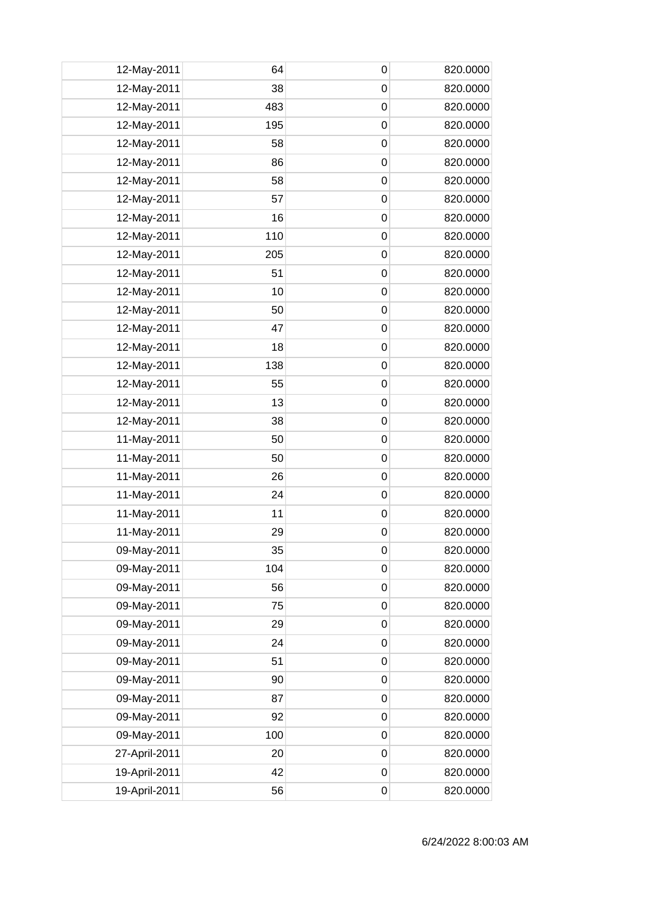| 12-May-2011   | 64  | 0           | 820.0000 |
|---------------|-----|-------------|----------|
| 12-May-2011   | 38  | 0           | 820.0000 |
| 12-May-2011   | 483 | 0           | 820.0000 |
| 12-May-2011   | 195 | $\mathbf 0$ | 820.0000 |
| 12-May-2011   | 58  | $\mathbf 0$ | 820.0000 |
| 12-May-2011   | 86  | $\mathbf 0$ | 820.0000 |
| 12-May-2011   | 58  | 0           | 820.0000 |
| 12-May-2011   | 57  | 0           | 820.0000 |
| 12-May-2011   | 16  | $\mathbf 0$ | 820.0000 |
| 12-May-2011   | 110 | $\mathbf 0$ | 820.0000 |
| 12-May-2011   | 205 | $\mathbf 0$ | 820.0000 |
| 12-May-2011   | 51  | $\mathbf 0$ | 820.0000 |
| 12-May-2011   | 10  | 0           | 820.0000 |
| 12-May-2011   | 50  | $\mathbf 0$ | 820.0000 |
| 12-May-2011   | 47  | 0           | 820.0000 |
| 12-May-2011   | 18  | $\mathbf 0$ | 820.0000 |
| 12-May-2011   | 138 | $\mathbf 0$ | 820.0000 |
| 12-May-2011   | 55  | $\mathbf 0$ | 820.0000 |
| 12-May-2011   | 13  | 0           | 820.0000 |
| 12-May-2011   | 38  | 0           | 820.0000 |
| 11-May-2011   | 50  | $\mathbf 0$ | 820.0000 |
| 11-May-2011   | 50  | 0           | 820.0000 |
| 11-May-2011   | 26  | $\mathbf 0$ | 820.0000 |
| 11-May-2011   | 24  | $\mathbf 0$ | 820.0000 |
| 11-May-2011   | 11  | 0           | 820.0000 |
| 11-May-2011   | 29  | 0           | 820.0000 |
| 09-May-2011   | 35  | $\pmb{0}$   | 820.0000 |
| 09-May-2011   | 104 | 0           | 820.0000 |
| 09-May-2011   | 56  | $\mathbf 0$ | 820.0000 |
| 09-May-2011   | 75  | $\mathbf 0$ | 820.0000 |
| 09-May-2011   | 29  | $\mathbf 0$ | 820.0000 |
| 09-May-2011   | 24  | $\mathbf 0$ | 820.0000 |
| 09-May-2011   | 51  | 0           | 820.0000 |
| 09-May-2011   | 90  | $\mathbf 0$ | 820.0000 |
| 09-May-2011   | 87  | $\mathbf 0$ | 820.0000 |
| 09-May-2011   | 92  | $\mathbf 0$ | 820.0000 |
| 09-May-2011   | 100 | $\mathbf 0$ | 820.0000 |
| 27-April-2011 | 20  | 0           | 820.0000 |
| 19-April-2011 | 42  | $\mathbf 0$ | 820.0000 |
| 19-April-2011 | 56  | $\mathbf 0$ | 820.0000 |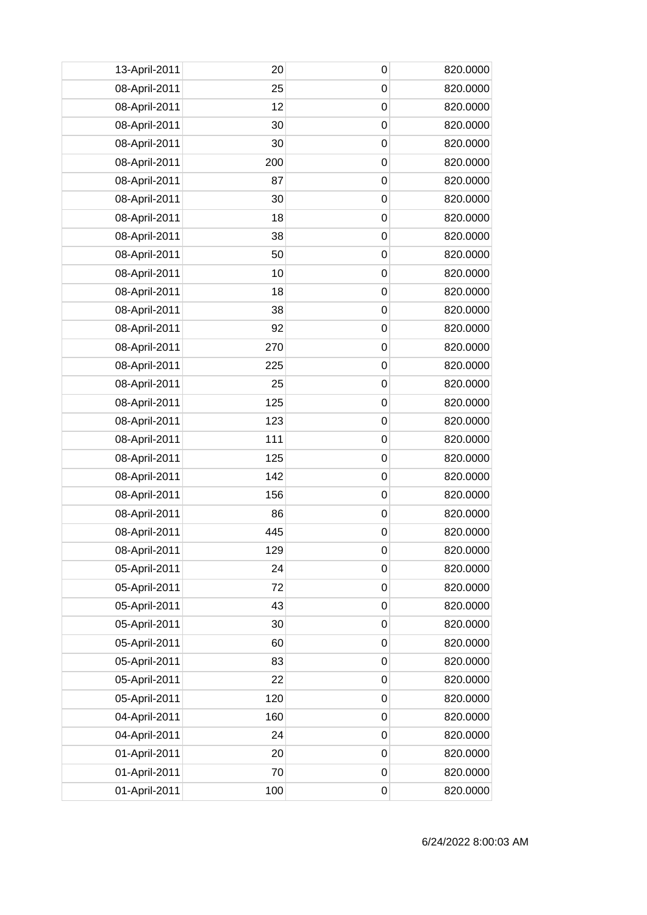| 13-April-2011 | 20  | 0           | 820.0000 |
|---------------|-----|-------------|----------|
| 08-April-2011 | 25  | $\mathbf 0$ | 820.0000 |
| 08-April-2011 | 12  | 0           | 820.0000 |
| 08-April-2011 | 30  | $\mathbf 0$ | 820.0000 |
| 08-April-2011 | 30  | $\mathbf 0$ | 820.0000 |
| 08-April-2011 | 200 | $\mathbf 0$ | 820.0000 |
| 08-April-2011 | 87  | 0           | 820.0000 |
| 08-April-2011 | 30  | 0           | 820.0000 |
| 08-April-2011 | 18  | $\mathbf 0$ | 820.0000 |
| 08-April-2011 | 38  | $\mathbf 0$ | 820.0000 |
| 08-April-2011 | 50  | $\mathbf 0$ | 820.0000 |
| 08-April-2011 | 10  | $\mathbf 0$ | 820.0000 |
| 08-April-2011 | 18  | 0           | 820.0000 |
| 08-April-2011 | 38  | $\mathbf 0$ | 820.0000 |
| 08-April-2011 | 92  | 0           | 820.0000 |
| 08-April-2011 | 270 | $\mathbf 0$ | 820.0000 |
| 08-April-2011 | 225 | $\mathbf 0$ | 820.0000 |
| 08-April-2011 | 25  | $\mathbf 0$ | 820.0000 |
| 08-April-2011 | 125 | 0           | 820.0000 |
| 08-April-2011 | 123 | 0           | 820.0000 |
| 08-April-2011 | 111 | $\mathbf 0$ | 820.0000 |
| 08-April-2011 | 125 | 0           | 820.0000 |
| 08-April-2011 | 142 | $\mathbf 0$ | 820.0000 |
| 08-April-2011 | 156 | $\mathbf 0$ | 820.0000 |
| 08-April-2011 | 86  | 0           | 820.0000 |
| 08-April-2011 | 445 | $\mathbf 0$ | 820.0000 |
| 08-April-2011 | 129 | 0           | 820.0000 |
| 05-April-2011 | 24  | 0           | 820.0000 |
| 05-April-2011 | 72  | $\mathbf 0$ | 820.0000 |
| 05-April-2011 | 43  | $\mathbf 0$ | 820.0000 |
| 05-April-2011 | 30  | 0           | 820.0000 |
| 05-April-2011 | 60  | $\mathbf 0$ | 820.0000 |
| 05-April-2011 | 83  | $\mathbf 0$ | 820.0000 |
| 05-April-2011 | 22  | $\mathbf 0$ | 820.0000 |
| 05-April-2011 | 120 | $\mathbf 0$ | 820.0000 |
| 04-April-2011 | 160 | $\mathbf 0$ | 820.0000 |
| 04-April-2011 | 24  | 0           | 820.0000 |
| 01-April-2011 | 20  | $\mathbf 0$ | 820.0000 |
| 01-April-2011 | 70  | $\mathbf 0$ | 820.0000 |
| 01-April-2011 | 100 | $\mathbf 0$ | 820.0000 |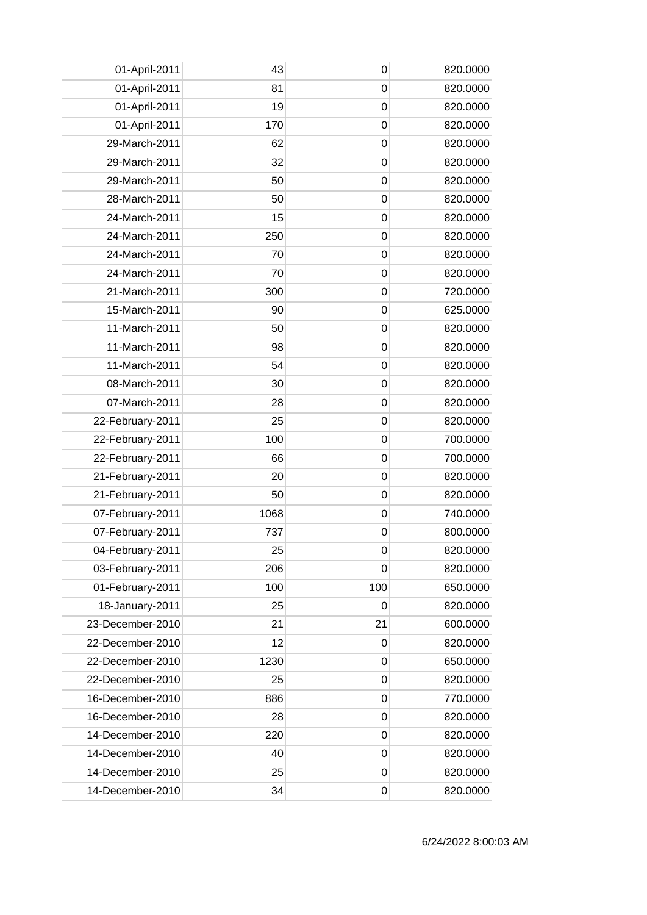| 01-April-2011    | 43   | 0                | 820.0000 |
|------------------|------|------------------|----------|
| 01-April-2011    | 81   | $\mathbf 0$      | 820.0000 |
| 01-April-2011    | 19   | $\mathbf 0$      | 820.0000 |
| 01-April-2011    | 170  | $\mathbf 0$      | 820.0000 |
| 29-March-2011    | 62   | $\mathbf 0$      | 820.0000 |
| 29-March-2011    | 32   | $\mathbf 0$      | 820.0000 |
| 29-March-2011    | 50   | 0                | 820.0000 |
| 28-March-2011    | 50   | 0                | 820.0000 |
| 24-March-2011    | 15   | $\mathbf 0$      | 820.0000 |
| 24-March-2011    | 250  | $\mathbf 0$      | 820.0000 |
| 24-March-2011    | 70   | $\mathbf 0$      | 820.0000 |
| 24-March-2011    | 70   | $\mathbf 0$      | 820.0000 |
| 21-March-2011    | 300  | 0                | 720.0000 |
| 15-March-2011    | 90   | $\mathbf 0$      | 625.0000 |
| 11-March-2011    | 50   | 0                | 820.0000 |
| 11-March-2011    | 98   | $\mathbf 0$      | 820.0000 |
| 11-March-2011    | 54   | $\mathbf 0$      | 820.0000 |
| 08-March-2011    | 30   | $\mathbf 0$      | 820.0000 |
| 07-March-2011    | 28   | 0                | 820.0000 |
| 22-February-2011 | 25   | 0                | 820.0000 |
| 22-February-2011 | 100  | $\mathbf 0$      | 700.0000 |
| 22-February-2011 | 66   | 0                | 700.0000 |
| 21-February-2011 | 20   | $\mathbf 0$      | 820.0000 |
| 21-February-2011 | 50   | $\mathbf 0$      | 820.0000 |
| 07-February-2011 | 1068 | 0                | 740.0000 |
| 07-February-2011 | 737  | $\mathbf 0$      | 800.0000 |
| 04-February-2011 | 25   | $\pmb{0}$        | 820.0000 |
| 03-February-2011 | 206  | 0                | 820.0000 |
| 01-February-2011 | 100  | 100              | 650.0000 |
| 18-January-2011  | 25   | 0                | 820.0000 |
| 23-December-2010 | 21   | 21               | 600.0000 |
| 22-December-2010 | 12   | $\mathbf 0$      | 820.0000 |
| 22-December-2010 | 1230 | $\mathbf 0$      | 650.0000 |
| 22-December-2010 | 25   | $\mathbf 0$      | 820.0000 |
| 16-December-2010 | 886  | $\mathbf 0$      | 770.0000 |
| 16-December-2010 | 28   | $\mathbf 0$      | 820.0000 |
| 14-December-2010 | 220  | $\mathbf 0$      | 820.0000 |
| 14-December-2010 | 40   | 0                | 820.0000 |
| 14-December-2010 | 25   | $\boldsymbol{0}$ | 820.0000 |
| 14-December-2010 | 34   | 0                | 820.0000 |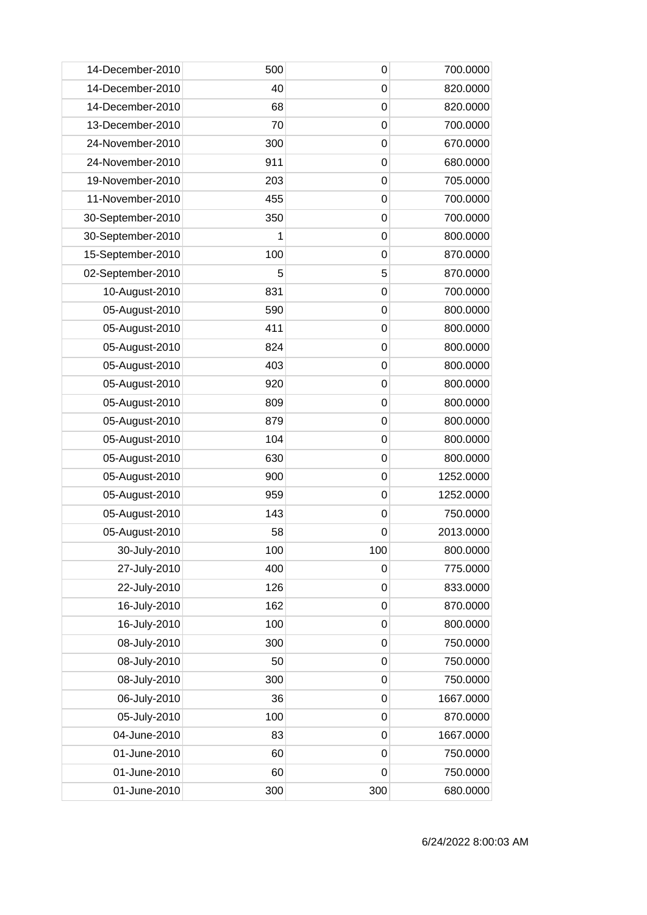| 14-December-2010  | 500 | 0           | 700.0000  |
|-------------------|-----|-------------|-----------|
| 14-December-2010  | 40  | $\mathbf 0$ | 820.0000  |
| 14-December-2010  | 68  | 0           | 820.0000  |
| 13-December-2010  | 70  | $\mathbf 0$ | 700.0000  |
| 24-November-2010  | 300 | $\mathbf 0$ | 670.0000  |
| 24-November-2010  | 911 | $\mathbf 0$ | 680.0000  |
| 19-November-2010  | 203 | 0           | 705.0000  |
| 11-November-2010  | 455 | 0           | 700.0000  |
| 30-September-2010 | 350 | $\mathbf 0$ | 700.0000  |
| 30-September-2010 | 1   | $\mathbf 0$ | 800.0000  |
| 15-September-2010 | 100 | $\mathbf 0$ | 870.0000  |
| 02-September-2010 | 5   | 5           | 870.0000  |
| 10-August-2010    | 831 | 0           | 700.0000  |
| 05-August-2010    | 590 | $\mathbf 0$ | 800.0000  |
| 05-August-2010    | 411 | 0           | 800.0000  |
| 05-August-2010    | 824 | $\mathbf 0$ | 800.0000  |
| 05-August-2010    | 403 | $\mathbf 0$ | 800.0000  |
| 05-August-2010    | 920 | $\mathbf 0$ | 800.0000  |
| 05-August-2010    | 809 | 0           | 800.0000  |
| 05-August-2010    | 879 | 0           | 800.0000  |
| 05-August-2010    | 104 | $\mathbf 0$ | 800.0000  |
| 05-August-2010    | 630 | 0           | 800.0000  |
| 05-August-2010    | 900 | $\mathbf 0$ | 1252.0000 |
| 05-August-2010    | 959 | $\mathbf 0$ | 1252.0000 |
| 05-August-2010    | 143 | 0           | 750.0000  |
| 05-August-2010    | 58  | 0           | 2013.0000 |
| 30-July-2010      | 100 | 100         | 800.0000  |
| 27-July-2010      | 400 | $\mathbf 0$ | 775.0000  |
| 22-July-2010      | 126 | $\mathbf 0$ | 833.0000  |
| 16-July-2010      | 162 | $\mathbf 0$ | 870.0000  |
| 16-July-2010      | 100 | $\mathbf 0$ | 800.0000  |
| 08-July-2010      | 300 | $\mathbf 0$ | 750.0000  |
| 08-July-2010      | 50  | $\mathbf 0$ | 750.0000  |
| 08-July-2010      | 300 | $\mathbf 0$ | 750.0000  |
| 06-July-2010      | 36  | $\mathbf 0$ | 1667.0000 |
| 05-July-2010      | 100 | $\mathbf 0$ | 870.0000  |
| 04-June-2010      | 83  | $\mathbf 0$ | 1667.0000 |
| 01-June-2010      | 60  | 0           | 750.0000  |
| 01-June-2010      | 60  | $\mathbf 0$ | 750.0000  |
| 01-June-2010      | 300 | 300         | 680.0000  |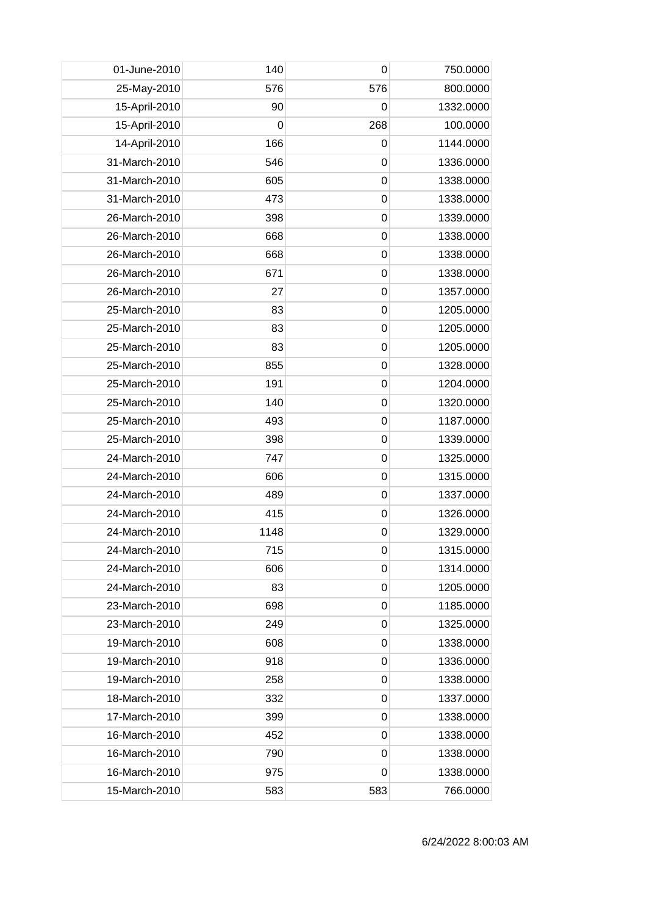| 01-June-2010  | 140         | $\mathbf 0$ | 750.0000  |
|---------------|-------------|-------------|-----------|
| 25-May-2010   | 576         | 576         | 800.0000  |
| 15-April-2010 | 90          | 0           | 1332.0000 |
| 15-April-2010 | $\mathbf 0$ | 268         | 100.0000  |
| 14-April-2010 | 166         | 0           | 1144.0000 |
| 31-March-2010 | 546         | $\mathbf 0$ | 1336.0000 |
| 31-March-2010 | 605         | 0           | 1338.0000 |
| 31-March-2010 | 473         | 0           | 1338.0000 |
| 26-March-2010 | 398         | $\mathbf 0$ | 1339.0000 |
| 26-March-2010 | 668         | $\mathbf 0$ | 1338.0000 |
| 26-March-2010 | 668         | $\mathbf 0$ | 1338.0000 |
| 26-March-2010 | 671         | $\mathbf 0$ | 1338.0000 |
| 26-March-2010 | 27          | 0           | 1357.0000 |
| 25-March-2010 | 83          | $\mathbf 0$ | 1205.0000 |
| 25-March-2010 | 83          | $\mathbf 0$ | 1205.0000 |
| 25-March-2010 | 83          | $\mathbf 0$ | 1205.0000 |
| 25-March-2010 | 855         | $\mathbf 0$ | 1328.0000 |
| 25-March-2010 | 191         | $\mathbf 0$ | 1204.0000 |
| 25-March-2010 | 140         | $\mathbf 0$ | 1320.0000 |
| 25-March-2010 | 493         | 0           | 1187.0000 |
| 25-March-2010 | 398         | $\mathbf 0$ | 1339.0000 |
| 24-March-2010 | 747         | 0           | 1325.0000 |
| 24-March-2010 | 606         | $\mathbf 0$ | 1315.0000 |
| 24-March-2010 | 489         | $\mathbf 0$ | 1337.0000 |
| 24-March-2010 | 415         | 0           | 1326.0000 |
| 24-March-2010 | 1148        | 0           | 1329.0000 |
| 24-March-2010 | 715         | 0           | 1315.0000 |
| 24-March-2010 | 606         | 0           | 1314.0000 |
| 24-March-2010 | 83          | 0           | 1205.0000 |
| 23-March-2010 | 698         | $\mathbf 0$ | 1185.0000 |
| 23-March-2010 | 249         | 0           | 1325.0000 |
| 19-March-2010 | 608         | 0           | 1338.0000 |
| 19-March-2010 | 918         | 0           | 1336.0000 |
| 19-March-2010 | 258         | $\mathbf 0$ | 1338.0000 |
| 18-March-2010 | 332         | 0           | 1337.0000 |
| 17-March-2010 | 399         | $\mathbf 0$ | 1338.0000 |
| 16-March-2010 | 452         | 0           | 1338.0000 |
| 16-March-2010 | 790         | 0           | 1338.0000 |
| 16-March-2010 | 975         | 0           | 1338.0000 |
| 15-March-2010 | 583         | 583         | 766.0000  |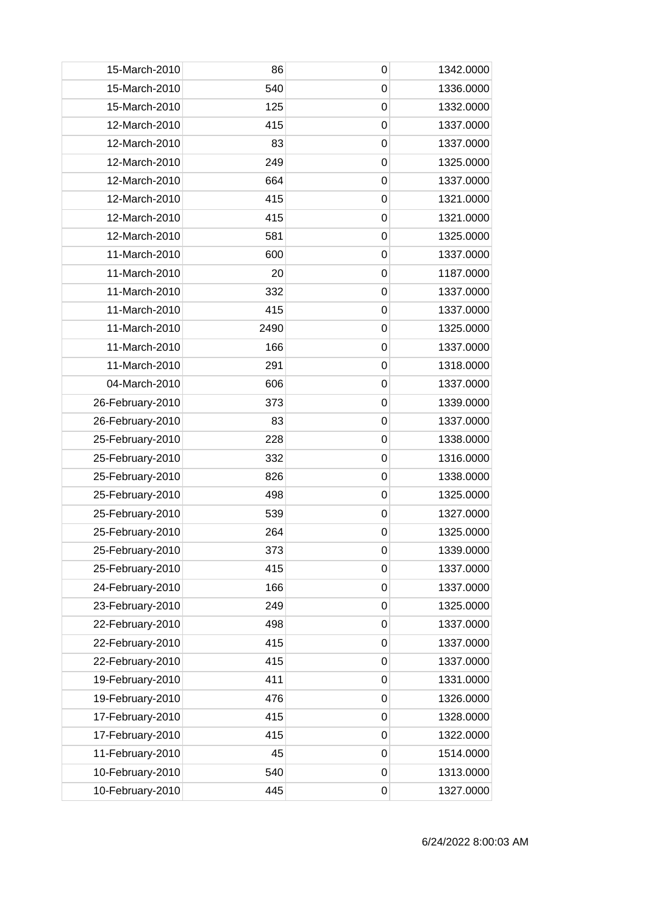| 15-March-2010    | 86   | 0           | 1342.0000 |
|------------------|------|-------------|-----------|
| 15-March-2010    | 540  | $\mathbf 0$ | 1336.0000 |
| 15-March-2010    | 125  | $\mathbf 0$ | 1332.0000 |
| 12-March-2010    | 415  | $\mathbf 0$ | 1337.0000 |
| 12-March-2010    | 83   | $\mathbf 0$ | 1337.0000 |
| 12-March-2010    | 249  | $\mathbf 0$ | 1325.0000 |
| 12-March-2010    | 664  | $\mathbf 0$ | 1337.0000 |
| 12-March-2010    | 415  | $\mathbf 0$ | 1321.0000 |
| 12-March-2010    | 415  | $\mathbf 0$ | 1321.0000 |
| 12-March-2010    | 581  | $\mathbf 0$ | 1325.0000 |
| 11-March-2010    | 600  | $\mathbf 0$ | 1337.0000 |
| 11-March-2010    | 20   | $\mathbf 0$ | 1187.0000 |
| 11-March-2010    | 332  | 0           | 1337.0000 |
| 11-March-2010    | 415  | $\mathbf 0$ | 1337.0000 |
| 11-March-2010    | 2490 | $\mathbf 0$ | 1325.0000 |
| 11-March-2010    | 166  | $\mathbf 0$ | 1337.0000 |
| 11-March-2010    | 291  | $\mathbf 0$ | 1318.0000 |
| 04-March-2010    | 606  | $\mathbf 0$ | 1337.0000 |
| 26-February-2010 | 373  | $\mathbf 0$ | 1339.0000 |
| 26-February-2010 | 83   | 0           | 1337.0000 |
| 25-February-2010 | 228  | $\mathbf 0$ | 1338.0000 |
| 25-February-2010 | 332  | $\mathbf 0$ | 1316.0000 |
| 25-February-2010 | 826  | $\mathbf 0$ | 1338.0000 |
| 25-February-2010 | 498  | $\mathbf 0$ | 1325.0000 |
| 25-February-2010 | 539  | 0           | 1327.0000 |
| 25-February-2010 | 264  | $\mathbf 0$ | 1325.0000 |
| 25-February-2010 | 373  | 0           | 1339.0000 |
| 25-February-2010 | 415  | 0           | 1337.0000 |
| 24-February-2010 | 166  | $\mathbf 0$ | 1337.0000 |
| 23-February-2010 | 249  | $\mathbf 0$ | 1325.0000 |
| 22-February-2010 | 498  | 0           | 1337.0000 |
| 22-February-2010 | 415  | $\mathbf 0$ | 1337.0000 |
| 22-February-2010 | 415  | 0           | 1337.0000 |
| 19-February-2010 | 411  | $\mathbf 0$ | 1331.0000 |
| 19-February-2010 | 476  | $\mathbf 0$ | 1326.0000 |
| 17-February-2010 | 415  | $\mathbf 0$ | 1328.0000 |
| 17-February-2010 | 415  | 0           | 1322.0000 |
| 11-February-2010 | 45   | 0           | 1514.0000 |
| 10-February-2010 | 540  | 0           | 1313.0000 |
| 10-February-2010 | 445  | 0           | 1327.0000 |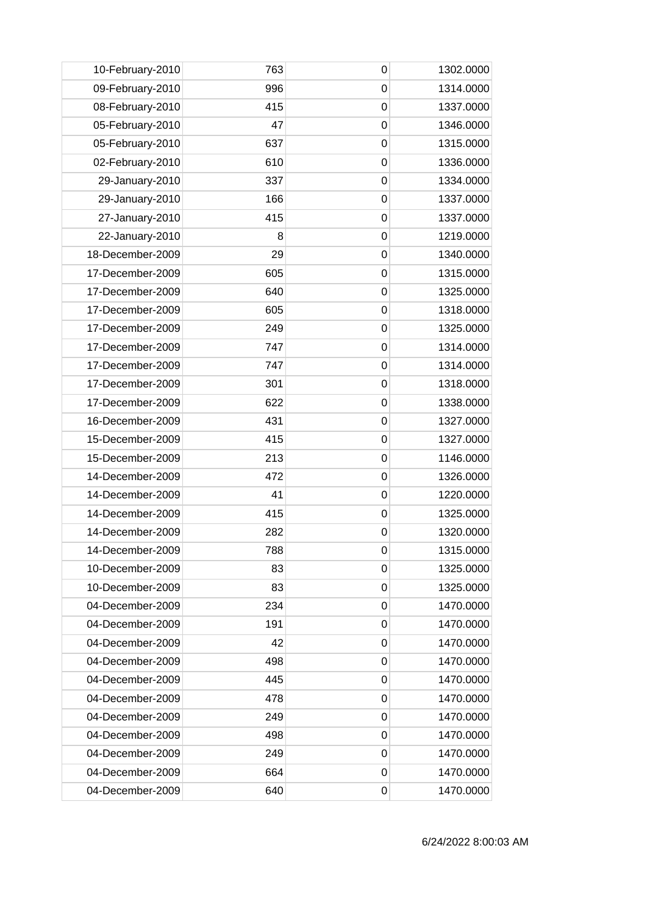| 10-February-2010 | 763 | 0              | 1302.0000 |
|------------------|-----|----------------|-----------|
| 09-February-2010 | 996 | $\mathbf 0$    | 1314.0000 |
| 08-February-2010 | 415 | 0              | 1337.0000 |
| 05-February-2010 | 47  | 0              | 1346.0000 |
| 05-February-2010 | 637 | $\mathbf 0$    | 1315.0000 |
| 02-February-2010 | 610 | $\mathbf 0$    | 1336.0000 |
| 29-January-2010  | 337 | 0              | 1334.0000 |
| 29-January-2010  | 166 | $\mathbf 0$    | 1337.0000 |
| 27-January-2010  | 415 | $\overline{0}$ | 1337.0000 |
| 22-January-2010  | 8   | 0              | 1219.0000 |
| 18-December-2009 | 29  | $\overline{0}$ | 1340.0000 |
| 17-December-2009 | 605 | $\mathbf 0$    | 1315.0000 |
| 17-December-2009 | 640 | 0              | 1325.0000 |
| 17-December-2009 | 605 | $\overline{0}$ | 1318.0000 |
| 17-December-2009 | 249 | $\mathbf 0$    | 1325.0000 |
| 17-December-2009 | 747 | 0              | 1314.0000 |
| 17-December-2009 | 747 | $\mathbf 0$    | 1314.0000 |
| 17-December-2009 | 301 | $\mathbf 0$    | 1318.0000 |
| 17-December-2009 | 622 | 0              | 1338.0000 |
| 16-December-2009 | 431 | 0              | 1327.0000 |
| 15-December-2009 | 415 | $\overline{0}$ | 1327.0000 |
| 15-December-2009 | 213 | 0              | 1146.0000 |
| 14-December-2009 | 472 | $\overline{0}$ | 1326.0000 |
| 14-December-2009 | 41  | $\mathbf 0$    | 1220.0000 |
| 14-December-2009 | 415 | 0              | 1325.0000 |
| 14-December-2009 | 282 | 0              | 1320.0000 |
| 14-December-2009 | 788 | 0              | 1315.0000 |
| 10-December-2009 | 83  | 0              | 1325.0000 |
| 10-December-2009 | 83  | $\mathbf 0$    | 1325.0000 |
| 04-December-2009 | 234 | $\mathbf 0$    | 1470.0000 |
| 04-December-2009 | 191 | 0              | 1470.0000 |
| 04-December-2009 | 42  | 0              | 1470.0000 |
| 04-December-2009 | 498 | 0              | 1470.0000 |
| 04-December-2009 | 445 | 0              | 1470.0000 |
| 04-December-2009 | 478 | 0              | 1470.0000 |
| 04-December-2009 | 249 | $\mathbf 0$    | 1470.0000 |
| 04-December-2009 | 498 | 0              | 1470.0000 |
| 04-December-2009 | 249 | 0              | 1470.0000 |
| 04-December-2009 | 664 | $\mathbf 0$    | 1470.0000 |
| 04-December-2009 | 640 | 0              | 1470.0000 |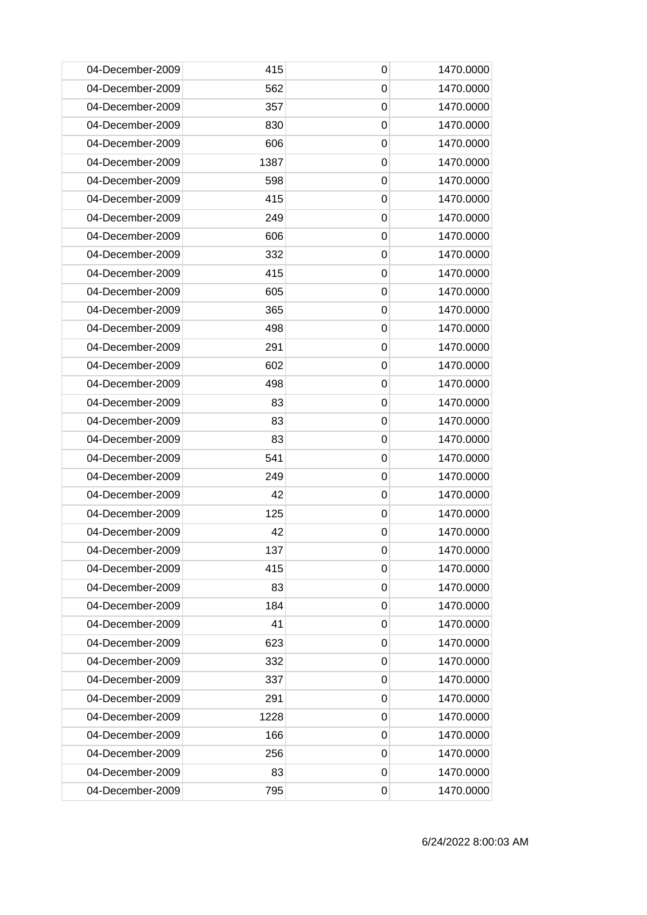| 04-December-2009 | 415  | 0           | 1470.0000 |
|------------------|------|-------------|-----------|
| 04-December-2009 | 562  | 0           | 1470.0000 |
| 04-December-2009 | 357  | 0           | 1470.0000 |
| 04-December-2009 | 830  | $\mathbf 0$ | 1470.0000 |
| 04-December-2009 | 606  | 0           | 1470.0000 |
| 04-December-2009 | 1387 | 0           | 1470.0000 |
| 04-December-2009 | 598  | 0           | 1470.0000 |
| 04-December-2009 | 415  | 0           | 1470.0000 |
| 04-December-2009 | 249  | 0           | 1470.0000 |
| 04-December-2009 | 606  | 0           | 1470.0000 |
| 04-December-2009 | 332  | $\mathbf 0$ | 1470.0000 |
| 04-December-2009 | 415  | 0           | 1470.0000 |
| 04-December-2009 | 605  | 0           | 1470.0000 |
| 04-December-2009 | 365  | $\mathbf 0$ | 1470.0000 |
| 04-December-2009 | 498  | 0           | 1470.0000 |
| 04-December-2009 | 291  | $\mathbf 0$ | 1470.0000 |
| 04-December-2009 | 602  | $\mathbf 0$ | 1470.0000 |
| 04-December-2009 | 498  | 0           | 1470.0000 |
| 04-December-2009 | 83   | 0           | 1470.0000 |
| 04-December-2009 | 83   | 0           | 1470.0000 |
| 04-December-2009 | 83   | 0           | 1470.0000 |
| 04-December-2009 | 541  | 0           | 1470.0000 |
| 04-December-2009 | 249  | $\mathbf 0$ | 1470.0000 |
| 04-December-2009 | 42   | 0           | 1470.0000 |
| 04-December-2009 | 125  | 0           | 1470.0000 |
| 04-December-2009 | 42   | 0           | 1470.0000 |
| 04-December-2009 | 137  | 0           | 1470.0000 |
| 04-December-2009 | 415  | 0           | 1470.0000 |
| 04-December-2009 | 83   | 0           | 1470.0000 |
| 04-December-2009 | 184  | 0           | 1470.0000 |
| 04-December-2009 | 41   | 0           | 1470.0000 |
| 04-December-2009 | 623  | 0           | 1470.0000 |
| 04-December-2009 | 332  | 0           | 1470.0000 |
| 04-December-2009 | 337  | 0           | 1470.0000 |
| 04-December-2009 | 291  | 0           | 1470.0000 |
| 04-December-2009 | 1228 | 0           | 1470.0000 |
| 04-December-2009 | 166  | 0           | 1470.0000 |
| 04-December-2009 | 256  | 0           | 1470.0000 |
| 04-December-2009 | 83   | 0           | 1470.0000 |
| 04-December-2009 | 795  | 0           | 1470.0000 |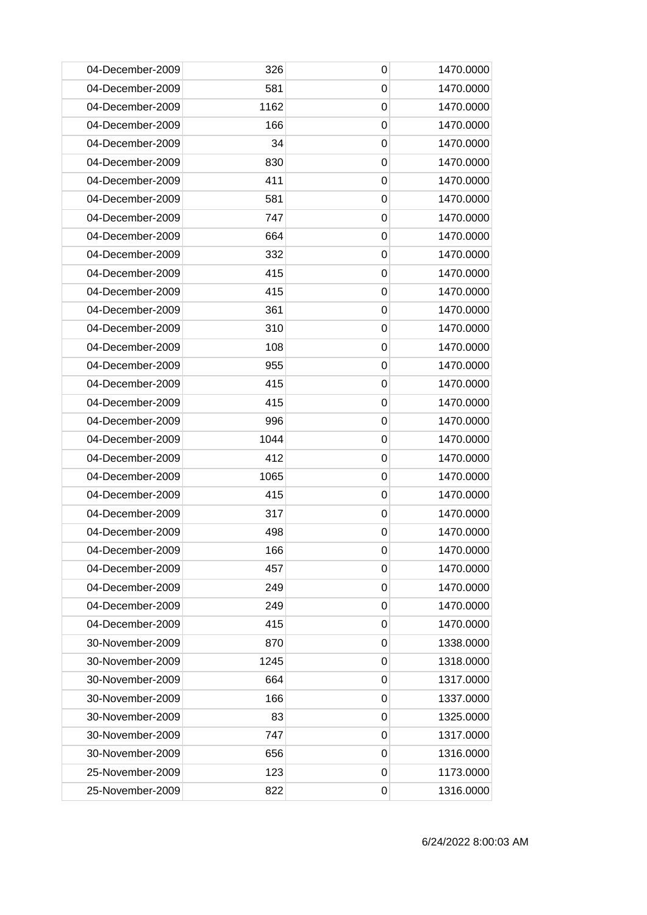| 04-December-2009 | 326  | $\mathbf 0$ | 1470.0000 |
|------------------|------|-------------|-----------|
| 04-December-2009 | 581  | 0           | 1470.0000 |
| 04-December-2009 | 1162 | 0           | 1470.0000 |
| 04-December-2009 | 166  | $\mathbf 0$ | 1470.0000 |
| 04-December-2009 | 34   | 0           | 1470.0000 |
| 04-December-2009 | 830  | 0           | 1470.0000 |
| 04-December-2009 | 411  | 0           | 1470.0000 |
| 04-December-2009 | 581  | 0           | 1470.0000 |
| 04-December-2009 | 747  | 0           | 1470.0000 |
| 04-December-2009 | 664  | 0           | 1470.0000 |
| 04-December-2009 | 332  | $\mathbf 0$ | 1470.0000 |
| 04-December-2009 | 415  | 0           | 1470.0000 |
| 04-December-2009 | 415  | 0           | 1470.0000 |
| 04-December-2009 | 361  | $\mathbf 0$ | 1470.0000 |
| 04-December-2009 | 310  | 0           | 1470.0000 |
| 04-December-2009 | 108  | $\mathbf 0$ | 1470.0000 |
| 04-December-2009 | 955  | $\mathbf 0$ | 1470.0000 |
| 04-December-2009 | 415  | 0           | 1470.0000 |
| 04-December-2009 | 415  | 0           | 1470.0000 |
| 04-December-2009 | 996  | 0           | 1470.0000 |
| 04-December-2009 | 1044 | 0           | 1470.0000 |
| 04-December-2009 | 412  | 0           | 1470.0000 |
| 04-December-2009 | 1065 | $\mathbf 0$ | 1470.0000 |
| 04-December-2009 | 415  | 0           | 1470.0000 |
| 04-December-2009 | 317  | 0           | 1470.0000 |
| 04-December-2009 | 498  | 0           | 1470.0000 |
| 04-December-2009 | 166  | 0           | 1470.0000 |
| 04-December-2009 | 457  | 0           | 1470.0000 |
| 04-December-2009 | 249  | 0           | 1470.0000 |
| 04-December-2009 | 249  | 0           | 1470.0000 |
| 04-December-2009 | 415  | 0           | 1470.0000 |
| 30-November-2009 | 870  | 0           | 1338.0000 |
| 30-November-2009 | 1245 | 0           | 1318.0000 |
| 30-November-2009 | 664  | 0           | 1317.0000 |
| 30-November-2009 | 166  | 0           | 1337.0000 |
| 30-November-2009 | 83   | 0           | 1325.0000 |
| 30-November-2009 | 747  | 0           | 1317.0000 |
| 30-November-2009 | 656  | 0           | 1316.0000 |
| 25-November-2009 | 123  | 0           | 1173.0000 |
| 25-November-2009 | 822  | 0           | 1316.0000 |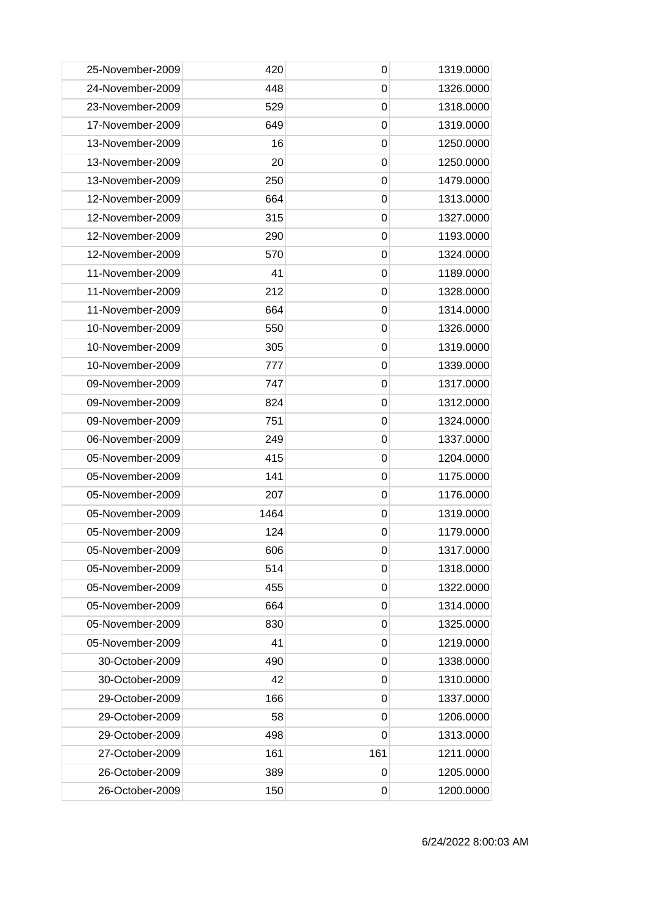| 25-November-2009 | 420  | 0           | 1319.0000 |
|------------------|------|-------------|-----------|
| 24-November-2009 | 448  | 0           | 1326.0000 |
| 23-November-2009 | 529  | 0           | 1318.0000 |
| 17-November-2009 | 649  | $\mathbf 0$ | 1319.0000 |
| 13-November-2009 | 16   | 0           | 1250.0000 |
| 13-November-2009 | 20   | 0           | 1250.0000 |
| 13-November-2009 | 250  | 0           | 1479.0000 |
| 12-November-2009 | 664  | 0           | 1313.0000 |
| 12-November-2009 | 315  | 0           | 1327.0000 |
| 12-November-2009 | 290  | 0           | 1193.0000 |
| 12-November-2009 | 570  | $\mathbf 0$ | 1324.0000 |
| 11-November-2009 | 41   | 0           | 1189.0000 |
| 11-November-2009 | 212  | 0           | 1328.0000 |
| 11-November-2009 | 664  | 0           | 1314.0000 |
| 10-November-2009 | 550  | 0           | 1326.0000 |
| 10-November-2009 | 305  | $\mathbf 0$ | 1319.0000 |
| 10-November-2009 | 777  | 0           | 1339.0000 |
| 09-November-2009 | 747  | 0           | 1317.0000 |
| 09-November-2009 | 824  | 0           | 1312.0000 |
| 09-November-2009 | 751  | 0           | 1324.0000 |
| 06-November-2009 | 249  | 0           | 1337.0000 |
| 05-November-2009 | 415  | 0           | 1204.0000 |
| 05-November-2009 | 141  | 0           | 1175.0000 |
| 05-November-2009 | 207  | 0           | 1176.0000 |
| 05-November-2009 | 1464 | 0           | 1319.0000 |
| 05-November-2009 | 124  | 0           | 1179.0000 |
| 05-November-2009 | 606  | 0           | 1317.0000 |
| 05-November-2009 | 514  | 0           | 1318.0000 |
| 05-November-2009 | 455  | 0           | 1322.0000 |
| 05-November-2009 | 664  | 0           | 1314.0000 |
| 05-November-2009 | 830  | 0           | 1325.0000 |
| 05-November-2009 | 41   | 0           | 1219.0000 |
| 30-October-2009  | 490  | 0           | 1338.0000 |
| 30-October-2009  | 42   | 0           | 1310.0000 |
| 29-October-2009  | 166  | 0           | 1337.0000 |
| 29-October-2009  | 58   | 0           | 1206.0000 |
| 29-October-2009  | 498  | 0           | 1313.0000 |
| 27-October-2009  | 161  | 161         | 1211.0000 |
| 26-October-2009  | 389  | 0           | 1205.0000 |
| 26-October-2009  | 150  | 0           | 1200.0000 |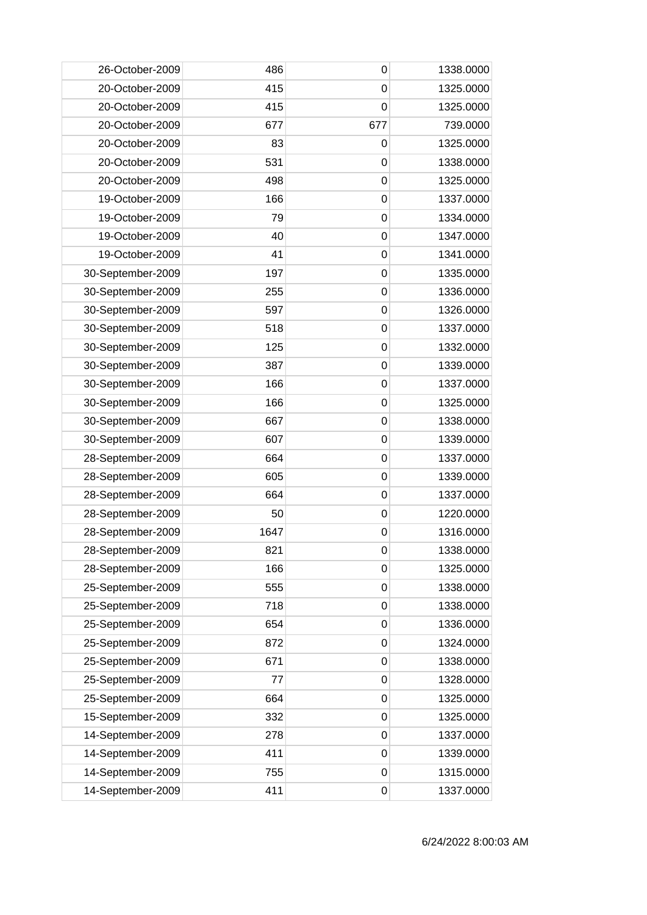| 26-October-2009   | 486  | 0           | 1338.0000 |
|-------------------|------|-------------|-----------|
| 20-October-2009   | 415  | $\mathbf 0$ | 1325.0000 |
| 20-October-2009   | 415  | $\mathbf 0$ | 1325.0000 |
| 20-October-2009   | 677  | 677         | 739.0000  |
| 20-October-2009   | 83   | $\mathbf 0$ | 1325.0000 |
| 20-October-2009   | 531  | 0           | 1338.0000 |
| 20-October-2009   | 498  | 0           | 1325.0000 |
| 19-October-2009   | 166  | $\mathbf 0$ | 1337.0000 |
| 19-October-2009   | 79   | $\mathbf 0$ | 1334.0000 |
| 19-October-2009   | 40   | $\mathbf 0$ | 1347.0000 |
| 19-October-2009   | 41   | $\mathbf 0$ | 1341.0000 |
| 30-September-2009 | 197  | $\mathbf 0$ | 1335.0000 |
| 30-September-2009 | 255  | 0           | 1336.0000 |
| 30-September-2009 | 597  | $\mathbf 0$ | 1326.0000 |
| 30-September-2009 | 518  | 0           | 1337.0000 |
| 30-September-2009 | 125  | $\mathbf 0$ | 1332.0000 |
| 30-September-2009 | 387  | $\mathbf 0$ | 1339.0000 |
| 30-September-2009 | 166  | $\mathbf 0$ | 1337.0000 |
| 30-September-2009 | 166  | 0           | 1325.0000 |
| 30-September-2009 | 667  | 0           | 1338.0000 |
| 30-September-2009 | 607  | $\mathbf 0$ | 1339.0000 |
| 28-September-2009 | 664  | 0           | 1337.0000 |
| 28-September-2009 | 605  | $\mathbf 0$ | 1339.0000 |
| 28-September-2009 | 664  | $\mathbf 0$ | 1337.0000 |
| 28-September-2009 | 50   | 0           | 1220.0000 |
| 28-September-2009 | 1647 | $\mathbf 0$ | 1316.0000 |
| 28-September-2009 | 821  | 0           | 1338.0000 |
| 28-September-2009 | 166  | 0           | 1325.0000 |
| 25-September-2009 | 555  | $\mathbf 0$ | 1338.0000 |
| 25-September-2009 | 718  | $\mathbf 0$ | 1338.0000 |
| 25-September-2009 | 654  | 0           | 1336.0000 |
| 25-September-2009 | 872  | $\mathbf 0$ | 1324.0000 |
| 25-September-2009 | 671  | $\mathbf 0$ | 1338.0000 |
| 25-September-2009 | 77   | 0           | 1328.0000 |
| 25-September-2009 | 664  | $\mathbf 0$ | 1325.0000 |
| 15-September-2009 | 332  | $\mathbf 0$ | 1325.0000 |
| 14-September-2009 | 278  | 0           | 1337.0000 |
| 14-September-2009 | 411  | 0           | 1339.0000 |
| 14-September-2009 | 755  | $\mathbf 0$ | 1315.0000 |
| 14-September-2009 | 411  | 0           | 1337.0000 |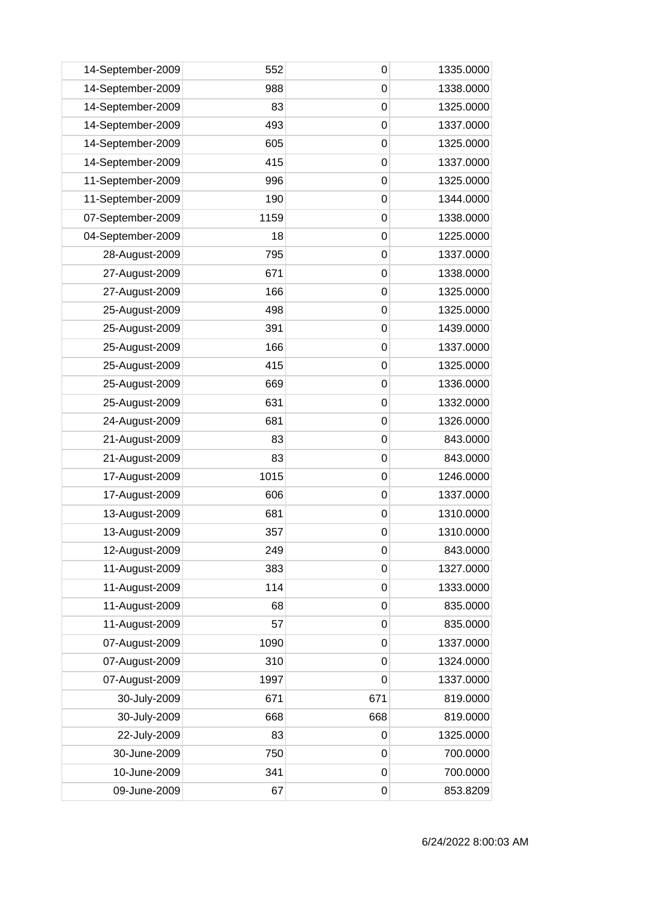| 14-September-2009 | 552  | 0           | 1335.0000 |
|-------------------|------|-------------|-----------|
| 14-September-2009 | 988  | $\mathbf 0$ | 1338.0000 |
| 14-September-2009 | 83   | 0           | 1325.0000 |
| 14-September-2009 | 493  | $\mathbf 0$ | 1337.0000 |
| 14-September-2009 | 605  | $\mathbf 0$ | 1325.0000 |
| 14-September-2009 | 415  | $\mathbf 0$ | 1337.0000 |
| 11-September-2009 | 996  | 0           | 1325.0000 |
| 11-September-2009 | 190  | 0           | 1344.0000 |
| 07-September-2009 | 1159 | $\mathbf 0$ | 1338.0000 |
| 04-September-2009 | 18   | $\mathbf 0$ | 1225.0000 |
| 28-August-2009    | 795  | $\mathbf 0$ | 1337.0000 |
| 27-August-2009    | 671  | $\mathbf 0$ | 1338.0000 |
| 27-August-2009    | 166  | 0           | 1325.0000 |
| 25-August-2009    | 498  | $\mathbf 0$ | 1325.0000 |
| 25-August-2009    | 391  | 0           | 1439.0000 |
| 25-August-2009    | 166  | $\mathbf 0$ | 1337.0000 |
| 25-August-2009    | 415  | $\mathbf 0$ | 1325.0000 |
| 25-August-2009    | 669  | $\mathbf 0$ | 1336.0000 |
| 25-August-2009    | 631  | 0           | 1332.0000 |
| 24-August-2009    | 681  | 0           | 1326.0000 |
| 21-August-2009    | 83   | $\mathbf 0$ | 843.0000  |
| 21-August-2009    | 83   | 0           | 843.0000  |
| 17-August-2009    | 1015 | $\mathbf 0$ | 1246.0000 |
| 17-August-2009    | 606  | $\mathbf 0$ | 1337.0000 |
| 13-August-2009    | 681  | $\mathbf 0$ | 1310.0000 |
| 13-August-2009    | 357  | $\mathbf 0$ | 1310.0000 |
| 12-August-2009    | 249  | $\pmb{0}$   | 843.0000  |
| 11-August-2009    | 383  | $\mathbf 0$ | 1327.0000 |
| 11-August-2009    | 114  | $\mathbf 0$ | 1333.0000 |
| 11-August-2009    | 68   | $\mathbf 0$ | 835.0000  |
| 11-August-2009    | 57   | $\mathbf 0$ | 835.0000  |
| 07-August-2009    | 1090 | $\mathbf 0$ | 1337.0000 |
| 07-August-2009    | 310  | $\mathbf 0$ | 1324.0000 |
| 07-August-2009    | 1997 | $\mathbf 0$ | 1337.0000 |
| 30-July-2009      | 671  | 671         | 819.0000  |
| 30-July-2009      | 668  | 668         | 819.0000  |
| 22-July-2009      | 83   | $\mathbf 0$ | 1325.0000 |
| 30-June-2009      | 750  | 0           | 700.0000  |
| 10-June-2009      | 341  | $\mathbf 0$ | 700.0000  |
| 09-June-2009      | 67   | $\mathbf 0$ | 853.8209  |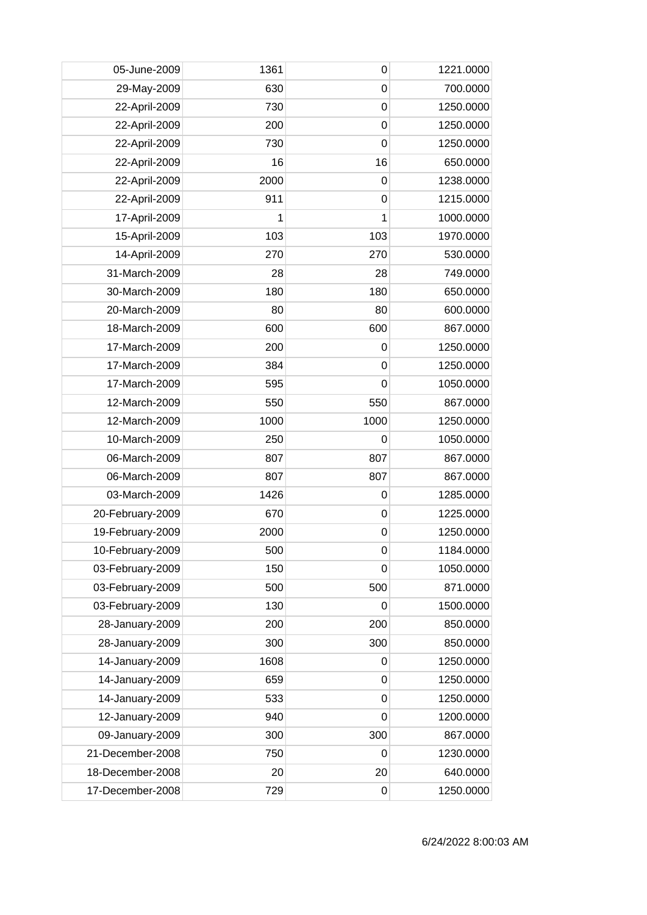| 05-June-2009     | 1361 | 0           | 1221.0000 |
|------------------|------|-------------|-----------|
| 29-May-2009      | 630  | $\mathbf 0$ | 700.0000  |
| 22-April-2009    | 730  | $\mathbf 0$ | 1250.0000 |
| 22-April-2009    | 200  | $\mathbf 0$ | 1250.0000 |
| 22-April-2009    | 730  | $\mathbf 0$ | 1250.0000 |
| 22-April-2009    | 16   | 16          | 650.0000  |
| 22-April-2009    | 2000 | $\mathbf 0$ | 1238.0000 |
| 22-April-2009    | 911  | $\mathbf 0$ | 1215.0000 |
| 17-April-2009    | 1    | 1           | 1000.0000 |
| 15-April-2009    | 103  | 103         | 1970.0000 |
| 14-April-2009    | 270  | 270         | 530.0000  |
| 31-March-2009    | 28   | 28          | 749.0000  |
| 30-March-2009    | 180  | 180         | 650.0000  |
| 20-March-2009    | 80   | 80          | 600.0000  |
| 18-March-2009    | 600  | 600         | 867.0000  |
| 17-March-2009    | 200  | $\mathbf 0$ | 1250.0000 |
| 17-March-2009    | 384  | $\mathbf 0$ | 1250.0000 |
| 17-March-2009    | 595  | $\mathbf 0$ | 1050.0000 |
| 12-March-2009    | 550  | 550         | 867.0000  |
| 12-March-2009    | 1000 | 1000        | 1250.0000 |
| 10-March-2009    | 250  | $\mathbf 0$ | 1050.0000 |
| 06-March-2009    | 807  | 807         | 867.0000  |
| 06-March-2009    | 807  | 807         | 867.0000  |
| 03-March-2009    | 1426 | $\mathbf 0$ | 1285.0000 |
| 20-February-2009 | 670  | 0           | 1225.0000 |
| 19-February-2009 | 2000 | $\mathbf 0$ | 1250.0000 |
| 10-February-2009 | 500  | 0           | 1184.0000 |
| 03-February-2009 | 150  | $\mathbf 0$ | 1050.0000 |
| 03-February-2009 | 500  | 500         | 871.0000  |
| 03-February-2009 | 130  | $\mathbf 0$ | 1500.0000 |
| 28-January-2009  | 200  | 200         | 850.0000  |
| 28-January-2009  | 300  | 300         | 850.0000  |
| 14-January-2009  | 1608 | 0           | 1250.0000 |
| 14-January-2009  | 659  | $\mathbf 0$ | 1250.0000 |
| 14-January-2009  | 533  | $\mathbf 0$ | 1250.0000 |
| 12-January-2009  | 940  | 0           | 1200.0000 |
| 09-January-2009  | 300  | 300         | 867.0000  |
| 21-December-2008 | 750  | 0           | 1230.0000 |
| 18-December-2008 | 20   | 20          | 640.0000  |
| 17-December-2008 | 729  | 0           | 1250.0000 |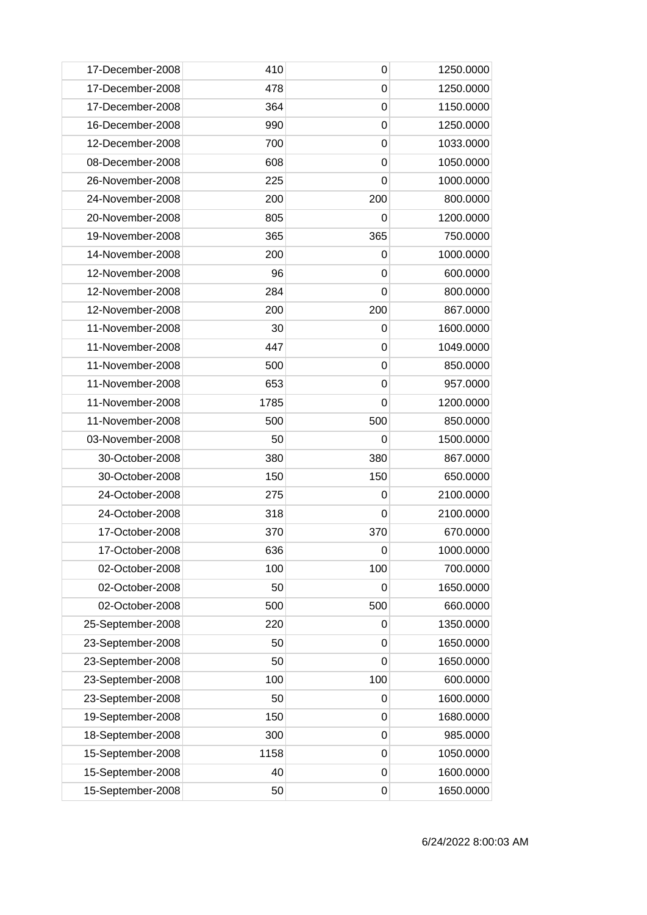| 17-December-2008  | 410  | 0           | 1250.0000 |
|-------------------|------|-------------|-----------|
| 17-December-2008  | 478  | 0           | 1250.0000 |
| 17-December-2008  | 364  | 0           | 1150.0000 |
| 16-December-2008  | 990  | $\mathbf 0$ | 1250.0000 |
| 12-December-2008  | 700  | $\mathbf 0$ | 1033.0000 |
| 08-December-2008  | 608  | $\mathbf 0$ | 1050.0000 |
| 26-November-2008  | 225  | 0           | 1000.0000 |
| 24-November-2008  | 200  | 200         | 800.0000  |
| 20-November-2008  | 805  | 0           | 1200.0000 |
| 19-November-2008  | 365  | 365         | 750.0000  |
| 14-November-2008  | 200  | 0           | 1000.0000 |
| 12-November-2008  | 96   | 0           | 600.0000  |
| 12-November-2008  | 284  | 0           | 800.0000  |
| 12-November-2008  | 200  | 200         | 867.0000  |
| 11-November-2008  | 30   | 0           | 1600.0000 |
| 11-November-2008  | 447  | $\mathbf 0$ | 1049.0000 |
| 11-November-2008  | 500  | 0           | 850.0000  |
| 11-November-2008  | 653  | $\mathbf 0$ | 957.0000  |
| 11-November-2008  | 1785 | 0           | 1200.0000 |
| 11-November-2008  | 500  | 500         | 850.0000  |
| 03-November-2008  | 50   | 0           | 1500.0000 |
| 30-October-2008   | 380  | 380         | 867.0000  |
| 30-October-2008   | 150  | 150         | 650.0000  |
| 24-October-2008   | 275  | 0           | 2100.0000 |
| 24-October-2008   | 318  | 0           | 2100.0000 |
| 17-October-2008   | 370  | 370         | 670.0000  |
| 17-October-2008   | 636  | 0           | 1000.0000 |
| 02-October-2008   | 100  | 100         | 700.0000  |
| 02-October-2008   | 50   | 0           | 1650.0000 |
| 02-October-2008   | 500  | 500         | 660.0000  |
| 25-September-2008 | 220  | 0           | 1350.0000 |
| 23-September-2008 | 50   | 0           | 1650.0000 |
| 23-September-2008 | 50   | 0           | 1650.0000 |
| 23-September-2008 | 100  | 100         | 600.0000  |
| 23-September-2008 | 50   | 0           | 1600.0000 |
| 19-September-2008 | 150  | $\mathbf 0$ | 1680.0000 |
| 18-September-2008 | 300  | 0           | 985.0000  |
| 15-September-2008 | 1158 | 0           | 1050.0000 |
| 15-September-2008 | 40   | $\mathbf 0$ | 1600.0000 |
| 15-September-2008 | 50   | 0           | 1650.0000 |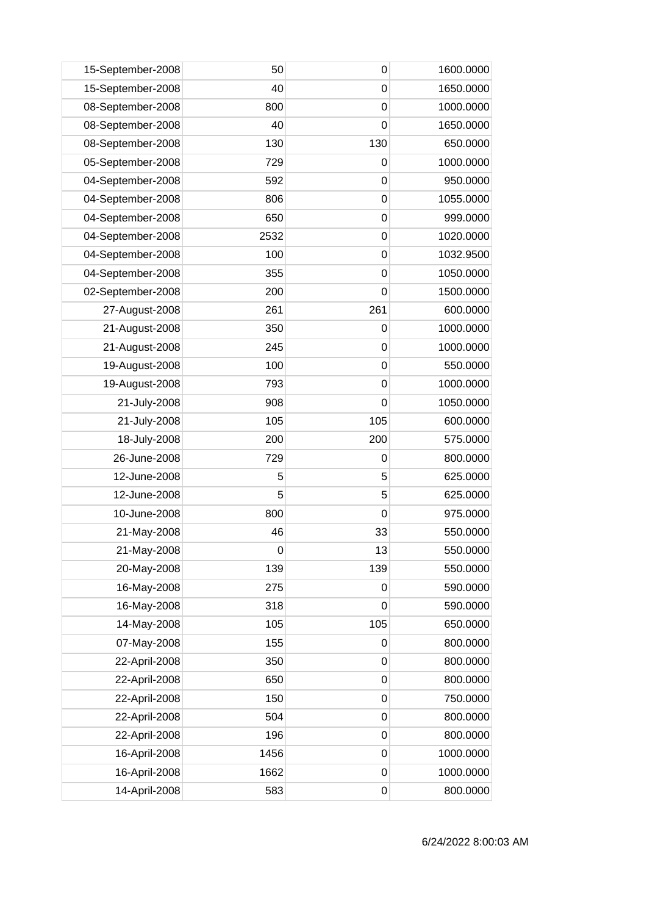| 15-September-2008 | 50               | 0           | 1600.0000 |
|-------------------|------------------|-------------|-----------|
| 15-September-2008 | 40               | $\mathbf 0$ | 1650.0000 |
| 08-September-2008 | 800              | $\mathbf 0$ | 1000.0000 |
| 08-September-2008 | 40               | $\mathbf 0$ | 1650.0000 |
| 08-September-2008 | 130              | 130         | 650.0000  |
| 05-September-2008 | 729              | $\mathbf 0$ | 1000.0000 |
| 04-September-2008 | 592              | 0           | 950.0000  |
| 04-September-2008 | 806              | $\mathbf 0$ | 1055.0000 |
| 04-September-2008 | 650              | $\mathbf 0$ | 999.0000  |
| 04-September-2008 | 2532             | $\mathbf 0$ | 1020.0000 |
| 04-September-2008 | 100              | $\mathbf 0$ | 1032.9500 |
| 04-September-2008 | 355              | $\mathbf 0$ | 1050.0000 |
| 02-September-2008 | 200              | 0           | 1500.0000 |
| 27-August-2008    | 261              | 261         | 600.0000  |
| 21-August-2008    | 350              | 0           | 1000.0000 |
| 21-August-2008    | 245              | $\mathbf 0$ | 1000.0000 |
| 19-August-2008    | 100              | $\mathbf 0$ | 550.0000  |
| 19-August-2008    | 793              | $\mathbf 0$ | 1000.0000 |
| 21-July-2008      | 908              | 0           | 1050.0000 |
| 21-July-2008      | 105              | 105         | 600.0000  |
| 18-July-2008      | 200              | 200         | 575.0000  |
| 26-June-2008      | 729              | 0           | 800.0000  |
| 12-June-2008      | 5                | 5           | 625.0000  |
| 12-June-2008      | 5                | 5           | 625.0000  |
| 10-June-2008      | 800              | $\mathbf 0$ | 975.0000  |
| 21-May-2008       | 46               | 33          | 550.0000  |
| 21-May-2008       | $\boldsymbol{0}$ | 13          | 550.0000  |
| 20-May-2008       | 139              | 139         | 550.0000  |
| 16-May-2008       | 275              | $\mathbf 0$ | 590.0000  |
| 16-May-2008       | 318              | $\mathbf 0$ | 590.0000  |
| 14-May-2008       | 105              | 105         | 650.0000  |
| 07-May-2008       | 155              | 0           | 800.0000  |
| 22-April-2008     | 350              | $\mathbf 0$ | 800.0000  |
| 22-April-2008     | 650              | $\mathbf 0$ | 800.0000  |
| 22-April-2008     | 150              | $\mathbf 0$ | 750.0000  |
| 22-April-2008     | 504              | $\mathbf 0$ | 800.0000  |
| 22-April-2008     | 196              | $\mathbf 0$ | 800.0000  |
| 16-April-2008     | 1456             | 0           | 1000.0000 |
| 16-April-2008     | 1662             | $\mathbf 0$ | 1000.0000 |
| 14-April-2008     | 583              | $\mathbf 0$ | 800.0000  |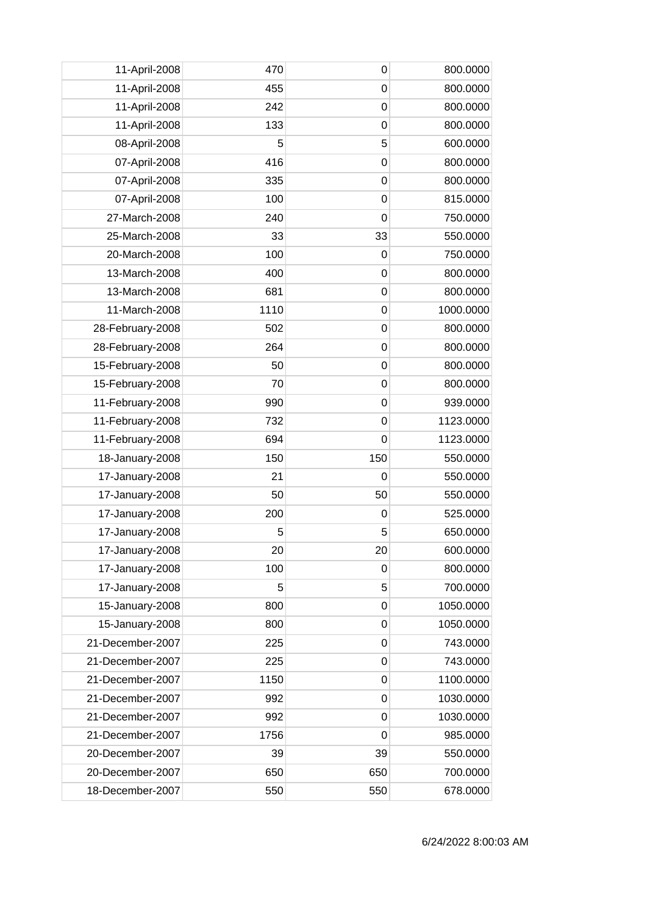| 11-April-2008    | 470  | $\mathbf 0$    | 800.0000  |
|------------------|------|----------------|-----------|
| 11-April-2008    | 455  | 0              | 800.0000  |
| 11-April-2008    | 242  | 0              | 800.0000  |
| 11-April-2008    | 133  | 0              | 800.0000  |
| 08-April-2008    | 5    | 5              | 600.0000  |
| 07-April-2008    | 416  | $\mathbf 0$    | 800.0000  |
| 07-April-2008    | 335  | 0              | 800.0000  |
| 07-April-2008    | 100  | 0              | 815.0000  |
| 27-March-2008    | 240  | $\mathbf 0$    | 750.0000  |
| 25-March-2008    | 33   | 33             | 550.0000  |
| 20-March-2008    | 100  | $\mathbf 0$    | 750.0000  |
| 13-March-2008    | 400  | $\mathbf 0$    | 800.0000  |
| 13-March-2008    | 681  | 0              | 800.0000  |
| 11-March-2008    | 1110 | 0              | 1000.0000 |
| 28-February-2008 | 502  | 0              | 800.0000  |
| 28-February-2008 | 264  | 0              | 800.0000  |
| 15-February-2008 | 50   | 0              | 800.0000  |
| 15-February-2008 | 70   | $\mathbf 0$    | 800.0000  |
| 11-February-2008 | 990  | $\mathbf 0$    | 939.0000  |
| 11-February-2008 | 732  | 0              | 1123.0000 |
| 11-February-2008 | 694  | $\overline{0}$ | 1123.0000 |
| 18-January-2008  | 150  | 150            | 550.0000  |
| 17-January-2008  | 21   | $\mathbf 0$    | 550.0000  |
| 17-January-2008  | 50   | 50             | 550.0000  |
| 17-January-2008  | 200  | 0              | 525.0000  |
| 17-January-2008  | 5    | 5              | 650.0000  |
| 17-January-2008  | 20   | 20             | 600.0000  |
| 17-January-2008  | 100  | 0              | 800.0000  |
| 17-January-2008  | 5    | 5              | 700.0000  |
| 15-January-2008  | 800  | $\mathbf 0$    | 1050.0000 |
| 15-January-2008  | 800  | 0              | 1050.0000 |
| 21-December-2007 | 225  | 0              | 743.0000  |
| 21-December-2007 | 225  | 0              | 743.0000  |
| 21-December-2007 | 1150 | $\mathbf 0$    | 1100.0000 |
| 21-December-2007 | 992  | $\mathbf 0$    | 1030.0000 |
| 21-December-2007 | 992  | $\mathbf 0$    | 1030.0000 |
| 21-December-2007 | 1756 | 0              | 985.0000  |
| 20-December-2007 | 39   | 39             | 550.0000  |
| 20-December-2007 | 650  | 650            | 700.0000  |
| 18-December-2007 | 550  | 550            | 678.0000  |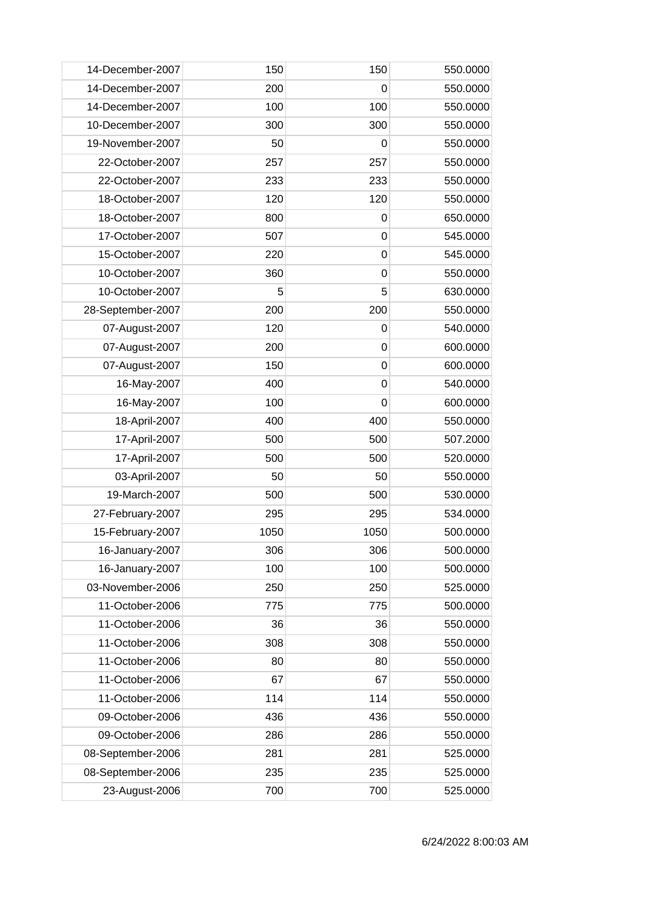| 14-December-2007  | 150  | 150         | 550.0000 |
|-------------------|------|-------------|----------|
| 14-December-2007  | 200  | 0           | 550.0000 |
| 14-December-2007  | 100  | 100         | 550.0000 |
| 10-December-2007  | 300  | 300         | 550.0000 |
| 19-November-2007  | 50   | 0           | 550.0000 |
| 22-October-2007   | 257  | 257         | 550.0000 |
| 22-October-2007   | 233  | 233         | 550.0000 |
| 18-October-2007   | 120  | 120         | 550.0000 |
| 18-October-2007   | 800  | $\mathbf 0$ | 650.0000 |
| 17-October-2007   | 507  | $\mathbf 0$ | 545.0000 |
| 15-October-2007   | 220  | $\mathbf 0$ | 545.0000 |
| 10-October-2007   | 360  | $\mathbf 0$ | 550.0000 |
| 10-October-2007   | 5    | 5           | 630.0000 |
| 28-September-2007 | 200  | 200         | 550.0000 |
| 07-August-2007    | 120  | 0           | 540.0000 |
| 07-August-2007    | 200  | $\mathbf 0$ | 600.0000 |
| 07-August-2007    | 150  | $\mathbf 0$ | 600.0000 |
| 16-May-2007       | 400  | $\mathbf 0$ | 540.0000 |
| 16-May-2007       | 100  | 0           | 600.0000 |
| 18-April-2007     | 400  | 400         | 550.0000 |
| 17-April-2007     | 500  | 500         | 507.2000 |
| 17-April-2007     | 500  | 500         | 520.0000 |
| 03-April-2007     | 50   | 50          | 550.0000 |
| 19-March-2007     | 500  | 500         | 530.0000 |
| 27-February-2007  | 295  | 295         | 534.0000 |
| 15-February-2007  | 1050 | 1050        | 500.0000 |
| 16-January-2007   | 306  | 306         | 500.0000 |
| 16-January-2007   | 100  | 100         | 500.0000 |
| 03-November-2006  | 250  | 250         | 525.0000 |
| 11-October-2006   | 775  | 775         | 500.0000 |
| 11-October-2006   | 36   | 36          | 550.0000 |
| 11-October-2006   | 308  | 308         | 550.0000 |
| 11-October-2006   | 80   | 80          | 550.0000 |
| 11-October-2006   | 67   | 67          | 550.0000 |
| 11-October-2006   | 114  | 114         | 550.0000 |
| 09-October-2006   | 436  | 436         | 550.0000 |
| 09-October-2006   | 286  | 286         | 550.0000 |
| 08-September-2006 | 281  | 281         | 525.0000 |
| 08-September-2006 | 235  | 235         | 525.0000 |
| 23-August-2006    | 700  | 700         | 525.0000 |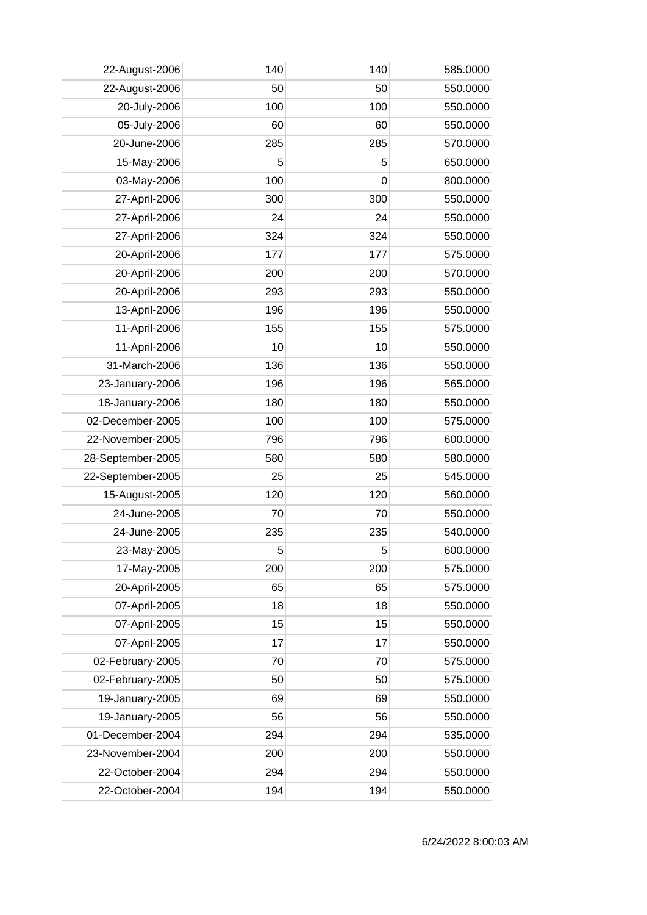| 22-August-2006    | 140 | 140 | 585.0000 |
|-------------------|-----|-----|----------|
| 22-August-2006    | 50  | 50  | 550.0000 |
| 20-July-2006      | 100 | 100 | 550.0000 |
| 05-July-2006      | 60  | 60  | 550.0000 |
| 20-June-2006      | 285 | 285 | 570.0000 |
| 15-May-2006       | 5   | 5   | 650.0000 |
| 03-May-2006       | 100 | 0   | 800.0000 |
| 27-April-2006     | 300 | 300 | 550.0000 |
| 27-April-2006     | 24  | 24  | 550.0000 |
| 27-April-2006     | 324 | 324 | 550.0000 |
| 20-April-2006     | 177 | 177 | 575.0000 |
| 20-April-2006     | 200 | 200 | 570.0000 |
| 20-April-2006     | 293 | 293 | 550.0000 |
| 13-April-2006     | 196 | 196 | 550.0000 |
| 11-April-2006     | 155 | 155 | 575.0000 |
| 11-April-2006     | 10  | 10  | 550.0000 |
| 31-March-2006     | 136 | 136 | 550.0000 |
| 23-January-2006   | 196 | 196 | 565.0000 |
| 18-January-2006   | 180 | 180 | 550.0000 |
| 02-December-2005  | 100 | 100 | 575.0000 |
| 22-November-2005  | 796 | 796 | 600.0000 |
| 28-September-2005 | 580 | 580 | 580.0000 |
| 22-September-2005 | 25  | 25  | 545.0000 |
| 15-August-2005    | 120 | 120 | 560.0000 |
| 24-June-2005      | 70  | 70  | 550.0000 |
| 24-June-2005      | 235 | 235 | 540.0000 |
| 23-May-2005       | 5   | 5   | 600.0000 |
| 17-May-2005       | 200 | 200 | 575.0000 |
| 20-April-2005     | 65  | 65  | 575.0000 |
| 07-April-2005     | 18  | 18  | 550.0000 |
| 07-April-2005     | 15  | 15  | 550.0000 |
| 07-April-2005     | 17  | 17  | 550.0000 |
| 02-February-2005  | 70  | 70  | 575.0000 |
| 02-February-2005  | 50  | 50  | 575.0000 |
| 19-January-2005   | 69  | 69  | 550.0000 |
| 19-January-2005   | 56  | 56  | 550.0000 |
| 01-December-2004  | 294 | 294 | 535.0000 |
| 23-November-2004  | 200 | 200 | 550.0000 |
| 22-October-2004   | 294 | 294 | 550.0000 |
| 22-October-2004   | 194 | 194 | 550.0000 |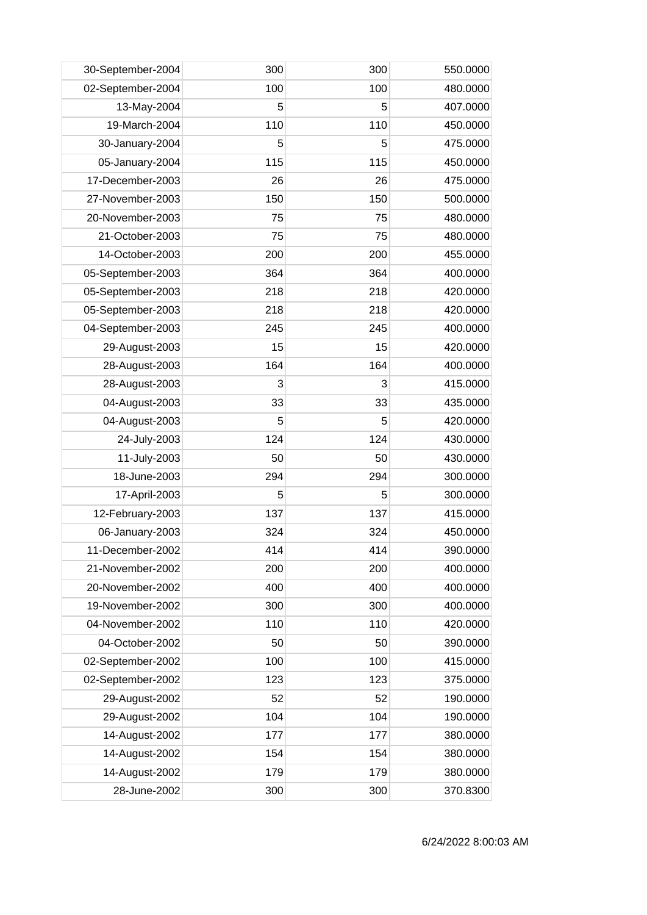| 30-September-2004 | 300 | 300 | 550.0000 |
|-------------------|-----|-----|----------|
| 02-September-2004 | 100 | 100 | 480.0000 |
| 13-May-2004       | 5   | 5   | 407.0000 |
| 19-March-2004     | 110 | 110 | 450.0000 |
| 30-January-2004   | 5   | 5   | 475.0000 |
| 05-January-2004   | 115 | 115 | 450.0000 |
| 17-December-2003  | 26  | 26  | 475.0000 |
| 27-November-2003  | 150 | 150 | 500.0000 |
| 20-November-2003  | 75  | 75  | 480.0000 |
| 21-October-2003   | 75  | 75  | 480.0000 |
| 14-October-2003   | 200 | 200 | 455.0000 |
| 05-September-2003 | 364 | 364 | 400.0000 |
| 05-September-2003 | 218 | 218 | 420.0000 |
| 05-September-2003 | 218 | 218 | 420.0000 |
| 04-September-2003 | 245 | 245 | 400.0000 |
| 29-August-2003    | 15  | 15  | 420.0000 |
| 28-August-2003    | 164 | 164 | 400.0000 |
| 28-August-2003    | 3   | 3   | 415.0000 |
| 04-August-2003    | 33  | 33  | 435.0000 |
| 04-August-2003    | 5   | 5   | 420.0000 |
| 24-July-2003      | 124 | 124 | 430.0000 |
| 11-July-2003      | 50  | 50  | 430.0000 |
| 18-June-2003      | 294 | 294 | 300.0000 |
| 17-April-2003     | 5   | 5   | 300.0000 |
| 12-February-2003  | 137 | 137 | 415.0000 |
| 06-January-2003   | 324 | 324 | 450.0000 |
| 11-December-2002  | 414 | 414 | 390.0000 |
| 21-November-2002  | 200 | 200 | 400.0000 |
| 20-November-2002  | 400 | 400 | 400.0000 |
| 19-November-2002  | 300 | 300 | 400.0000 |
| 04-November-2002  | 110 | 110 | 420.0000 |
| 04-October-2002   | 50  | 50  | 390.0000 |
| 02-September-2002 | 100 | 100 | 415.0000 |
| 02-September-2002 | 123 | 123 | 375.0000 |
| 29-August-2002    | 52  | 52  | 190.0000 |
| 29-August-2002    | 104 | 104 | 190.0000 |
| 14-August-2002    | 177 | 177 | 380.0000 |
| 14-August-2002    | 154 | 154 | 380.0000 |
| 14-August-2002    | 179 | 179 | 380.0000 |
| 28-June-2002      | 300 | 300 | 370.8300 |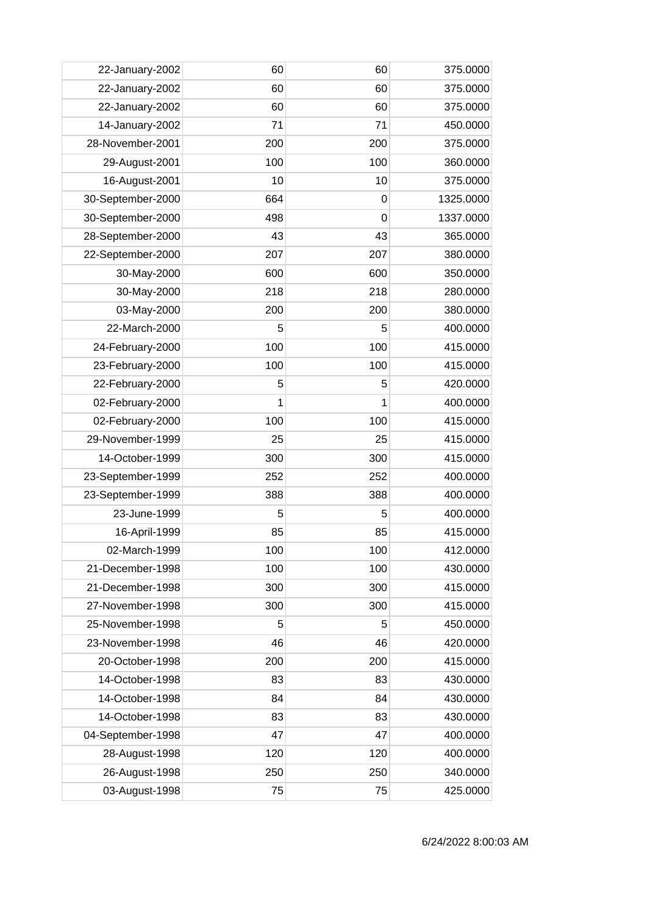| 22-January-2002   | 60  | 60          | 375.0000  |
|-------------------|-----|-------------|-----------|
| 22-January-2002   | 60  | 60          | 375.0000  |
| 22-January-2002   | 60  | 60          | 375.0000  |
| 14-January-2002   | 71  | 71          | 450.0000  |
| 28-November-2001  | 200 | 200         | 375.0000  |
| 29-August-2001    | 100 | 100         | 360.0000  |
| 16-August-2001    | 10  | 10          | 375.0000  |
| 30-September-2000 | 664 | 0           | 1325.0000 |
| 30-September-2000 | 498 | $\mathbf 0$ | 1337.0000 |
| 28-September-2000 | 43  | 43          | 365.0000  |
| 22-September-2000 | 207 | 207         | 380.0000  |
| 30-May-2000       | 600 | 600         | 350.0000  |
| 30-May-2000       | 218 | 218         | 280.0000  |
| 03-May-2000       | 200 | 200         | 380.0000  |
| 22-March-2000     | 5   | 5           | 400.0000  |
| 24-February-2000  | 100 | 100         | 415.0000  |
| 23-February-2000  | 100 | 100         | 415.0000  |
| 22-February-2000  | 5   | 5           | 420.0000  |
| 02-February-2000  | 1   | 1           | 400.0000  |
| 02-February-2000  | 100 | 100         | 415.0000  |
| 29-November-1999  | 25  | 25          | 415.0000  |
| 14-October-1999   | 300 | 300         | 415.0000  |
| 23-September-1999 | 252 | 252         | 400.0000  |
| 23-September-1999 | 388 | 388         | 400.0000  |
| 23-June-1999      | 5   | 5           | 400.0000  |
| 16-April-1999     | 85  | 85          | 415.0000  |
| 02-March-1999     | 100 | 100         | 412.0000  |
| 21-December-1998  | 100 | 100         | 430.0000  |
| 21-December-1998  | 300 | 300         | 415.0000  |
| 27-November-1998  | 300 | 300         | 415.0000  |
| 25-November-1998  | 5   | 5           | 450.0000  |
| 23-November-1998  | 46  | 46          | 420.0000  |
| 20-October-1998   | 200 | 200         | 415.0000  |
| 14-October-1998   | 83  | 83          | 430.0000  |
| 14-October-1998   | 84  | 84          | 430.0000  |
| 14-October-1998   | 83  | 83          | 430.0000  |
| 04-September-1998 | 47  | 47          | 400.0000  |
| 28-August-1998    | 120 | 120         | 400.0000  |
| 26-August-1998    | 250 | 250         | 340.0000  |
| 03-August-1998    | 75  | 75          | 425.0000  |